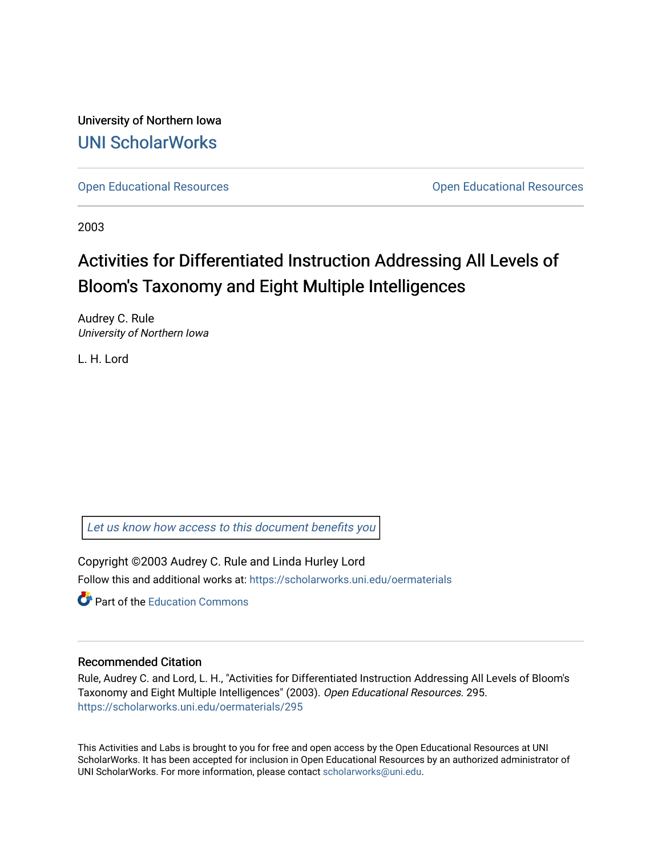University of Northern Iowa [UNI ScholarWorks](https://scholarworks.uni.edu/) 

[Open Educational Resources](https://scholarworks.uni.edu/oermaterials) [Open Educational Resources](https://scholarworks.uni.edu/oer) 

2003

# Activities for Differentiated Instruction Addressing All Levels of Bloom's Taxonomy and Eight Multiple Intelligences

Audrey C. Rule University of Northern Iowa

L. H. Lord

[Let us know how access to this document benefits you](https://scholarworks.uni.edu/feedback_form.html) 

Copyright ©2003 Audrey C. Rule and Linda Hurley Lord Follow this and additional works at: [https://scholarworks.uni.edu/oermaterials](https://scholarworks.uni.edu/oermaterials?utm_source=scholarworks.uni.edu%2Foermaterials%2F295&utm_medium=PDF&utm_campaign=PDFCoverPages)

**C** Part of the [Education Commons](http://network.bepress.com/hgg/discipline/784?utm_source=scholarworks.uni.edu%2Foermaterials%2F295&utm_medium=PDF&utm_campaign=PDFCoverPages)

#### Recommended Citation

Rule, Audrey C. and Lord, L. H., "Activities for Differentiated Instruction Addressing All Levels of Bloom's Taxonomy and Eight Multiple Intelligences" (2003). Open Educational Resources. 295. [https://scholarworks.uni.edu/oermaterials/295](https://scholarworks.uni.edu/oermaterials/295?utm_source=scholarworks.uni.edu%2Foermaterials%2F295&utm_medium=PDF&utm_campaign=PDFCoverPages)

This Activities and Labs is brought to you for free and open access by the Open Educational Resources at UNI ScholarWorks. It has been accepted for inclusion in Open Educational Resources by an authorized administrator of UNI ScholarWorks. For more information, please contact [scholarworks@uni.edu.](mailto:scholarworks@uni.edu)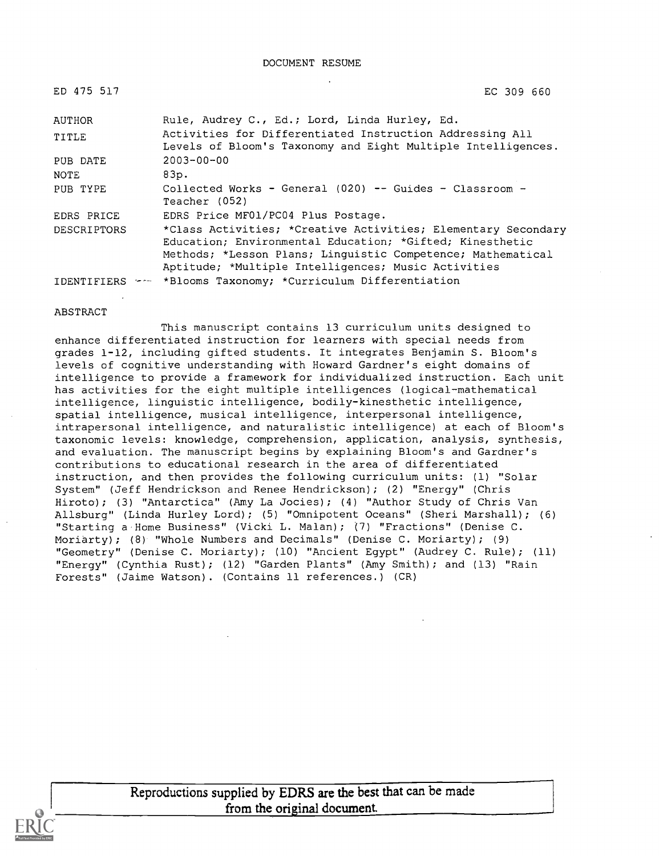| ED 475 517         | EC 309 660                                                                                                                                                                                                                                      |
|--------------------|-------------------------------------------------------------------------------------------------------------------------------------------------------------------------------------------------------------------------------------------------|
| AUTHOR             | Rule, Audrey C., Ed.; Lord, Linda Hurley, Ed.                                                                                                                                                                                                   |
| TITLE              | Activities for Differentiated Instruction Addressing All<br>Levels of Bloom's Taxonomy and Eight Multiple Intelligences.                                                                                                                        |
| PUB DATE           | $2003 - 00 - 00$                                                                                                                                                                                                                                |
| NOTE               | 83p.                                                                                                                                                                                                                                            |
| PUB TYPE           | Collected Works - General (020) -- Guides - Classroom -<br>Teacher (052)                                                                                                                                                                        |
| EDRS PRICE         | EDRS Price MF01/PC04 Plus Postage.                                                                                                                                                                                                              |
| <b>DESCRIPTORS</b> | *Class Activities; *Creative Activities; Elementary Secondary<br>Education; Environmental Education; *Gifted; Kinesthetic<br>Methods; *Lesson Plans; Linquistic Competence; Mathematical<br>Aptitude; *Multiple Intelligences; Music Activities |
|                    | IDENTIFIERS -- *Blooms Taxonomy; *Curriculum Differentiation                                                                                                                                                                                    |

#### ABSTRACT

This manuscript contains 13 curriculum units designed to enhance differentiated instruction for learners with special needs from grades 1-12, including gifted students. It integrates Benjamin S. Bloom's levels of cognitive understanding with Howard Gardner's eight domains of intelligence to provide a framework for individualized instruction. Each unit has activities for the eight multiple intelligences (logical-mathematical intelligence, linguistic intelligence, bodily-kinesthetic intelligence, spatial intelligence, musical intelligence, interpersonal intelligence, intrapersonal intelligence, and naturalistic intelligence) at each of Bloom's taxonomic levels: knowledge, comprehension, application, analysis, synthesis, and evaluation. The manuscript begins by explaining Bloom's and Gardner's contributions to educational research in the area of differentiated instruction, and then provides the following curriculum units: (1) "Solar System" (Jeff Hendrickson and Renee Hendrickson); (2) "Energy" (Chris Hiroto); (3) "Antarctica" (Amy La Jocies); (4) "Author Study of Chris Van Allsburg" (Linda Hurley Lord); (5) "Omnipotent Oceans" (Sheri Marshall); (6) "Starting a Home Business" (Vicki L. Malan); (7) "Fractions" (Denise C. Moriarty); (8) "Whole Numbers and Decimals" (Denise C. Moriarty); (9) "Geometry" (Denise C. Moriarty); (10) "Ancient Egypt" (Audrey C. Rule); (11) "Energy" (Cynthia Rust); (12) "Garden Plants" (Amy Smith); and (13) "Rain Forests" (Jaime Watson). (Contains 11 references.) (CR)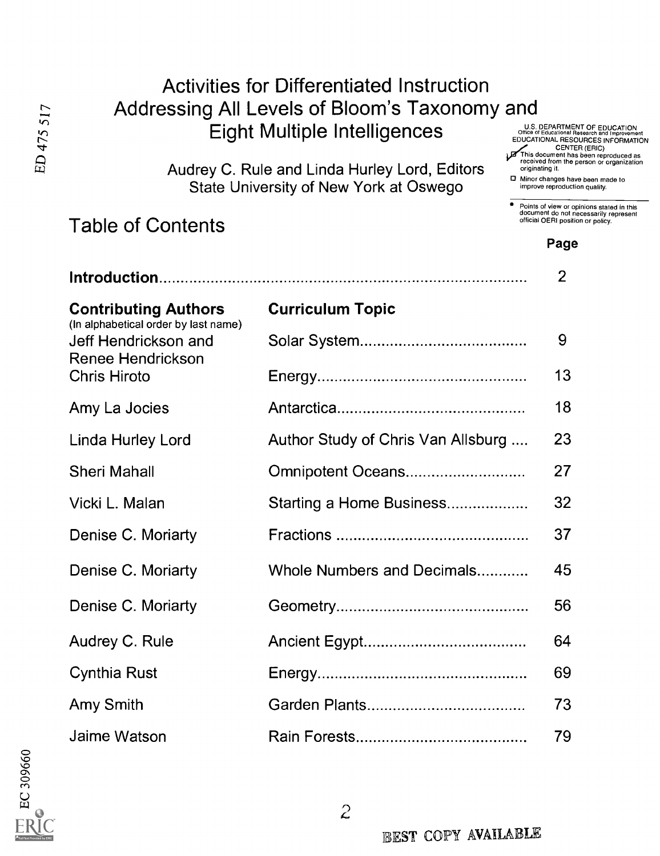|                                                                                         | <b>Activities for Differentiated Instruction</b><br>Addressing All Levels of Bloom's Taxonomy and<br>Eight Multiple Intelligences | U.S. DEPARTMENT OF EDUCATION<br>Office of Educational Research and Improvement<br>EDUCATIONAL RESOURCES INFORMATION<br>CENTER (ERIC)                                      |
|-----------------------------------------------------------------------------------------|-----------------------------------------------------------------------------------------------------------------------------------|---------------------------------------------------------------------------------------------------------------------------------------------------------------------------|
| Audrey C. Rule and Linda Hurley Lord, Editors<br>State University of New York at Oswego |                                                                                                                                   | This document has been reproduced as<br>received from the person or organization<br>originating it.<br>D Minor changes have been made to<br>improve reproduction quality. |
| <b>Table of Contents</b>                                                                |                                                                                                                                   | Points of view or opinions stated in this<br>document do not necessarily represent<br>official OERI position or policy.<br>Page                                           |
|                                                                                         |                                                                                                                                   | $\overline{2}$                                                                                                                                                            |
| <b>Contributing Authors</b>                                                             | <b>Curriculum Topic</b>                                                                                                           |                                                                                                                                                                           |
| (In alphabetical order by last name)<br>Jeff Hendrickson and                            |                                                                                                                                   | 9                                                                                                                                                                         |
| Renee Hendrickson<br><b>Chris Hiroto</b>                                                |                                                                                                                                   | 13                                                                                                                                                                        |
| Amy La Jocies                                                                           |                                                                                                                                   | 18                                                                                                                                                                        |
| Linda Hurley Lord                                                                       | Author Study of Chris Van Allsburg                                                                                                | 23                                                                                                                                                                        |
| <b>Sheri Mahall</b>                                                                     | Omnipotent Oceans                                                                                                                 | 27                                                                                                                                                                        |
| Vicki L. Malan                                                                          | Starting a Home Business                                                                                                          | 32                                                                                                                                                                        |
| Denise C. Moriarty                                                                      |                                                                                                                                   | 37                                                                                                                                                                        |
| Denise C. Moriarty                                                                      | Whole Numbers and Decimals                                                                                                        | 45                                                                                                                                                                        |
| Denise C. Moriarty                                                                      |                                                                                                                                   | 56                                                                                                                                                                        |
| Audrey C. Rule                                                                          |                                                                                                                                   | 64                                                                                                                                                                        |
| <b>Cynthia Rust</b>                                                                     |                                                                                                                                   | 69                                                                                                                                                                        |
| Amy Smith                                                                               |                                                                                                                                   | 73                                                                                                                                                                        |
| Jaime Watson                                                                            |                                                                                                                                   | 79                                                                                                                                                                        |



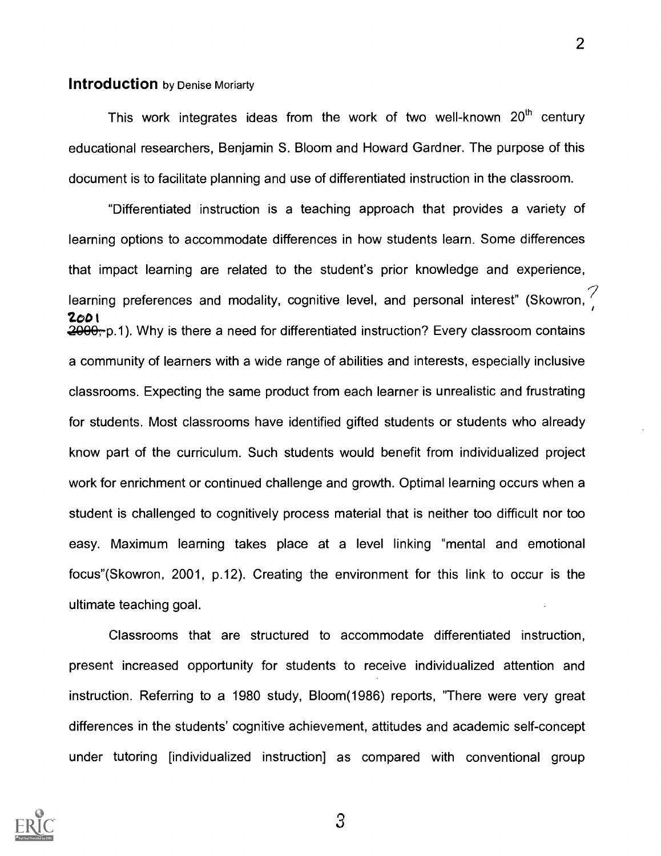#### **Introduction** by Denise Moriarty

This work integrates ideas from the work of two well-known  $20<sup>th</sup>$  century educational researchers, Benjamin S. Bloom and Howard Gardner. The purpose of this document is to facilitate planning and use of differentiated instruction in the classroom.

"Differentiated instruction is a teaching approach that provides a variety of learning options to accommodate differences in how students learn. Some differences that impact learning are related to the student's prior knowledge and experience, learning preferences and modality, cognitive level, and personal interest" (Skowron, 200t 2000<sub>7</sub> p.1). Why is there a need for differentiated instruction? Every classroom contains a community of learners with a wide range of abilities and interests, especially inclusive classrooms. Expecting the same product from each learner is unrealistic and frustrating for students. Most classrooms have identified gifted students or students who already know part of the curriculum. Such students would benefit from individualized project work for enrichment or continued challenge and growth. Optimal learning occurs when a student is challenged to cognitively process material that is neither too difficult nor too easy. Maximum learning takes place at a level linking "mental and emotional focus"(Skowron, 2001, p.12). Creating the environment for this link to occur is the ultimate teaching goal.

Classrooms that are structured to accommodate differentiated instruction, present increased opportunity for students to receive individualized attention and instruction. Referring to a 1980 study, Bloom(1986) reports, "There were very great differences in the students' cognitive achievement, attitudes and academic self-concept under tutoring [individualized instruction] as compared with conventional group

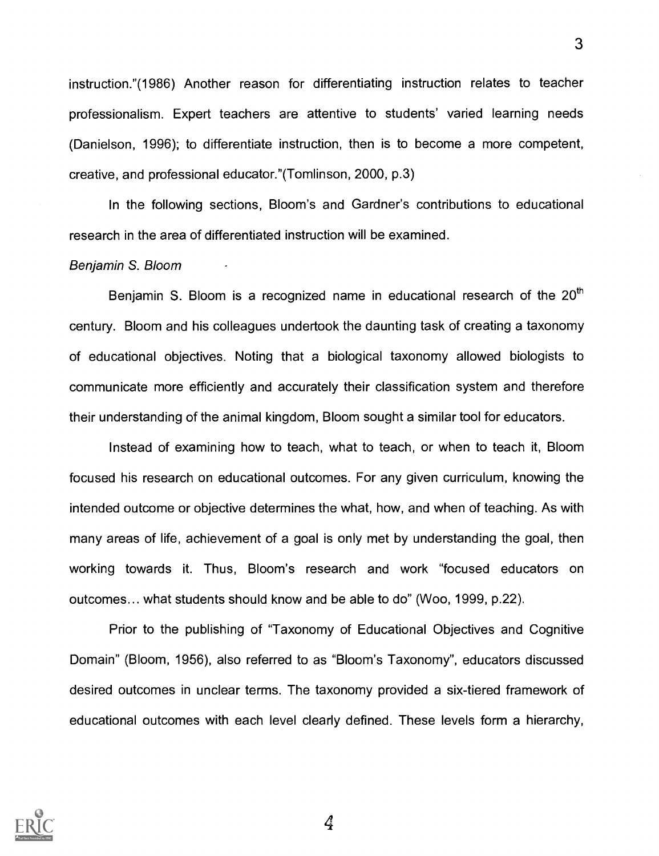instruction."(1986) Another reason for differentiating instruction relates to teacher professionalism. Expert teachers are attentive to students' varied learning needs (Danielson, 1996); to differentiate instruction, then is to become a more competent, creative, and professional educator."(Tomlinson, 2000, p.3)

In the following sections, Bloom's and Gardner's contributions to educational research in the area of differentiated instruction will be examined.

#### Benjamin S. Bloom

Benjamin S. Bloom is a recognized name in educational research of the  $20<sup>th</sup>$ century. Bloom and his colleagues undertook the daunting task of creating a taxonomy of educational objectives. Noting that a biological taxonomy allowed biologists to communicate more efficiently and accurately their classification system and therefore their understanding of the animal kingdom, Bloom sought a similar tool for educators.

Instead of examining how to teach, what to teach, or when to teach it, Bloom focused his research on educational outcomes. For any given curriculum, knowing the intended outcome or objective determines the what, how, and when of teaching. As with many areas of life, achievement of a goal is only met by understanding the goal, then working towards it. Thus, Bloom's research and work "focused educators on outcomes... what students should know and be able to do" (Woo, 1999, p.22).

Prior to the publishing of "Taxonomy of Educational Objectives and Cognitive Domain" (Bloom, 1956), also referred to as "Bloom's Taxonomy", educators discussed desired outcomes in unclear terms. The taxonomy provided a six-tiered framework of educational outcomes with each level clearly defined. These levels form a hierarchy,

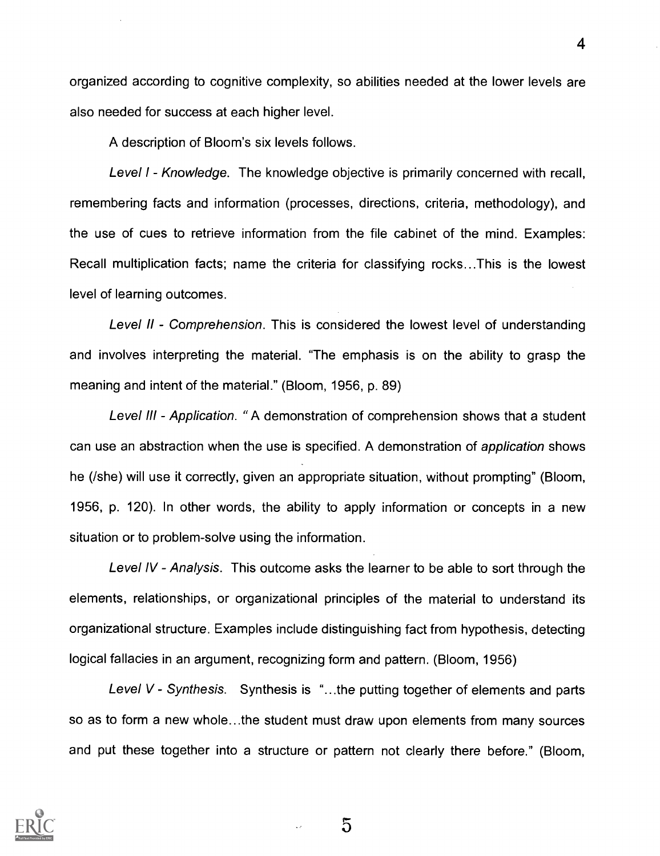organized according to cognitive complexity, so abilities needed at the lower levels are also needed for success at each higher level.

A description of Bloom's six levels follows.

Level I - Knowledge. The knowledge objective is primarily concerned with recall, remembering facts and information (processes, directions, criteria, methodology), and the use of cues to retrieve information from the file cabinet of the mind. Examples: Recall multiplication facts; name the criteria for classifying rocks...This is the lowest level of learning outcomes.

Level II - Comprehension. This is considered the lowest level of understanding and involves interpreting the material. "The emphasis is on the ability to grasp the meaning and intent of the material." (Bloom, 1956, p. 89)

Level III - Application. "A demonstration of comprehension shows that a student can use an abstraction when the use is specified. A demonstration of application shows he (/she) will use it correctly, given an appropriate situation, without prompting" (Bloom, 1956, p. 120). In other words, the ability to apply information or concepts in a new situation or to problem-solve using the information.

Level IV - Analysis. This outcome asks the learner to be able to sort through the elements, relationships, or organizational principles of the material to understand its organizational structure. Examples include distinguishing fact from hypothesis, detecting logical fallacies in an argument, recognizing form and pattern. (Bloom, 1956)

Level  $V$  - Synthesis. Synthesis is "...the putting together of elements and parts so as to form a new whole...the student must draw upon elements from many sources and put these together into a structure or pattern not clearly there before." (Bloom,

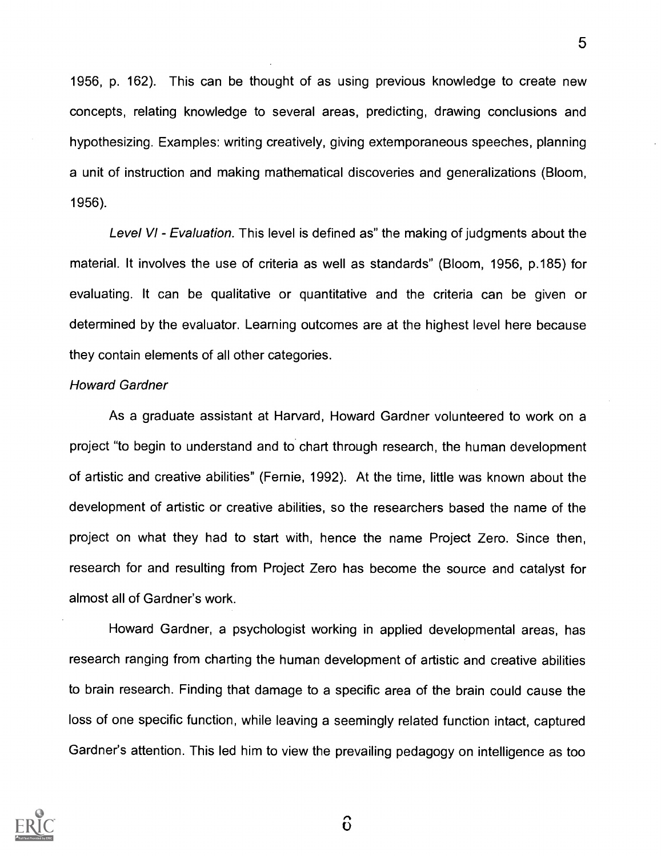1956, p. 162). This can be thought of as using previous knowledge to create new concepts, relating knowledge to several areas, predicting, drawing conclusions and hypothesizing. Examples: writing creatively, giving extemporaneous speeches, planning a unit of instruction and making mathematical discoveries and generalizations (Bloom, 1956).

Level VI - Evaluation. This level is defined as" the making of judgments about the material. It involves the use of criteria as well as standards" (Bloom, 1956, p.185) for evaluating. It can be qualitative or quantitative and the criteria can be given or determined by the evaluator. Learning outcomes are at the highest level here because they contain elements of all other categories.

#### Howard Gardner

As a graduate assistant at Harvard, Howard Gardner volunteered to work on a project "to begin to understand and to chart through research, the human development of artistic and creative abilities" (Fernie, 1992). At the time, little was known about the development of artistic or creative abilities, so the researchers based the name of the project on what they had to start with, hence the name Project Zero. Since then, research for and resulting from Project Zero has become the source and catalyst for almost all of Gardner's work.

Howard Gardner, a psychologist working in applied developmental areas, has research ranging from charting the human development of artistic and creative abilities to brain research. Finding that damage to a specific area of the brain could cause the loss of one specific function, while leaving a seemingly related function intact, captured Gardner's attention. This led him to view the prevailing pedagogy on intelligence as too



 $\hat{0}$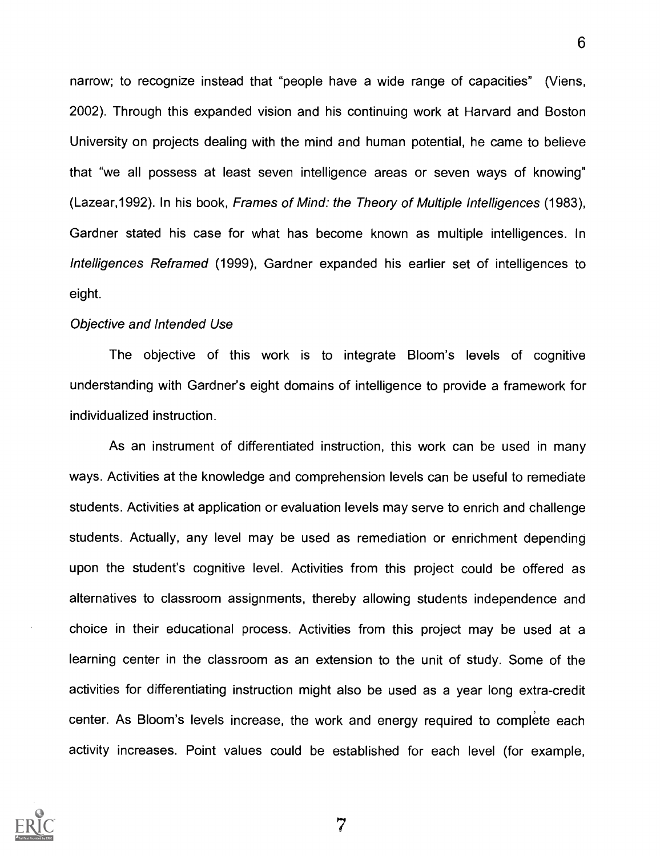narrow; to recognize instead that "people have a wide range of capacities" (Viens, 2002). Through this expanded vision and his continuing work at Harvard and Boston University on projects dealing with the mind and human potential, he came to believe that "we all possess at least seven intelligence areas or seven ways of knowing" (Lazear,1992). In his book, Frames of Mind: the Theory of Multiple Intelligences (1983), Gardner stated his case for what has become known as multiple intelligences. In Intelligences Reframed (1999), Gardner expanded his earlier set of intelligences to eight.

#### Objective and Intended Use

The objective of this work is to integrate Bloom's levels of cognitive understanding with Gardner's eight domains of intelligence to provide a framework for individualized instruction.

As an instrument of differentiated instruction, this work can be used in many ways. Activities at the knowledge and comprehension levels can be useful to remediate students. Activities at application or evaluation levels may serve to enrich and challenge students. Actually, any level may be used as remediation or enrichment depending upon the student's cognitive level. Activities from this project could be offered as alternatives to classroom assignments, thereby allowing students independence and choice in their educational process. Activities from this project may be used at a learning center in the classroom as an extension to the unit of study. Some of the activities for differentiating instruction might also be used as a year long extra-credit center. As Bloom's levels increase, the work and energy required to complete each activity increases. Point values could be established for each level (for example,

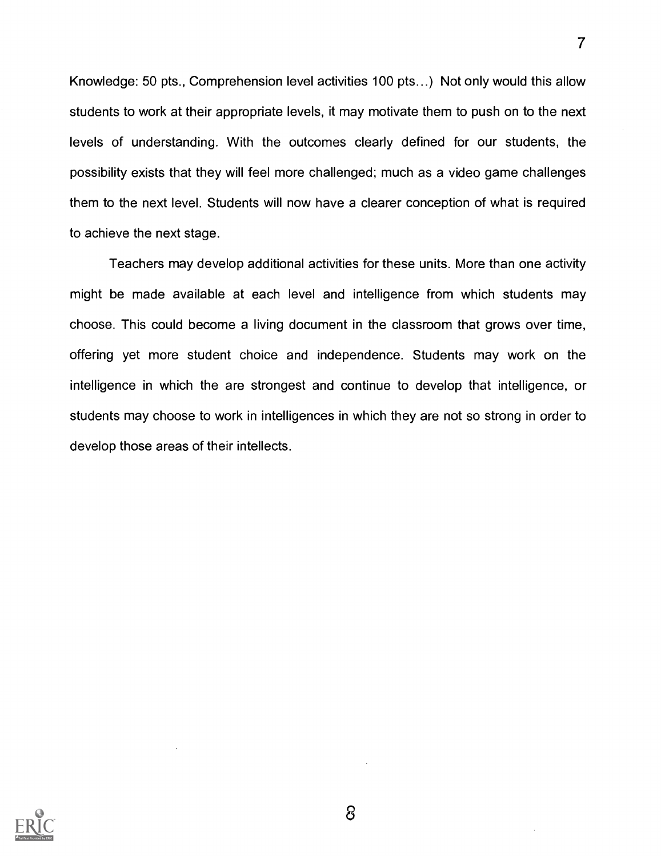Knowledge: 50 pts., Comprehension level activities 100 pts...) Not only would this allow students to work at their appropriate levels, it may motivate them to push on to the next levels of understanding. With the outcomes clearly defined for our students, the possibility exists that they will feel more challenged; much as a video game challenges them to the next level. Students will now have a clearer conception of what is required to achieve the next stage.

7

Teachers may develop additional activities for these units. More than one activity might be made available at each level and intelligence from which students may choose. This could become a living document in the classroom that grows over time, offering yet more student choice and independence. Students may work on the intelligence in which the are strongest and continue to develop that intelligence, or students may choose to work in intelligences in which they are not so strong in order to develop those areas of their intellects.

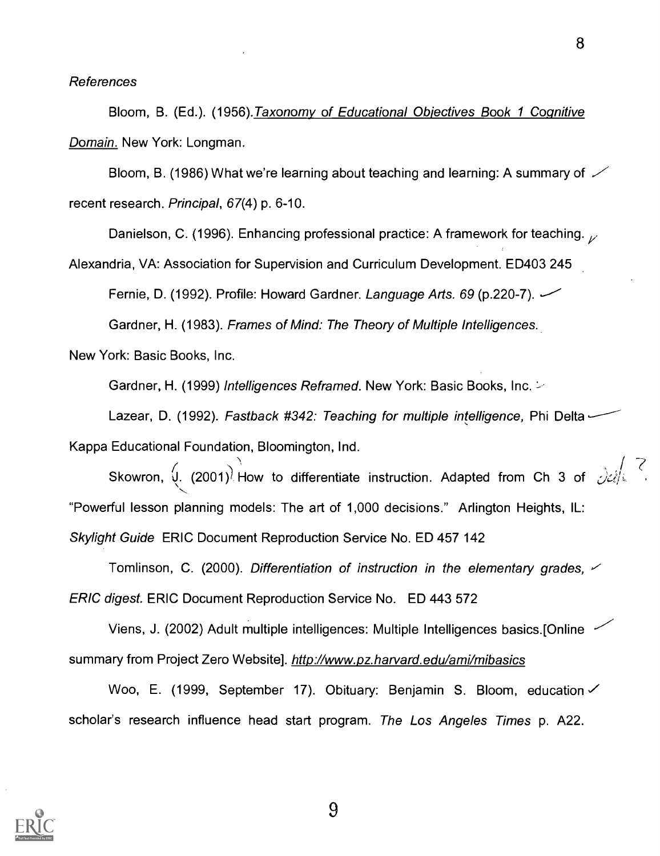#### References

Bloom, B. (Ed.). (1956). Taxonomy of Educational Objectives Book 1 Cognitive Domain. New York: Longman.

Bloom, B. (1986) What we're learning about teaching and learning: A summary of  $\swarrow$ recent research. Principal, 67(4) p. 6-10.

Danielson, C. (1996). Enhancing professional practice: A framework for teaching.  $\sqrt{ }$ 

Alexandria, VA: Association for Supervision and Curriculum Development. ED403 245

Fernie, D. (1992). Profile: Howard Gardner. Language Arts. 69 (p.220-7).

Gardner, H. (1983). Frames of Mind: The Theory of Multiple Intelligences.

New York: Basic Books, Inc.

Gardner, H. (1999) Intelligences Reframed. New York: Basic Books, Inc.

Lazear, D. (1992). Fastback #342: Teaching for multiple intelligence, Phi Delta --

Kappa Educational Foundation, Bloomington, Ind.

Skowron,  $\downarrow$  (2001)<sup>)</sup> How to differentiate instruction. Adapted from Ch 3 of  $\frac{1}{\sqrt{2}}\left(\frac{1}{2}\right)$ "Powerful lesson planning models: The art of 1,000 decisions." Arlington Heights, IL: Skylight Guide ERIC Document Reproduction Service No. ED 457 142

Tomlinson, C. (2000). Differentiation of instruction in the elementary grades,  $\checkmark$ ERIC digest. ERIC Document Reproduction Service No. ED 443 572

Viens, J. (2002) Adult multiple intelligences: Multiple Intelligences basics.[Online  $\sim$ summary from Project Zero Website]. http://www.pz.harvard.edu/ami/mibasics

Woo, E. (1999, September 17). Obituary: Benjamin S. Bloom, education scholar's research influence head start program. The Los Angeles Times p. A22.

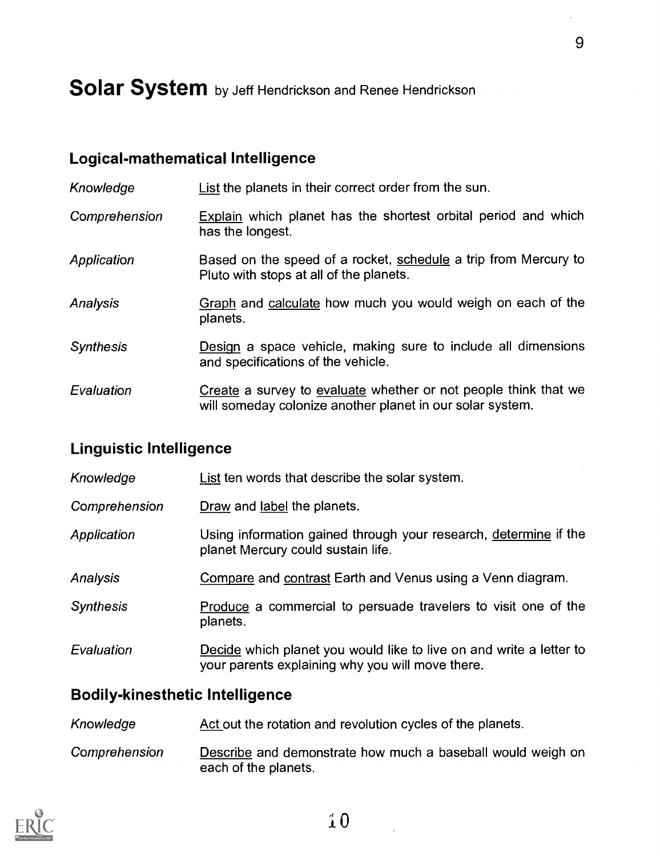# Solar System by Jeff Hendrickson and Renee Hendrickson

### Logical-mathematical Intelligence

Knowledge **List the planets in their correct order from the sun.** 

- Comprehension Explain which planet has the shortest orbital period and which has the longest.
- Application Based on the speed of a rocket, schedule a trip from Mercury to Pluto with stops at all of the planets.
- Analysis Graph and calculate how much you would weigh on each of the planets.
- Synthesis **Design** a space vehicle, making sure to include all dimensions and specifications of the vehicle.
- Evaluation Create a survey to evaluate whether or not people think that we will someday colonize another planet in our solar system.

#### Linguistic Intelligence

| Knowledge        | List ten words that describe the solar system.                                                                          |
|------------------|-------------------------------------------------------------------------------------------------------------------------|
| Comprehension    | Draw and label the planets.                                                                                             |
| Application      | Using information gained through your research, determine if the<br>planet Mercury could sustain life.                  |
| Analysis         | Compare and contrast Earth and Venus using a Venn diagram.                                                              |
| <b>Synthesis</b> | Produce a commercial to persuade travelers to visit one of the<br>planets.                                              |
| Evaluation       | Decide which planet you would like to live on and write a letter to<br>your parents explaining why you will move there. |

#### Bodily-kinesthetic Intelligence

- Knowledge **Act out the rotation and revolution cycles of the planets.**
- Comprehension Describe and demonstrate how much a baseball would weigh on each of the planets.

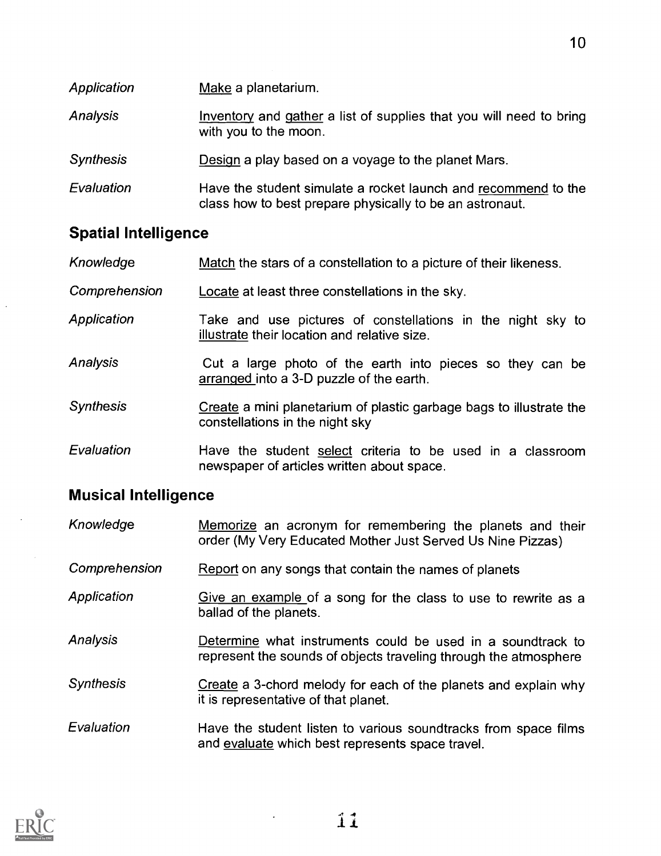| Application      | Make a planetarium.                                                                                                        |
|------------------|----------------------------------------------------------------------------------------------------------------------------|
| Analysis         | Inventory and gather a list of supplies that you will need to bring<br>with you to the moon.                               |
| <b>Synthesis</b> | Design a play based on a voyage to the planet Mars.                                                                        |
| Evaluation       | Have the student simulate a rocket launch and recommend to the<br>class how to best prepare physically to be an astronaut. |

10

# Spatial Intelligence

| Knowledge | Match the stars of a constellation to a picture of their likeness. |
|-----------|--------------------------------------------------------------------|
|-----------|--------------------------------------------------------------------|

Comprehension Locate at least three constellations in the sky.

- Application Take and use pictures of constellations in the night sky to illustrate their location and relative size.
- Analysis Cut a large photo of the earth into pieces so they can be arranged into a 3-D puzzle of the earth.
- Synthesis Create a mini planetarium of plastic garbage bags to illustrate the constellations in the night sky
- Evaluation **Have the student select criteria to be used in a classroom** newspaper of articles written about space.

# Musical Intelligence

| Knowledge        | Memorize an acronym for remembering the planets and their<br>order (My Very Educated Mother Just Served Us Nine Pizzas)         |
|------------------|---------------------------------------------------------------------------------------------------------------------------------|
| Comprehension    | Report on any songs that contain the names of planets                                                                           |
| Application      | Give an example of a song for the class to use to rewrite as a<br>ballad of the planets.                                        |
| <b>Analysis</b>  | Determine what instruments could be used in a soundtrack to<br>represent the sounds of objects traveling through the atmosphere |
| <b>Synthesis</b> | Create a 3-chord melody for each of the planets and explain why<br>it is representative of that planet.                         |
| Evaluation       | Have the student listen to various soundtracks from space films<br>and evaluate which best represents space travel.             |

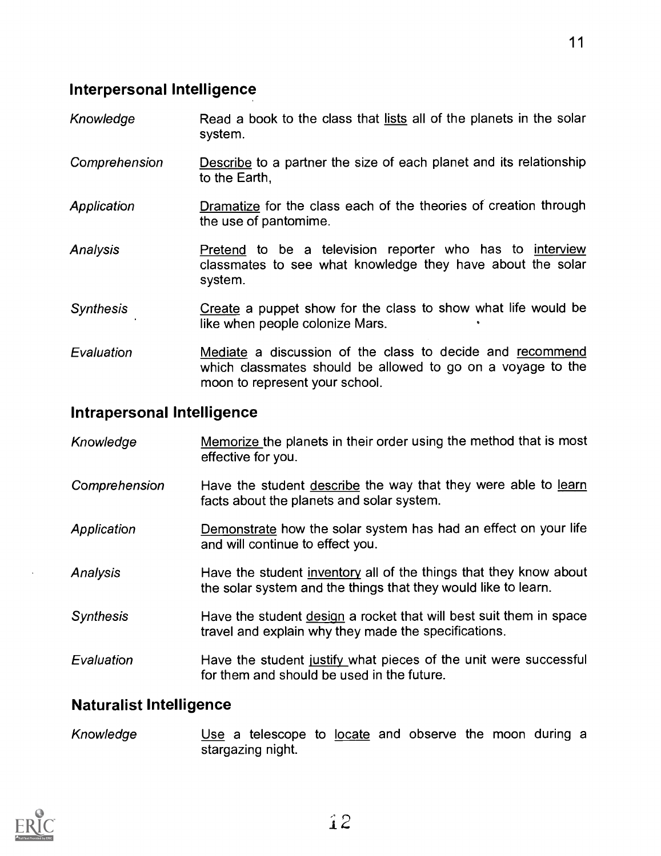- Knowledge Read a book to the class that lists all of the planets in the solar system.
- Comprehension Describe to a partner the size of each planet and its relationship to the Earth,
- **Application** Dramatize for the class each of the theories of creation through the use of pantomime.
- Analysis Pretend to be a television reporter who has to interview classmates to see what knowledge they have about the solar system.
- Synthesis Create a puppet show for the class to show what life would be like when people colonize Mars.
- Evaluation Mediate a discussion of the class to decide and recommend which classmates should be allowed to go on a voyage to the moon to represent your school.

### Intrapersonal Intelligence

Knowledge Memorize the planets in their order using the method that is most effective for you. Comprehension Have the student describe the way that they were able to learn facts about the planets and solar system. Application Demonstrate how the solar system has had an effect on your life and will continue to effect you. Analysis Have the student inventory all of the things that they know about the solar system and the things that they would like to learn. Synthesis Have the student design a rocket that will best suit them in space travel and explain why they made the specifications. Evaluation **Have the student justify what pieces of the unit were successful** for them and should be used in the future.

## Naturalist Intelligence

Knowledge Use a telescope to locate and observe the moon during a stargazing night.

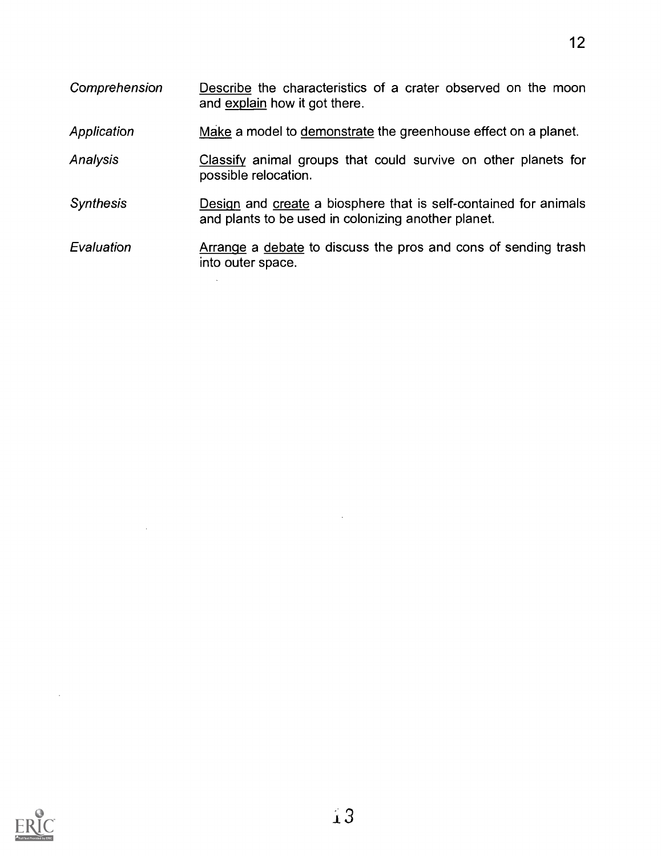Comprehension Describe the characteristics of a crater observed on the moon and explain how it got there. Application Make a model to demonstrate the greenhouse effect on a planet. Analysis Classify animal groups that could survive on other planets for possible relocation. Synthesis **Design and create a biosphere that is self-contained for animals** and plants to be used in colonizing another planet. Evaluation **Arrange a debate to discuss the pros and cons of sending trash** 

12



into outer space.

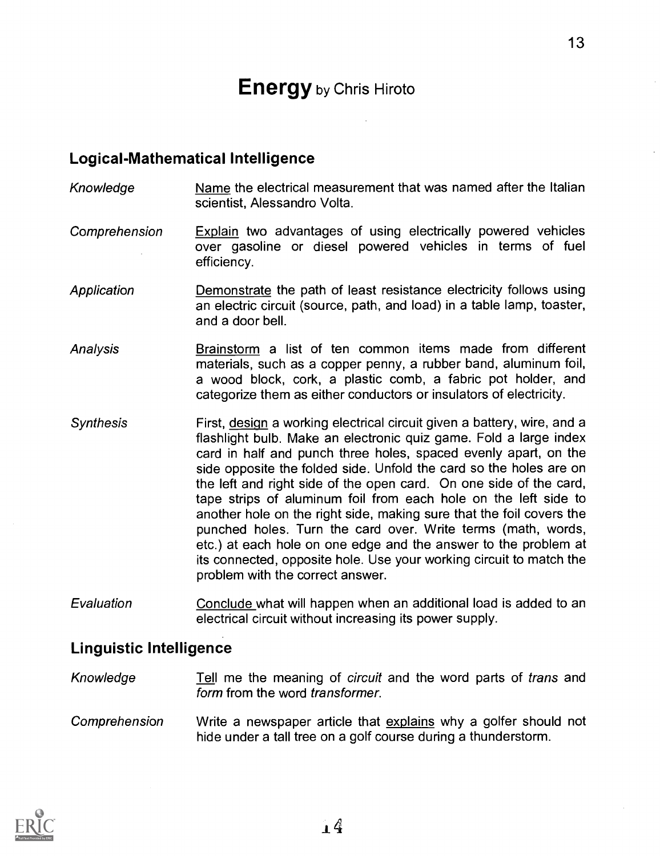# **Energy** by Chris Hiroto

13

#### Logical-Mathematical Intelligence

- Knowledge Name the electrical measurement that was named after the Italian scientist, Alessandro Volta.
- Comprehension Explain two advantages of using electrically powered vehicles over gasoline or diesel powered vehicles in terms of fuel efficiency.
- Application **Demonstrate** the path of least resistance electricity follows using an electric circuit (source, path, and load) in a table lamp, toaster, and a door bell.
- Analysis Brainstorm a list of ten common items made from different materials, such as a copper penny, a rubber band, aluminum foil, a wood block, cork, a plastic comb, a fabric pot holder, and categorize them as either conductors or insulators of electricity.
- Synthesis First, design a working electrical circuit given a battery, wire, and a flashlight bulb. Make an electronic quiz game. Fold a large index card in half and punch three holes, spaced evenly apart, on the side opposite the folded side. Unfold the card so the holes are on the left and right side of the open card. On one side of the card, tape strips of aluminum foil from each hole on the left side to another hole on the right side, making sure that the foil covers the punched holes. Turn the card over. Write terms (math, words, etc.) at each hole on one edge and the answer to the problem at its connected, opposite hole. Use your working circuit to match the problem with the correct answer.
- Evaluation Conclude what will happen when an additional load is added to an electrical circuit without increasing its power supply.

#### Linguistic Intelligence

- Knowledge Tell me the meaning of circuit and the word parts of trans and form from the word transformer.
- Comprehension Write a newspaper article that explains why a golfer should not hide under a tall tree on a golf course during a thunderstorm.

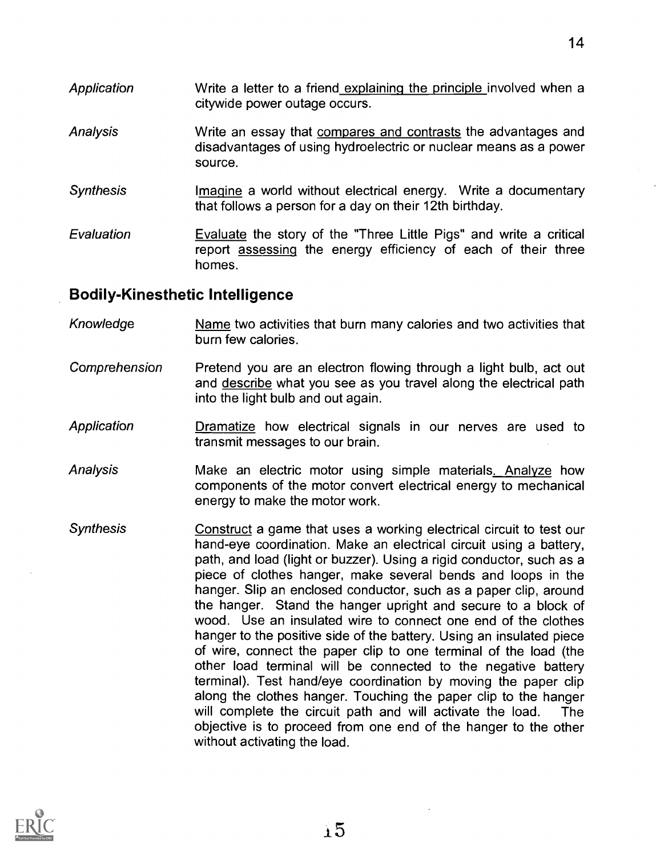- Application **Write a letter to a friend explaining the principle involved when a** citywide power outage occurs.
- Analysis **EXALC** Write an essay that compares and contrasts the advantages and disadvantages of using hydroelectric or nuclear means as a power source.
- Synthesis **Imagine a world without electrical energy.** Write a documentary that follows a person for a day on their 12th birthday.
- Evaluation **Evaluate** the story of the "Three Little Pigs" and write a critical report assessing the energy efficiency of each of their three homes.

### Bodily-Kinesthetic Intelligence

- Knowledge Mame two activities that burn many calories and two activities that burn few calories.
- Comprehension Pretend you are an electron flowing through a light bulb, act out and describe what you see as you travel along the electrical path into the light bulb and out again.
- Application **Dramatize** how electrical signals in our nerves are used to transmit messages to our brain.
- Analysis Make an electric motor using simple materials. Analyze how components of the motor convert electrical energy to mechanical energy to make the motor work.
- **Synthesis** Construct a game that uses a working electrical circuit to test our hand-eye coordination. Make an electrical circuit using a battery, path, and load (light or buzzer). Using a rigid conductor, such as a piece of clothes hanger, make several bends and loops in the hanger. Slip an enclosed conductor, such as a paper clip, around the hanger. Stand the hanger upright and secure to a block of wood. Use an insulated wire to connect one end of the clothes hanger to the positive side of the battery. Using an insulated piece of wire, connect the paper clip to one terminal of the load (the other load terminal will be connected to the negative battery terminal). Test hand/eye coordination by moving the paper clip along the clothes hanger. Touching the paper clip to the hanger will complete the circuit path and will activate the load. The objective is to proceed from one end of the hanger to the other without activating the load.

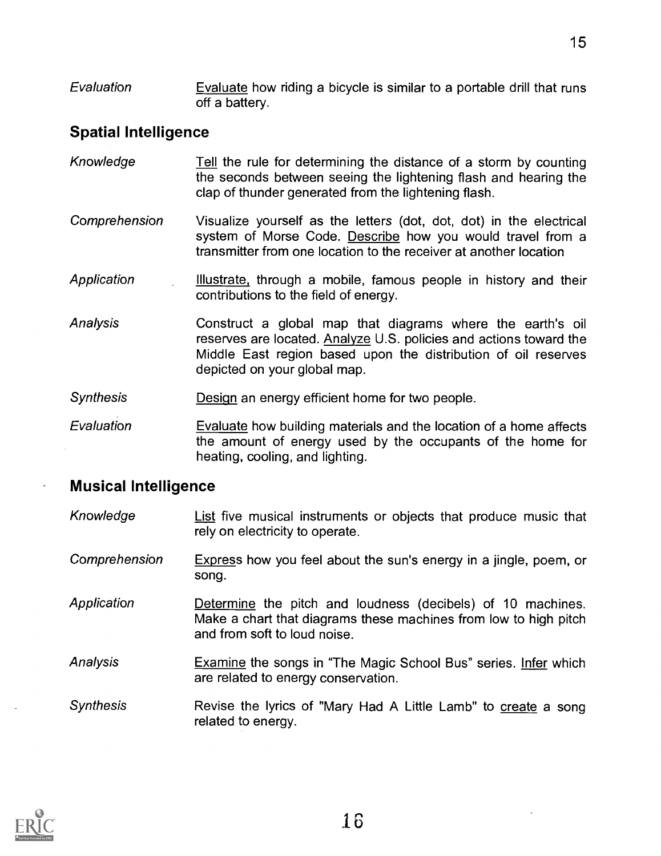Evaluation Evaluate how riding a bicycle is similar to a portable drill that runs off a battery.

# Spatial Intelligence

- Knowledge Tell the rule for determining the distance of a storm by counting the seconds between seeing the lightening flash and hearing the clap of thunder generated from the lightening flash.
- Comprehension Visualize yourself as the letters (dot, dot, dot) in the electrical system of Morse Code. Describe how you would travel from a transmitter from one location to the receiver at another location
- Application Illustrate, through a mobile, famous people in history and their contributions to the field of energy.
- Analysis Construct a global map that diagrams where the earth's oil reserves are located. Analyze U.S. policies and actions toward the Middle East region based upon the distribution of oil reserves depicted on your global map.
- Synthesis Design an energy efficient home for two people.
- Evaluation Evaluate how building materials and the location of a home affects the amount of energy used by the occupants of the home for heating, cooling, and lighting.

## Musical Intelligence

- Knowledge **List five musical instruments or objects that produce music that** rely on electricity to operate.
- Comprehension Express how you feel about the sun's energy in a jingle, poem, or song.
- Application **Determine** the pitch and loudness (decibels) of 10 machines. Make a chart that diagrams these machines from low to high pitch and from soft to loud noise.
- Analysis Examine the songs in "The Magic School Bus" series. Infer which are related to energy conservation.
- Synthesis Revise the lyrics of "Mary Had A Little Lamb" to create a song related to energy.

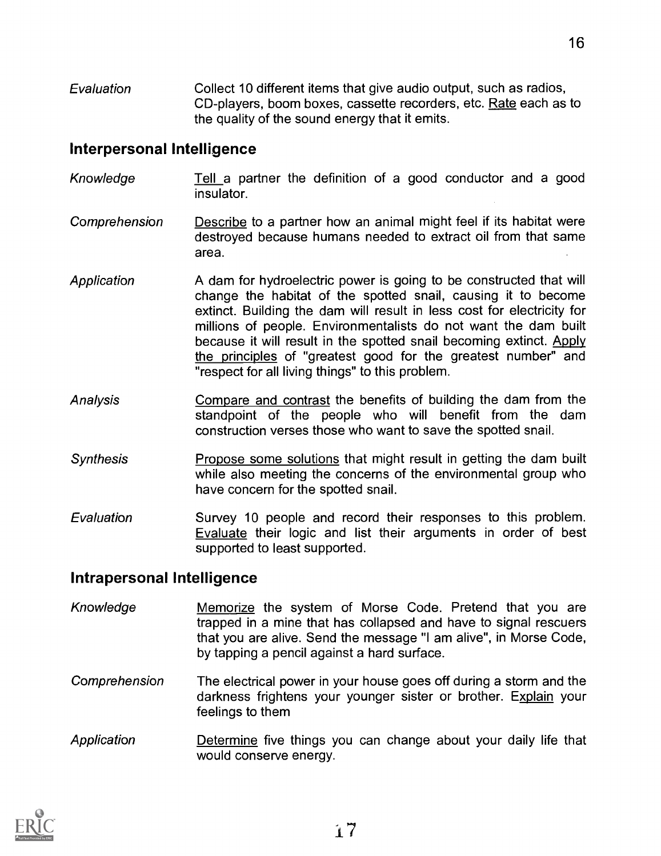**Evaluation** Collect 10 different items that give audio output, such as radios, CD-players, boom boxes, cassette recorders, etc. Rate each as to the quality of the sound energy that it emits.

#### Interpersonal Intelligence

- Knowledge Tell a partner the definition of a good conductor and a good insulator.
- Comprehension Describe to a partner how an animal might feel if its habitat were destroyed because humans needed to extract oil from that same area.
- **Application** A dam for hydroelectric power is going to be constructed that will change the habitat of the spotted snail, causing it to become extinct. Building the dam will result in less cost for electricity for millions of people. Environmentalists do not want the dam built because it will result in the spotted snail becoming extinct. Apply the principles of "greatest good for the greatest number" and "respect for all living things" to this problem.
- Analysis Compare and contrast the benefits of building the dam from the standpoint of the people who will benefit from the dam construction verses those who want to save the spotted snail.
- **Synthesis** Propose some solutions that might result in getting the dam built while also meeting the concerns of the environmental group who have concern for the spotted snail.
- Evaluation Survey 10 people and record their responses to this problem. Evaluate their logic and list their arguments in order of best supported to least supported.

#### Intrapersonal Intelligence

- Knowledge Memorize the system of Morse Code. Pretend that you are trapped in a mine that has collapsed and have to signal rescuers that you are alive. Send the message "I am alive", in Morse Code, by tapping a pencil against a hard surface.
- Comprehension The electrical power in your house goes off during a storm and the darkness frightens your younger sister or brother. Explain your feelings to them
- Application **Determine five things you can change about your daily life that** would conserve energy.

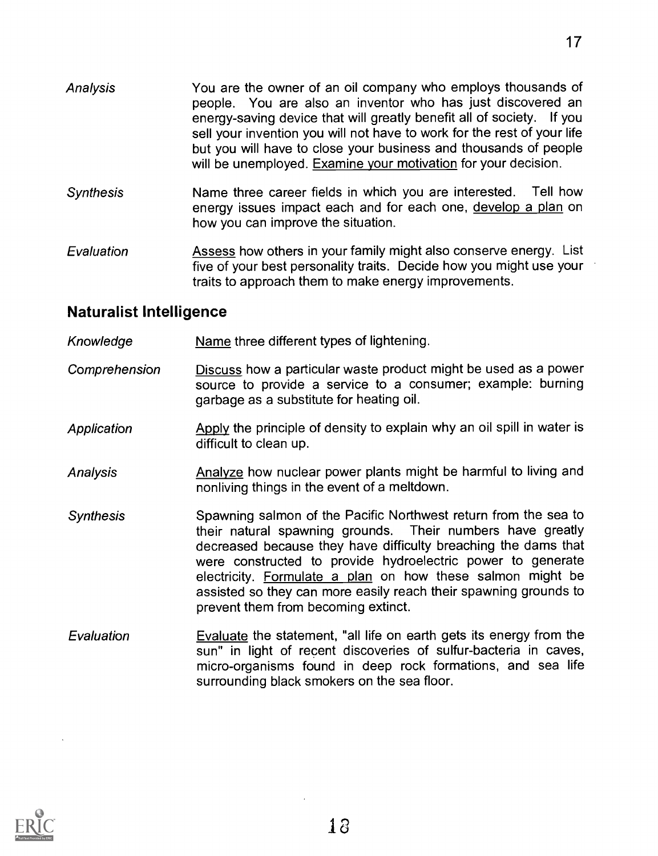- Analysis You are the owner of an oil company who employs thousands of people. You are also an inventor who has just discovered an energy-saving device that will greatly benefit all of society. If you sell your invention you will not have to work for the rest of your life but you will have to close your business and thousands of people will be unemployed. Examine your motivation for your decision.
- **Synthesis** Name three career fields in which you are interested. Tell how energy issues impact each and for each one, develop a plan on how you can improve the situation.
- Evaluation Assess how others in your family might also conserve energy. List five of your best personality traits. Decide how you might use your traits to approach them to make energy improvements.

## Naturalist Intelligence

- Knowledge Name three different types of lightening.
- Comprehension Discuss how a particular waste product might be used as a power source to provide a service to a consumer; example: burning garbage as a substitute for heating oil.
- Apply the principle of density to explain why an oil spill in water is difficult to clean up. Application
- Analysis Analyze how nuclear power plants might be harmful to living and nonliving things in the event of a meltdown.
- Synthesis Spawning salmon of the Pacific Northwest return from the sea to their natural spawning grounds. Their numbers have greatly decreased because they have difficulty breaching the dams that were constructed to provide hydroelectric power to generate electricity. Formulate a plan on how these salmon might be assisted so they can more easily reach their spawning grounds to prevent them from becoming extinct.
- **Evaluation** Evaluate the statement, "all life on earth gets its energy from the sun" in light of recent discoveries of sulfur-bacteria in caves, micro-organisms found in deep rock formations, and sea life surrounding black smokers on the sea floor.

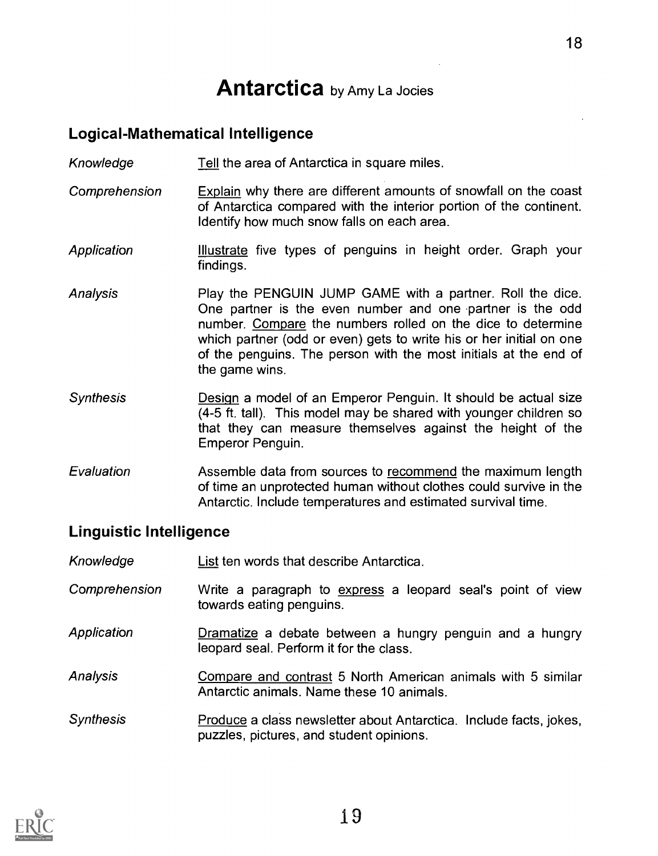# **Antarctica** by Amy La Jocies

## Logical-Mathematical Intelligence

Knowledge Tell the area of Antarctica in square miles.

- Comprehension Explain why there are different amounts of snowfall on the coast of Antarctica compared with the interior portion of the continent. Identify how much snow falls on each area.
- Application **Illustrate** five types of penguins in height order. Graph your findings.
- Analysis Play the PENGUIN JUMP GAME with a partner. Roll the dice. One partner is the even number and one partner is the odd number. Compare the numbers rolled on the dice to determine which partner (odd or even) gets to write his or her initial on one of the penguins. The person with the most initials at the end of the game wins.
- **Synthesis** Design a model of an Emperor Penguin. It should be actual size (4-5 ft. tall). This model may be shared with younger children so that they can measure themselves against the height of the Emperor Penguin.
- Evaluation Assemble data from sources to recommend the maximum length of time an unprotected human without clothes could survive in the Antarctic. Include temperatures and estimated survival time.

# Linguistic Intelligence

| Knowledge | List ten words that describe Antarctica. |  |
|-----------|------------------------------------------|--|
|-----------|------------------------------------------|--|

- Comprehension Write a paragraph to express a leopard seal's point of view towards eating penguins.
- Application Dramatize a debate between a hungry penguin and a hungry leopard seal. Perform it for the class.
- Analysis Compare and contrast 5 North American animals with 5 similar Antarctic animals. Name these 10 animals.
- Synthesis **Produce a class newsletter about Antarctica.** Include facts, jokes, puzzles, pictures, and student opinions.

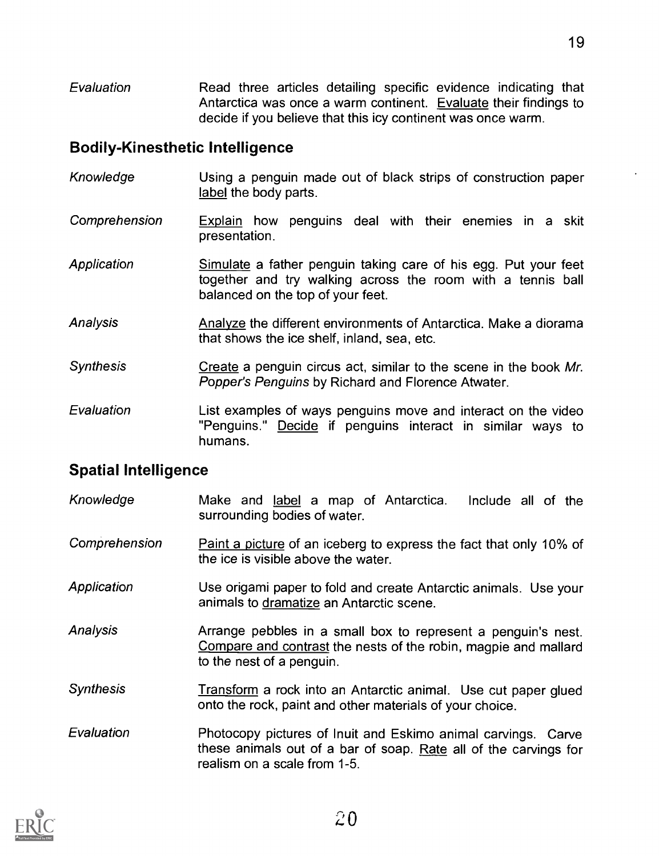**Evaluation** Read three articles detailing specific evidence indicating that Antarctica was once a warm continent. Evaluate their findings to decide if you believe that this icy continent was once warm.

### Bodily-Kinesthetic Intelligence

- Knowledge Using a penguin made out of black strips of construction paper label the body parts.
- Comprehension Explain how penguins deal with their enemies in a skit presentation.
- Application Simulate a father penguin taking care of his egg. Put your feet together and try walking across the room with a tennis ball balanced on the top of your feet.
- Analysis Analyze the different environments of Antarctica. Make a diorama that shows the ice shelf, inland, sea, etc.
- **Synthesis** Create a penguin circus act, similar to the scene in the book Mr. Popper's Penguins by Richard and Florence Atwater.
- **Evaluation** List examples of ways penguins move and interact on the video "Penguins." Decide if penguins interact in similar ways to humans.

# Spatial Intelligence

- Knowledge Make and label a map of Antarctica. Include all of the surrounding bodies of water.
- **Comprehension** Paint a picture of an iceberg to express the fact that only 10% of the ice is visible above the water.
- Application Use origami paper to fold and create Antarctic animals. Use your animals to dramatize an Antarctic scene.
- **Analysis** Arrange pebbles in a small box to represent a penguin's nest. Compare and contrast the nests of the robin, magpie and mallard to the nest of a penguin.
- Synthesis Transform a rock into an Antarctic animal. Use cut paper glued onto the rock, paint and other materials of your choice.
- Evaluation Photocopy pictures of Inuit and Eskimo animal carvings. Carve these animals out of a bar of soap. Rate all of the carvings for realism on a scale from 1-5.

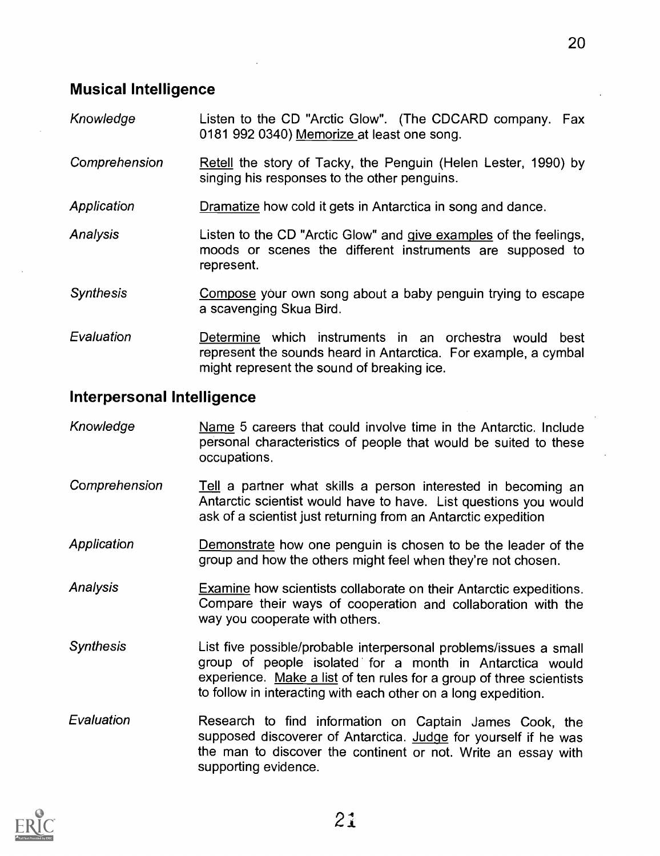- Knowledge Listen to the CD "Arctic Glow". (The CDCARD company. Fax 0181 992 0340) Memorize at least one song.
- Comprehension Retell the story of Tacky, the Penguin (Helen Lester, 1990) by singing his responses to the other penguins.
- **Application** Dramatize how cold it gets in Antarctica in song and dance.
- Analysis Listen to the CD "Arctic Glow" and give examples of the feelings, moods or scenes the different instruments are supposed to represent.
- Synthesis Compose your own song about a baby penguin trying to escape a scavenging Skua Bird.
- Evaluation Determine which instruments in an orchestra would best represent the sounds heard in Antarctica. For example, a cymbal might represent the sound of breaking ice.

#### Interpersonal Intelligence

- Knowledge Name 5 careers that could involve time in the Antarctic. Include personal characteristics of people that would be suited to these occupations.
- Comprehension Tell a partner what skills a person interested in becoming an Antarctic scientist would have to have. List questions you would ask of a scientist just returning from an Antarctic expedition
- Application Demonstrate how one penguin is chosen to be the leader of the group and how the others might feel when they're not chosen.
- Examine how scientists collaborate on their Antarctic expeditions. Compare their ways of cooperation and collaboration with the way you cooperate with others. Analysis
- Synthesis List five possible/probable interpersonal problems/issues a small group of people isolated for a month in Antarctica would experience. Make a list of ten rules for a group of three scientists to follow in interacting with each other on a long expedition.
- Evaluation Research to find information on Captain James Cook, the supposed discoverer of Antarctica. Judge for yourself if he was the man to discover the continent or not. Write an essay with supporting evidence.

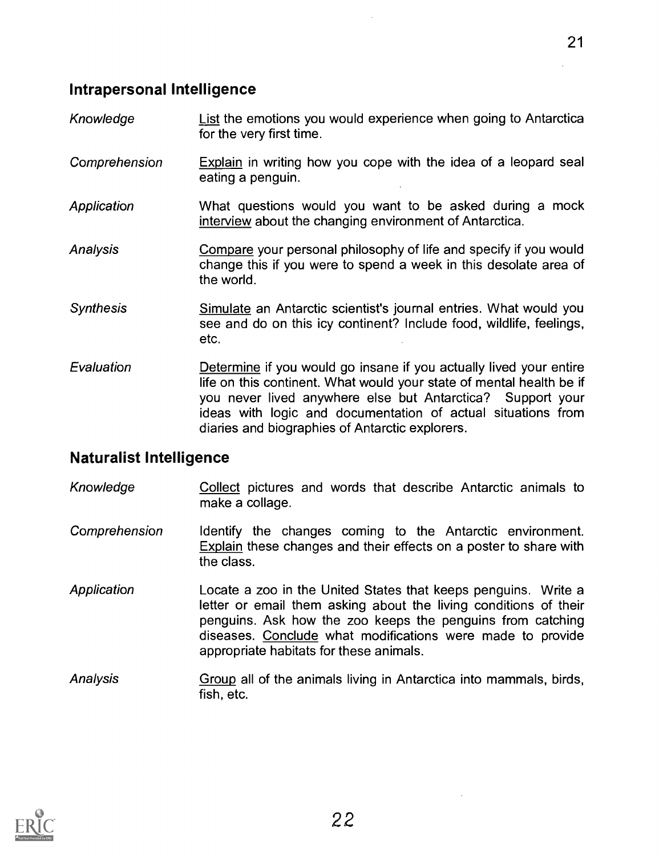## Intrapersonal Intelligence

- Knowledge List the emotions you would experience when going to Antarctica for the very first time.
- Comprehension Explain in writing how you cope with the idea of a leopard seal eating a penguin.
- Application What questions would you want to be asked during a mock interview about the changing environment of Antarctica.
- Analysis Compare your personal philosophy of life and specify if you would change this if you were to spend a week in this desolate area of the world.
- Synthesis Simulate an Antarctic scientist's journal entries. What would you see and do on this icy continent? Include food, wildlife, feelings, etc.
- Evaluation Determine if you would go insane if you actually lived your entire life on this continent. What would your state of mental health be if you never lived anywhere else but Antarctica? Support your ideas with logic and documentation of actual situations from diaries and biographies of Antarctic explorers.

#### Naturalist Intelligence

- Knowledge Collect pictures and words that describe Antarctic animals to make a collage.
- Comprehension Identify the changes coming to the Antarctic environment. Explain these changes and their effects on a poster to share with the class.
- Application Locate a zoo in the United States that keeps penguins. Write a letter or email them asking about the living conditions of their penguins. Ask how the zoo keeps the penguins from catching diseases. Conclude what modifications were made to provide appropriate habitats for these animals.
- Analysis Group all of the animals living in Antarctica into mammals, birds, fish, etc.

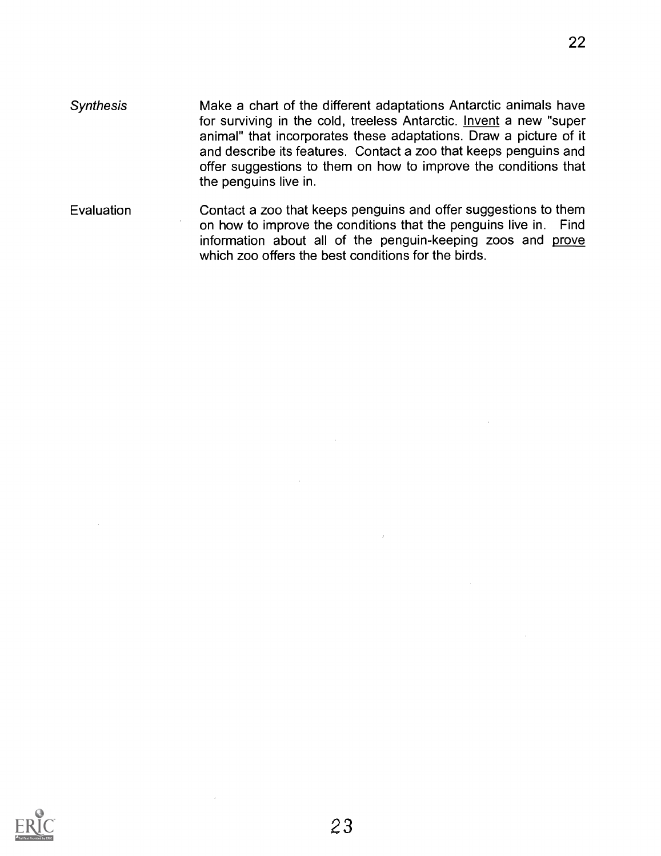Evaluation Contact a zoo that keeps penguins and offer suggestions to them on how to improve the conditions that the penguins live in. Find information about all of the penguin-keeping zoos and prove which zoo offers the best conditions for the birds.

the penguins live in.

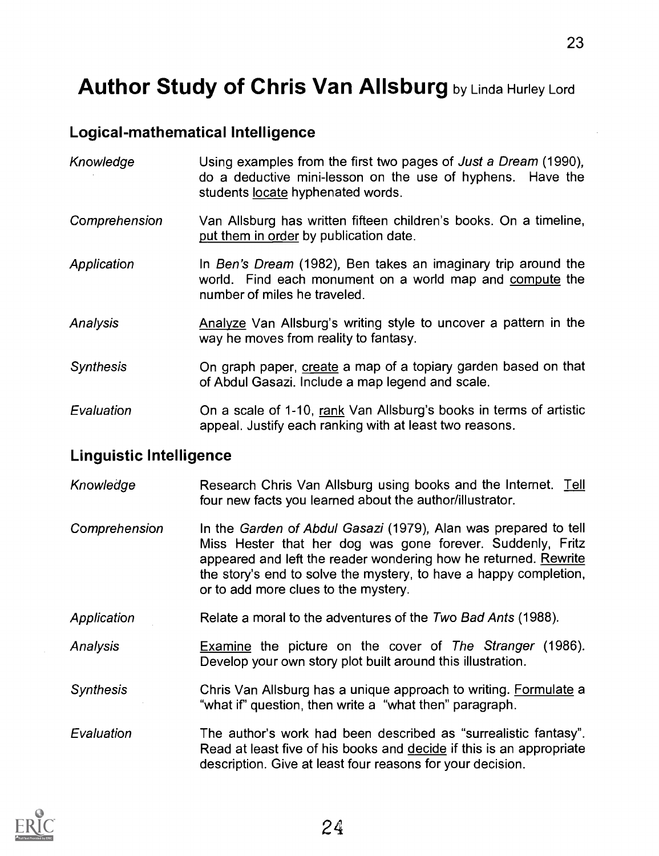# Author Study of Chris Van Allsburg by Linda Hurley Lord

## Logical-mathematical Intelligence

| Knowledge        | Using examples from the first two pages of Just a Dream (1990),<br>do a deductive mini-lesson on the use of hyphens. Have the<br>students locate hyphenated words. |
|------------------|--------------------------------------------------------------------------------------------------------------------------------------------------------------------|
| Comprehension    | Van Allsburg has written fifteen children's books. On a timeline,<br>put them in order by publication date.                                                        |
| Application      | In Ben's Dream (1982), Ben takes an imaginary trip around the<br>world. Find each monument on a world map and compute the<br>number of miles he traveled.          |
| Analysis         | Analyze Van Allsburg's writing style to uncover a pattern in the<br>way he moves from reality to fantasy.                                                          |
| <b>Synthesis</b> | On graph paper, create a map of a topiary garden based on that<br>of Abdul Gasazi. Include a map legend and scale.                                                 |
| Evaluation       | On a scale of 1-10, rank Van Allsburg's books in terms of artistic<br>appeal. Justify each ranking with at least two reasons.                                      |

#### Linguistic Intelligence

- Knowledge Research Chris Van Allsburg using books and the Internet. Tell four new facts you learned about the author/illustrator.
- Comprehension In the Garden of Abdul Gasazi (1979), Alan was prepared to tell Miss Hester that her dog was gone forever. Suddenly, Fritz appeared and left the reader wondering how he returned. Rewrite the story's end to solve the mystery, to have a happy completion, or to add more clues to the mystery.
- Application Relate a moral to the adventures of the Two Bad Ants (1988).

Analysis Examine the picture on the cover of The Stranger (1986). Develop your own story plot built around this illustration.

Synthesis Chris Van Allsburg has a unique approach to writing. Formulate a "what if" question, then write a "what then" paragraph.

Evaluation The author's work had been described as "surrealistic fantasy". Read at least five of his books and decide if this is an appropriate description. Give at least four reasons for your decision.

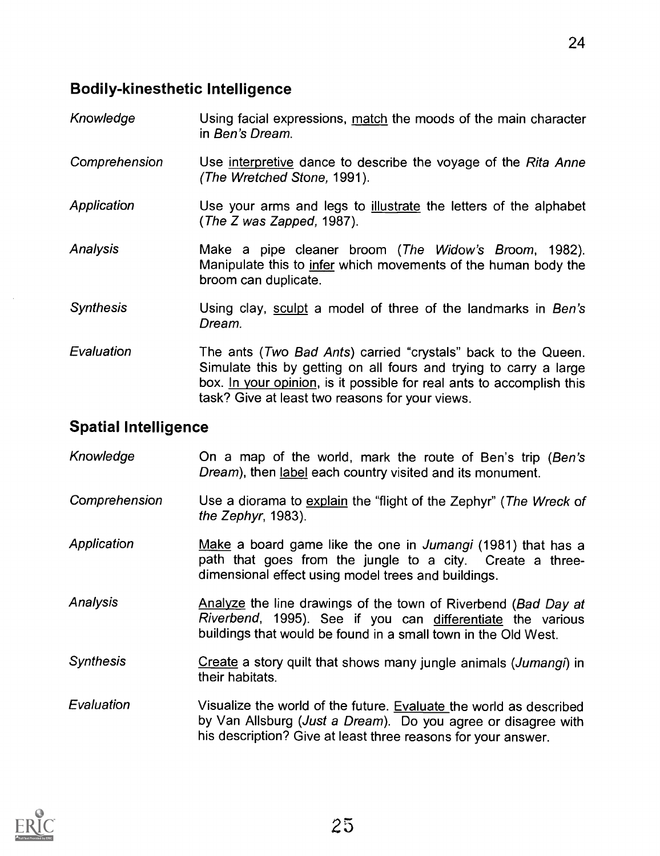- Knowledge Using facial expressions, match the moods of the main character in Ben's Dream.
- Comprehension Use interpretive dance to describe the voyage of the Rita Anne (The Wretched Stone, 1991).
- Application Use your arms and legs to illustrate the letters of the alphabet (The Z was Zapped, 1987).
- Analysis Make a pipe cleaner broom (The Widow's Broom, 1982). Manipulate this to infer which movements of the human body the broom can duplicate.
- **Synthesis** Using clay, sculpt a model of three of the landmarks in Ben's Dream.
- Evaluation The ants (Two Bad Ants) carried "crystals" back to the Queen. Simulate this by getting on all fours and trying to carry a large box. In your opinion, is it possible for real ants to accomplish this task? Give at least two reasons for your views.

# Spatial Intelligence

Knowledge On a map of the world, mark the route of Ben's trip (Ben's Dream), then label each country visited and its monument. Comprehension Use a diorama to explain the "flight of the Zephyr" (The Wreck of the Zephyr, 1983). Application Make a board game like the one in Jumangi (1981) that has a path that goes from the jungle to a city. Create a threedimensional effect using model trees and buildings. Analysis **Analyze the line drawings of the town of Riverbend (Bad Day at** Riverbend, 1995). See if you can differentiate the various buildings that would be found in a small town in the Old West. Synthesis Create a story quilt that shows many jungle animals (Jumangi) in their habitats. Evaluation Visualize the world of the future. Evaluate the world as described by Van Allsburg (Just a Dream). Do you agree or disagree with his description? Give at least three reasons for your answer.

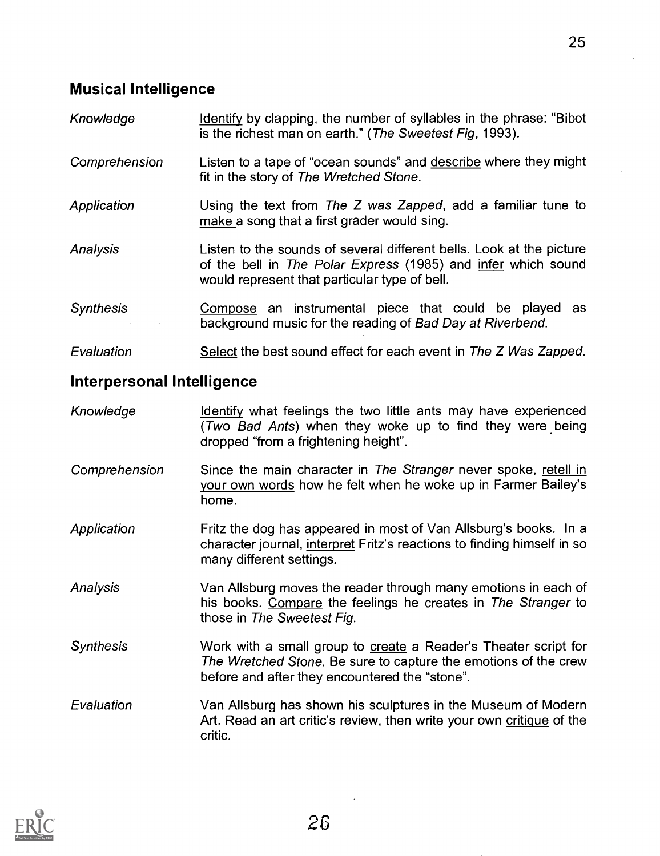- Knowledge Identify by clapping, the number of syllables in the phrase: "Bibot" is the richest man on earth." (The Sweetest Fig, 1993).
- Comprehension Listen to a tape of "ocean sounds" and describe where they might fit in the story of The Wretched Stone.
- Application **Using the text from The Z was Zapped, add a familiar tune to** make a song that a first grader would sing.
- Analysis Listen to the sounds of several different bells. Look at the picture of the bell in The Polar Express (1985) and infer which sound would represent that particular type of bell.
- Synthesis **Compose** an instrumental piece that could be played as background music for the reading of Bad Day at Riverbend.

Evaluation Select the best sound effect for each event in The Z Was Zapped.

## Interpersonal Intelligence

- Knowledge **Identify** what feelings the two little ants may have experienced (Two Bad Ants) when they woke up to find they were being dropped "from a frightening height".
- Comprehension Since the main character in The Stranger never spoke, retell in your own words how he felt when he woke up in Farmer Bailey's home.
- Application **Fritz the dog has appeared in most of Van Allsburg's books.** In a character journal, interpret Fritz's reactions to finding himself in so many different settings.
- Analysis Van Allsburg moves the reader through many emotions in each of his books. Compare the feelings he creates in The Stranger to those in The Sweetest Fig.
- Synthesis Work with a small group to create a Reader's Theater script for The Wretched Stone. Be sure to capture the emotions of the crew before and after they encountered the "stone".
- Evaluation Van Allsburg has shown his sculptures in the Museum of Modern Art. Read an art critic's review, then write your own critique of the critic.

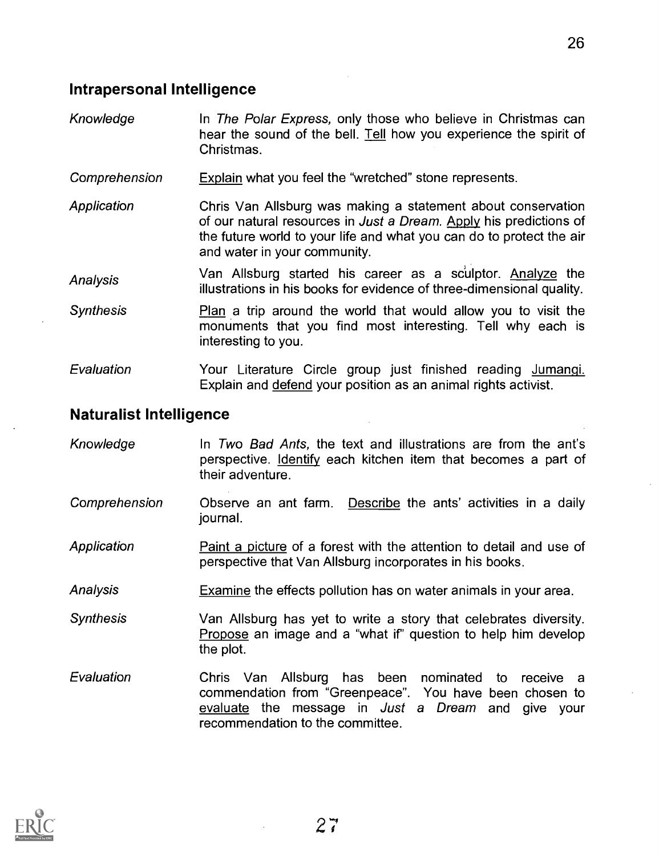#### Intrapersonal Intelligence

- Knowledge In The Polar Express, only those who believe in Christmas can hear the sound of the bell. Tell how you experience the spirit of Christmas.
- Comprehension Explain what you feel the "wretched" stone represents.
- Application Chris Van Allsburg was making a statement about conservation of our natural resources in Just a Dream. Apply his predictions of the future world to your life and what you can do to protect the air and water in your community.
- Analysis Van Allsburg started his career as a sculptor. Analyze the illustrations in his books for evidence of three-dimensional quality.
- Synthesis **Plan a trip around the world that would allow** you to visit the monuments that you find most interesting. Tell why each is interesting to you.
- Evaluation Your Literature Circle group just finished reading Jumangi. Explain and defend your position as an animal rights activist.

#### Naturalist Intelligence

Knowledge In Two Bad Ants, the text and illustrations are from the ant's perspective. Identify each kitchen item that becomes a part of their adventure. Comprehension Observe an ant farm. Describe the ants' activities in a daily journal. Application **Paint a picture of a forest with the attention to detail and use of** perspective that Van Allsburg incorporates in his books. Analysis Examine the effects pollution has on water animals in your area. Synthesis Van Allsburg has yet to write a story that celebrates diversity. Propose an image and a "what if" question to help him develop the plot. Evaluation Chris Van Allsburg has been nominated to receive a commendation from "Greenpeace". You have been chosen to evaluate the message in Just a Dream and give your recommendation to the committee.

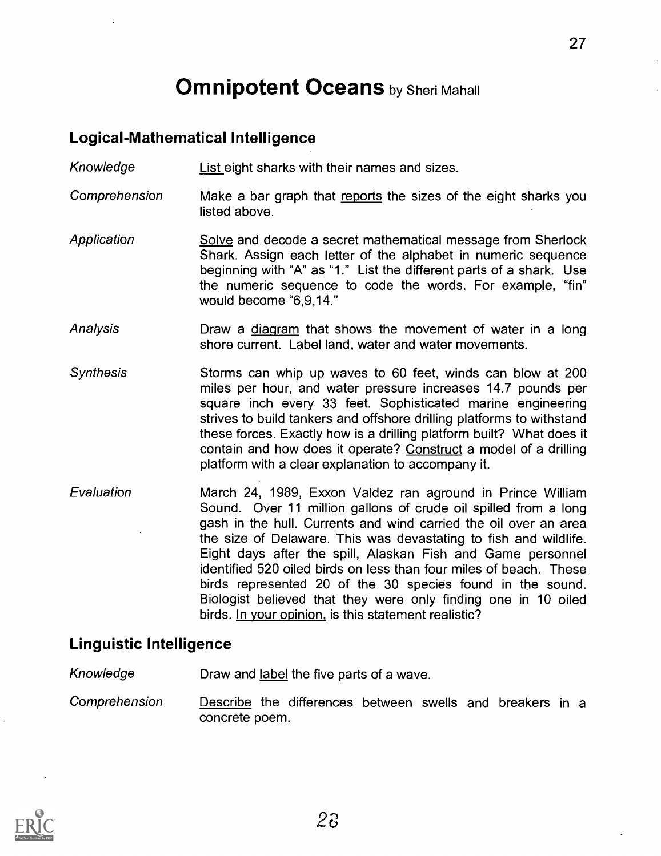# **Omnipotent Oceans** by Sheri Mahall

## Logical-Mathematical Intelligence

Knowledge List eight sharks with their names and sizes.

- Comprehension Make a bar graph that reports the sizes of the eight sharks you listed above.
- **Application** Solve and decode a secret mathematical message from Sherlock Shark. Assign each letter of the alphabet in numeric sequence beginning with "A" as "1." List the different parts of a shark. Use the numeric sequence to code the words. For example, "fin" would become "6,9,14."
- Analysis Draw a diagram that shows the movement of water in a long shore current. Label land, water and water movements.
- Synthesis Storms can whip up waves to 60 feet, winds can blow at 200 miles per hour, and water pressure increases 14.7 pounds per square inch every 33 feet. Sophisticated marine engineering strives to build tankers and offshore drilling platforms to withstand these forces. Exactly how is a drilling platform built? What does it contain and how does it operate? Construct a model of a drilling platform with a clear explanation to accompany it.
- Evaluation March 24, 1989, Exxon Valdez ran aground in Prince William Sound. Over 11 million gallons of crude oil spilled from a long gash in the hull. Currents and wind carried the oil over an area the size of Delaware. This was devastating to fish and wildlife. Eight days after the spill, Alaskan Fish and Game personnel identified 520 oiled birds on less than four miles of beach. These birds represented 20 of the 30 species found in the sound. Biologist believed that they were only finding one in 10 oiled birds. In your opinion, is this statement realistic?

#### Linguistic Intelligence

- Knowledge **Draw and label the five parts of a wave.**
- Comprehension Describe the differences between swells and breakers in a concrete poem.

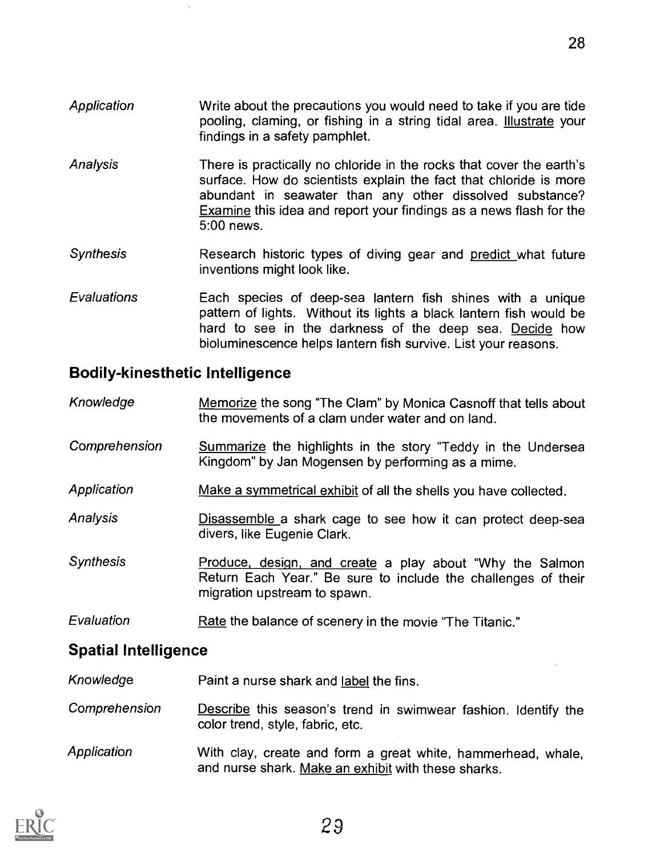- Application Write about the precautions you would need to take if you are tide pooling, claming, or fishing in a string tidal area. **Illustrate** your findings in a safety pamphlet.
- Analysis There is practically no chloride in the rocks that cover the earth's surface. How do scientists explain the fact that chloride is more abundant in seawater than any other dissolved substance? Examine this idea and report your findings as a news flash for the 5:00 news.
- Synthesis Research historic types of diving gear and predict what future inventions might look like.
- Evaluations Each species of deep-sea lantern fish shines with a unique pattern of lights. Without its lights a black lantern fish would be hard to see in the darkness of the deep sea. Decide how bioluminescence helps lantern fish survive. List your reasons.

# Bodily-kinesthetic Intelligence

- Knowledge Memorize the song "The Clam" by Monica Casnoff that tells about the movements of a clam under water and on land.
- Comprehension Summarize the highlights in the story "Teddy in the Undersea Kingdom" by Jan Mogensen by performing as a mime.
- Application Make a symmetrical exhibit of all the shells you have collected.
- Analysis **Disassemble a shark cage to see how it can protect deep-sea** divers, like Eugenie Clark.
- Synthesis **Produce, design, and create a play about** "Why the Salmon Return Each Year." Be sure to include the challenges of their migration upstream to spawn.
- Evaluation Rate the balance of scenery in the movie "The Titanic."

# Spatial Intelligence

- Knowledge Paint a nurse shark and label the fins.
- Comprehension Describe this season's trend in swimwear fashion. Identify the color trend, style, fabric, etc.
- Application With clay, create and form a great white, hammerhead, whale, and nurse shark. Make an exhibit with these sharks.

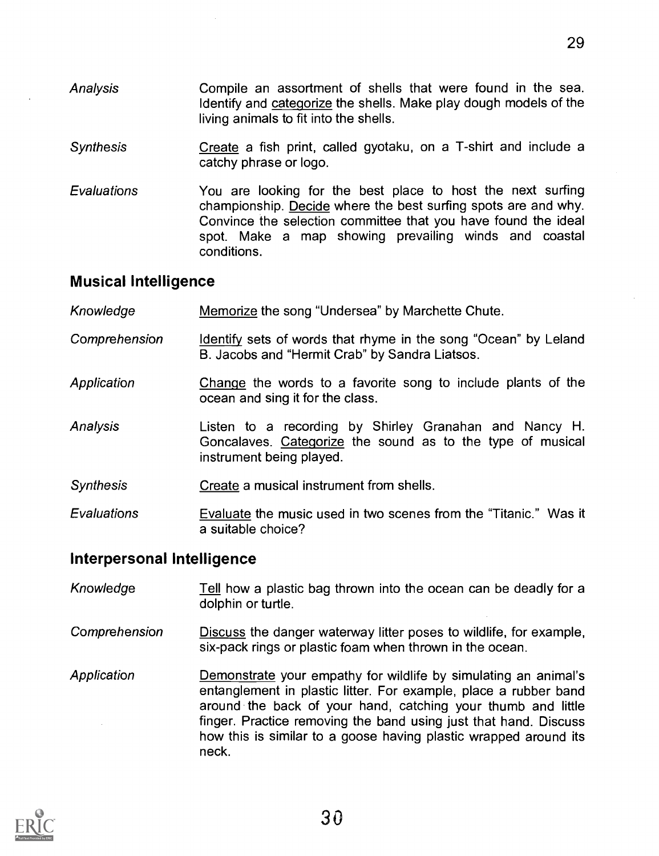- Analysis Compile an assortment of shells that were found in the sea. Identify and categorize the shells. Make play dough models of the living animals to fit into the shells.
- **Synthesis** Create a fish print, called gyotaku, on a T-shirt and include a catchy phrase or logo.
- **Evaluations** You are looking for the best place to host the next surfing championship. Decide where the best surfing spots are and why. Convince the selection committee that you have found the ideal spot. Make a map showing prevailing winds and coastal conditions.

### Musical Intelligence

- Knowledge Memorize the song "Undersea" by Marchette Chute.
- Comprehension Identify sets of words that rhyme in the song "Ocean" by Leland B. Jacobs and "Hermit Crab" by Sandra Liatsos.
- **Application** Change the words to a favorite song to include plants of the ocean and sing it for the class.
- Analysis Listen to a recording by Shirley Granahan and Nancy H. Goncalaves. Categorize the sound as to the type of musical instrument being played.
- Synthesis Create a musical instrument from shells.
- Evaluations Evaluate the music used in two scenes from the "Titanic." Was it a suitable choice?

#### Interpersonal Intelligence

- Knowledge Tell how a plastic bag thrown into the ocean can be deadly for a dolphin or turtle.
- Comprehension Discuss the danger waterway litter poses to wildlife, for example, six-pack rings or plastic foam when thrown in the ocean.
- Application **Demonstrate your empathy for wildlife by simulating an animal's** entanglement in plastic litter. For example, place a rubber band around the back of your hand, catching your thumb and little finger. Practice removing the band using just that hand. Discuss how this is similar to a goose having plastic wrapped around its neck.

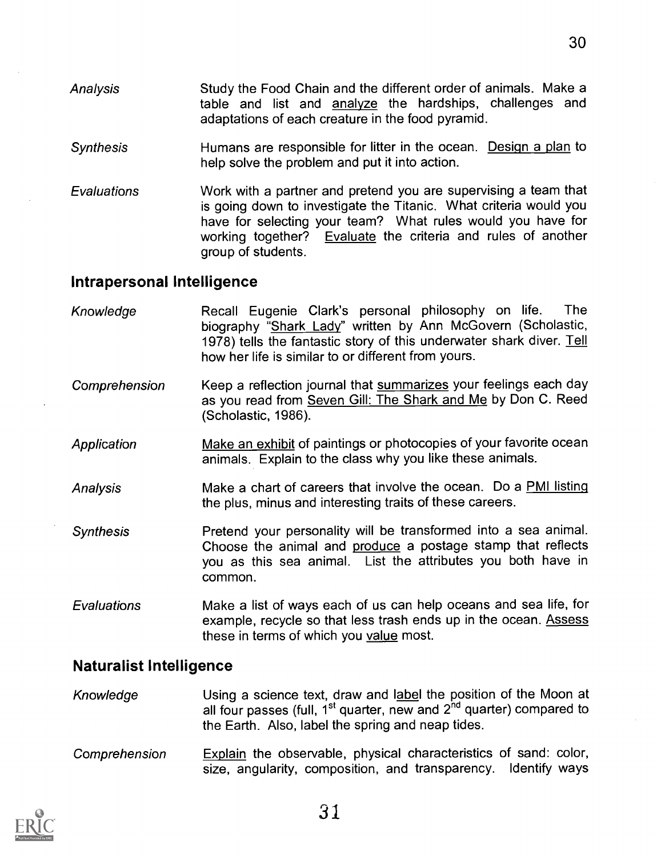- Analysis Study the Food Chain and the different order of animals. Make a table and list and analyze the hardships, challenges and adaptations of each creature in the food pyramid.
- Synthesis Humans are responsible for litter in the ocean. Design a plan to help solve the problem and put it into action.
- Evaluations Work with a partner and pretend you are supervising a team that is going down to investigate the Titanic. What criteria would you have for selecting your team? What rules would you have for working together? Evaluate the criteria and rules of another group of students.

### Intrapersonal Intelligence

| Knowledge        | Recall Eugenie Clark's personal philosophy on life.<br>The<br>biography "Shark Lady" written by Ann McGovern (Scholastic,<br>1978) tells the fantastic story of this underwater shark diver. Tell<br>how her life is similar to or different from yours. |
|------------------|----------------------------------------------------------------------------------------------------------------------------------------------------------------------------------------------------------------------------------------------------------|
| Comprehension    | Keep a reflection journal that summarizes your feelings each day<br>as you read from Seven Gill: The Shark and Me by Don C. Reed<br>(Scholastic, 1986).                                                                                                  |
| Application      | Make an exhibit of paintings or photocopies of your favorite ocean<br>animals. Explain to the class why you like these animals.                                                                                                                          |
| Analysis         | Make a chart of careers that involve the ocean. Do a PMI listing<br>the plus, minus and interesting traits of these careers.                                                                                                                             |
| <b>Synthesis</b> | Pretend your personality will be transformed into a sea animal.<br>Choose the animal and produce a postage stamp that reflects<br>you as this sea animal. List the attributes you both have in<br>common.                                                |
| Evaluations      | Make a list of ways each of us can help oceans and sea life, for<br>example, recycle so that less trash ends up in the ocean. Assess<br>these in terms of which you value most.                                                                          |

## Naturalist Intelligence

Knowledge **Using a science text, draw and label the position of the Moon at** all four passes (full,  $1^{st}$  quarter, new and  $2^{nd}$  quarter) compared to the Earth. Also, label the spring and neap tides.

Comprehension Explain the observable, physical characteristics of sand: color, size, angularity, composition, and transparency. Identify ways

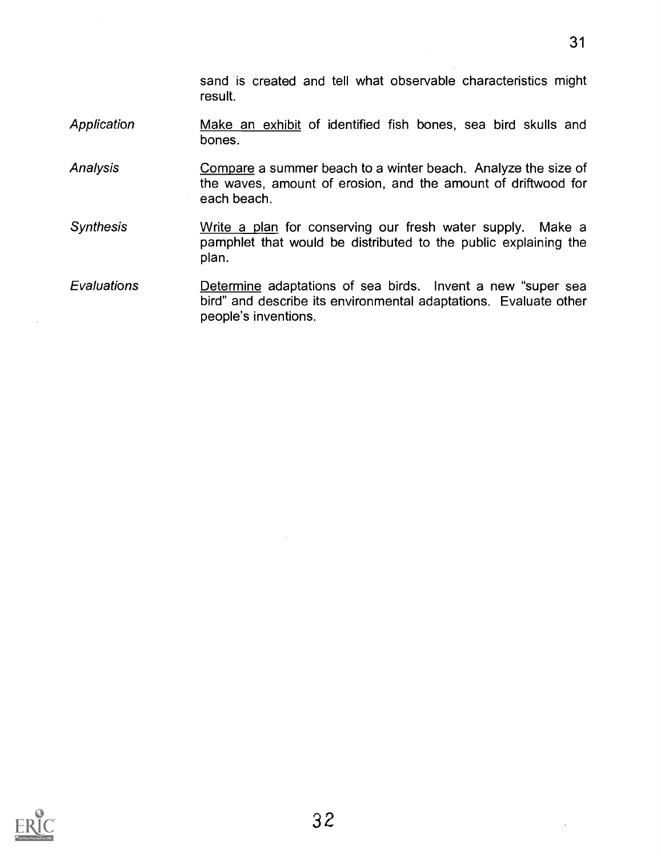sand is created and tell what observable characteristics might result.

- **Application** Make an exhibit of identified fish bones, sea bird skulls and bones.
- Analysis Compare a summer beach to a winter beach. Analyze the size of the waves, amount of erosion, and the amount of driftwood for each beach.
- **Synthesis** Write a plan for conserving our fresh water supply. Make a pamphlet that would be distributed to the public explaining the plan.
- **Evaluations** Determine adaptations of sea birds. Invent a new "super sea bird" and describe its environmental adaptations. Evaluate other people's inventions.

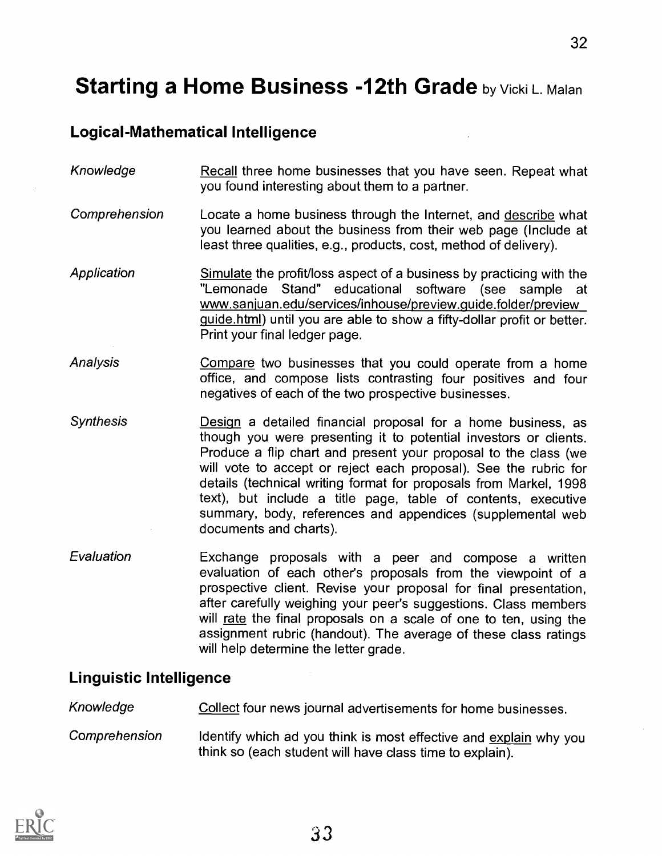# **Starting a Home Business -12th Grade by Vicki L. Malan**

# Logical-Mathematical Intelligence

- Knowledge Recall three home businesses that you have seen. Repeat what you found interesting about them to a partner.
- Comprehension Locate a home business through the Internet, and describe what you learned about the business from their web page (Include at least three qualities, e.g., products, cost, method of delivery).
- Application Simulate the profit/loss aspect of a business by practicing with the "Lemonade Stand" educational software (see sample at www.sanjuan.edu/services/inhouse/preview.guide.folder/preview guide.html) until you are able to show a fifty-dollar profit or better. Print your final ledger page.
- **Analysis** Compare two businesses that you could operate from a home office, and compose lists contrasting four positives and four negatives of each of the two prospective businesses.
- Synthesis Design a detailed financial proposal for a home business, as though you were presenting it to potential investors or clients. Produce a flip chart and present your proposal to the class (we will vote to accept or reject each proposal). See the rubric for details (technical writing format for proposals from Markel, 1998 text), but include a title page, table of contents, executive summary, body, references and appendices (supplemental web documents and charts).
- Evaluation Exchange proposals with a peer and compose a written evaluation of each other's proposals from the viewpoint of a prospective client. Revise your proposal for final presentation, after carefully weighing your peer's suggestions. Class members will rate the final proposals on a scale of one to ten, using the assignment rubric (handout). The average of these class ratings will help determine the letter grade.

#### Linguistic Intelligence

Knowledge **Collect four news journal advertisements for home businesses.** 

Comprehension Identify which ad you think is most effective and explain why you think so (each student will have class time to explain).

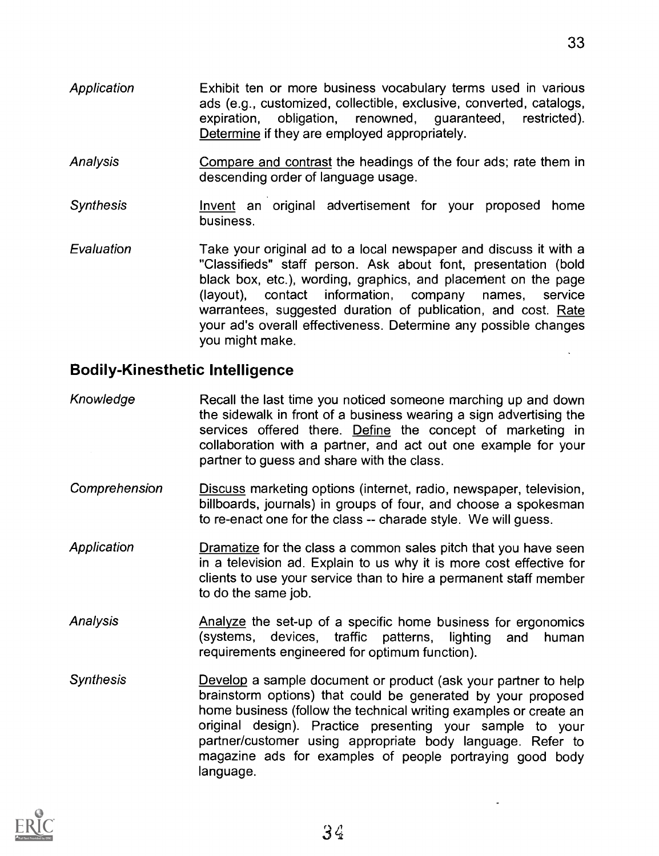- Application Exhibit ten or more business vocabulary terms used in various ads (e.g., customized, collectible, exclusive, converted, catalogs, expiration, obligation, renowned, guaranteed, restricted). Determine if they are employed appropriately.
- Analysis Compare and contrast the headings of the four ads; rate them in descending order of language usage.
- Synthesis Invent an original advertisement for your proposed home business.
- **Evaluation** Take your original ad to a local newspaper and discuss it with a "Classifieds" staff person. Ask about font, presentation (bold black box, etc.), wording, graphics, and placement on the page (layout), contact information, company names, service warrantees, suggested duration of publication, and cost. Rate your ad's overall effectiveness. Determine any possible changes you might make.

# Bodily-Kinesthetic Intelligence

- Knowledge Recall the last time you noticed someone marching up and down the sidewalk in front of a business wearing a sign advertising the services offered there. Define the concept of marketing in collaboration with a partner, and act out one example for your partner to guess and share with the class.
- Comprehension Discuss marketing options (internet, radio, newspaper, television, billboards, journals) in groups of four, and choose a spokesman to re-enact one for the class -- charade style. We will guess.
- Application **Dramatize for the class a common sales pitch that you have seen** in a television ad. Explain to us why it is more cost effective for clients to use your service than to hire a permanent staff member to do the same job.
- Analysis Analyze the set-up of a specific home business for ergonomics (systems, devices, traffic patterns, lighting and human requirements engineered for optimum function).
- Synthesis Develop a sample document or product (ask your partner to help brainstorm options) that could be generated by your proposed home business (follow the technical writing examples or create an original design). Practice presenting your sample to your partner/customer using appropriate body language. Refer to magazine ads for examples of people portraying good body language.

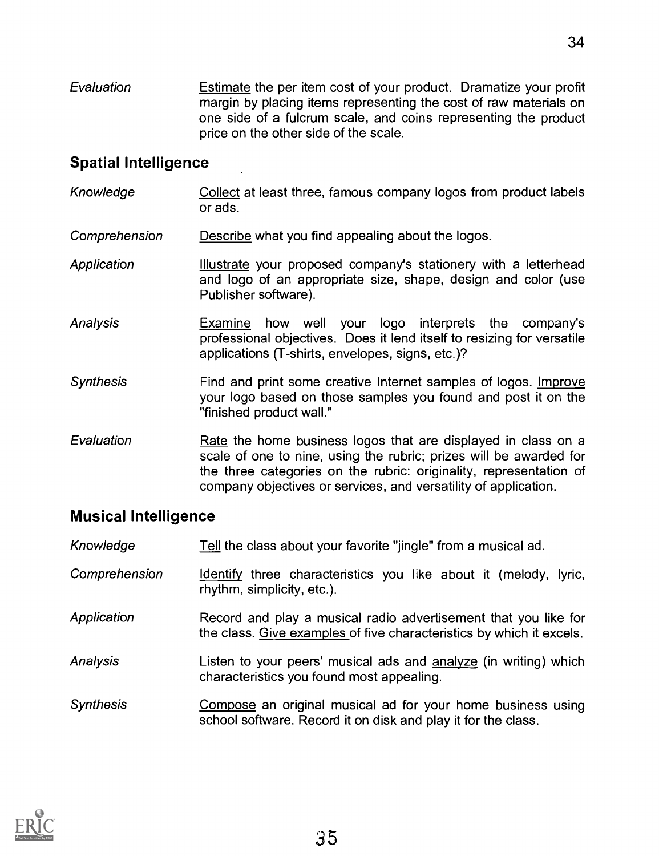Evaluation Estimate the per item cost of your product. Dramatize your profit margin by placing items representing the cost of raw materials on one side of a fulcrum scale, and coins representing the product price on the other side of the scale.

# Spatial Intelligence

- Knowledge Collect at least three, famous company logos from product labels or ads.
- Comprehension Describe what you find appealing about the logos.
- Application Illustrate your proposed company's stationery with a letterhead and logo of an appropriate size, shape, design and color (use Publisher software).
- Analysis Examine how well your logo interprets the company's professional objectives. Does it lend itself to resizing for versatile applications (T-shirts, envelopes, signs, etc.)?
- **Synthesis** Find and print some creative Internet samples of logos. Improve your logo based on those samples you found and post it on the "finished product wall."
- Evaluation Rate the home business logos that are displayed in class on a scale of one to nine, using the rubric; prizes will be awarded for the three categories on the rubric: originality, representation of company objectives or services, and versatility of application.

## Musical Intelligence

| Knowledge        | Tell the class about your favorite "jingle" from a musical ad.                                                                          |
|------------------|-----------------------------------------------------------------------------------------------------------------------------------------|
| Comprehension    | Identify three characteristics you like about it (melody, lyric,<br>rhythm, simplicity, etc.).                                          |
| Application      | Record and play a musical radio advertisement that you like for<br>the class. Give examples of five characteristics by which it excels. |
| <b>Analysis</b>  | Listen to your peers' musical ads and analyze (in writing) which<br>characteristics you found most appealing.                           |
| <b>Synthesis</b> | Compose an original musical ad for your home business using<br>school software. Record it on disk and play it for the class.            |

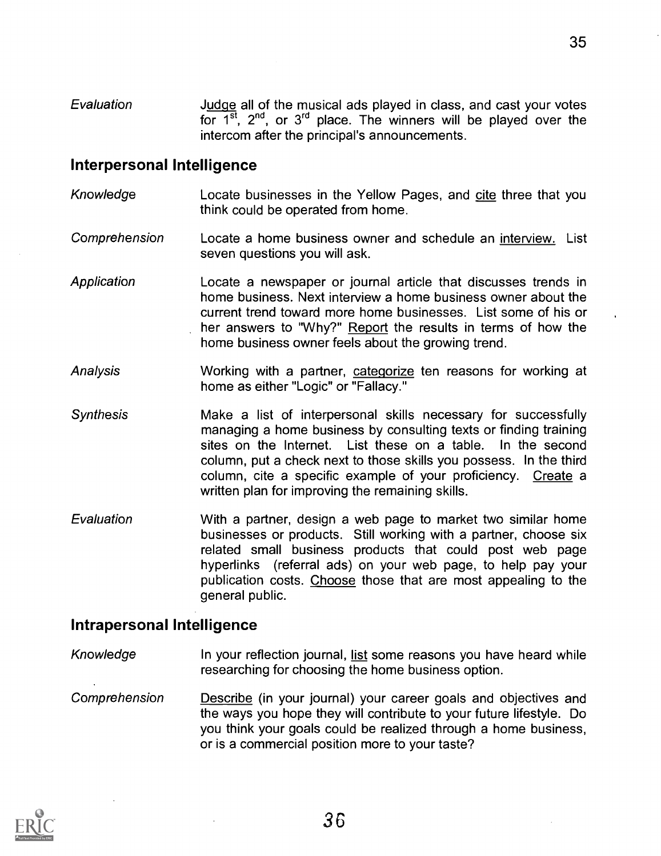Evaluation Judge all of the musical ads played in class, and cast your votes for  $1^{st}$ ,  $2^{nd}$ , or  $3^{rd}$  place. The winners will be played over the intercom after the principal's announcements.

#### Interpersonal Intelligence

- Knowledge Locate businesses in the Yellow Pages, and cite three that you think could be operated from home.
- Comprehension Locate a home business owner and schedule an interview. List seven questions you will ask.
- Application Locate a newspaper or journal article that discusses trends in home business. Next interview a home business owner about the current trend toward more home businesses. List some of his or her answers to "Why?" Report the results in terms of how the home business owner feels about the growing trend.
- Analysis Working with a partner, categorize ten reasons for working at home as either "Logic" or "Fallacy."
- **Synthesis** Make a list of interpersonal skills necessary for successfully managing a home business by consulting texts or finding training sites on the Internet. List these on a table. In the second column, put a check next to those skills you possess. In the third column, cite a specific example of your proficiency. Create a written plan for improving the remaining skills.
- Evaluation With a partner, design a web page to market two similar home businesses or products. Still working with a partner, choose six related small business products that could post web page hyperlinks (referral ads) on your web page, to help pay your publication costs. Choose those that are most appealing to the general public.

#### Intrapersonal Intelligence

- Knowledge In your reflection journal, list some reasons you have heard while researching for choosing the home business option.
- Comprehension Describe (in your journal) your career goals and objectives and the ways you hope they will contribute to your future lifestyle. Do you think your goals could be realized through a home business, or is a commercial position more to your taste?



35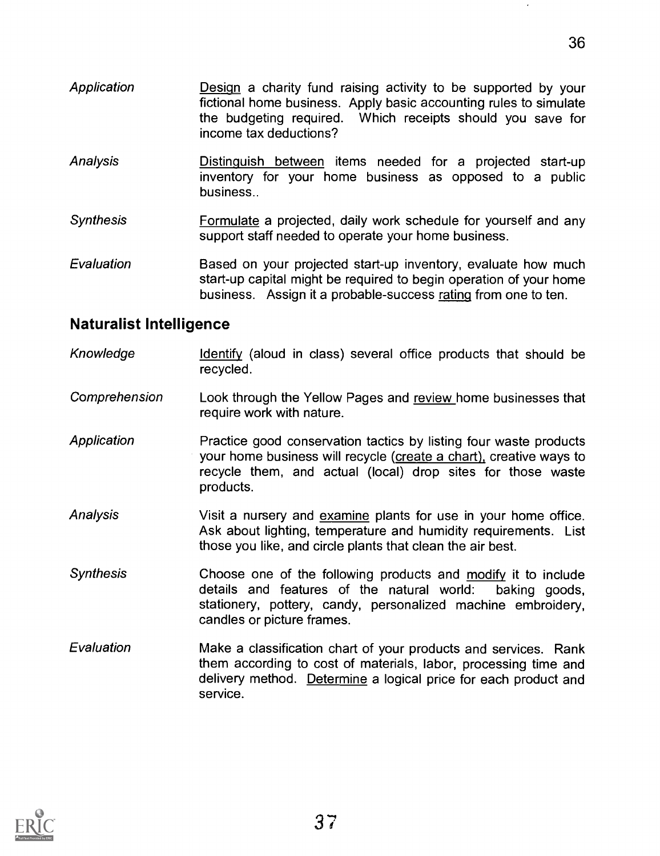- **Application** Design a charity fund raising activity to be supported by your fictional home business. Apply basic accounting rules to simulate the budgeting required. Which receipts should you save for income tax deductions?
- Analysis Distinguish between items needed for a projected start-up inventory for your home business as opposed to a public business..
- Synthesis **Formulate a projected, daily work schedule for yourself and any** support staff needed to operate your home business.
- Evaluation Based on your projected start-up inventory, evaluate how much start-up capital might be required to begin operation of your home business. Assign it a probable-success rating from one to ten.

#### Naturalist Intelligence

- Knowledge Identify (aloud in class) several office products that should be recycled.
- Comprehension Look through the Yellow Pages and review home businesses that require work with nature.
- Application **Practice good conservation tactics by listing four waste products** your home business will recycle (create a chart), creative ways to recycle them, and actual (local) drop sites for those waste products.
- Analysis Visit a nursery and examine plants for use in your home office. Ask about lighting, temperature and humidity requirements. List those you like, and circle plants that clean the air best.
- Synthesis Choose one of the following products and modify it to include details and features of the natural world: baking goods, stationery, pottery, candy, personalized machine embroidery, candles or picture frames.
- Evaluation Make a classification chart of your products and services. Rank them according to cost of materials, labor, processing time and delivery method. Determine a logical price for each product and service.

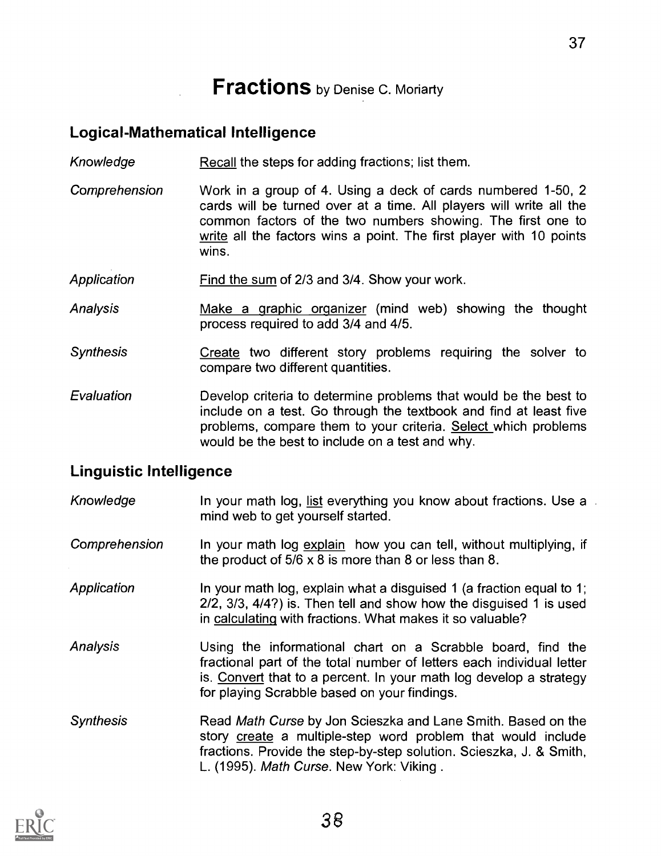# **Fractions** by Denise C. Moriarty

#### Logical-Mathematical Intelligence

- Knowledge Recall the steps for adding fractions; list them.
- Comprehension Work in a group of 4. Using a deck of cards numbered 1-50, 2 cards will be turned over at a time. All players will write all the common factors of the two numbers showing. The first one to write all the factors wins a point. The first player with 10 points wins.
- Application Find the sum of 2/3 and 3/4. Show your work.
- Analysis Make a graphic organizer (mind web) showing the thought process required to add 3/4 and 4/5.
- **Synthesis** Create two different story problems requiring the solver to compare two different quantities.
- Evaluation Develop criteria to determine problems that would be the best to include on a test. Go through the textbook and find at least five problems, compare them to your criteria. Select which problems would be the best to include on a test and why.

#### Linguistic Intelligence

| Knowledge        | In your math log, list everything you know about fractions. Use a<br>mind web to get yourself started.                                                                                                                                                     |
|------------------|------------------------------------------------------------------------------------------------------------------------------------------------------------------------------------------------------------------------------------------------------------|
| Comprehension    | In your math log explain how you can tell, without multiplying, if<br>the product of $5/6 \times 8$ is more than 8 or less than 8.                                                                                                                         |
| Application      | In your math log, explain what a disguised 1 (a fraction equal to 1;<br>$2/2$ , $3/3$ , $4/4$ ?) is. Then tell and show how the disguised 1 is used<br>in calculating with fractions. What makes it so valuable?                                           |
| Analysis         | Using the informational chart on a Scrabble board, find the<br>fractional part of the total number of letters each individual letter<br>is. Convert that to a percent. In your math log develop a strategy<br>for playing Scrabble based on your findings. |
| <b>Synthesis</b> | Read Math Curse by Jon Scieszka and Lane Smith. Based on the<br>story create a multiple-step word problem that would include<br>fractions. Provide the step-by-step solution. Scieszka, J. & Smith,<br>L. (1995). Math Curse. New York: Viking.            |

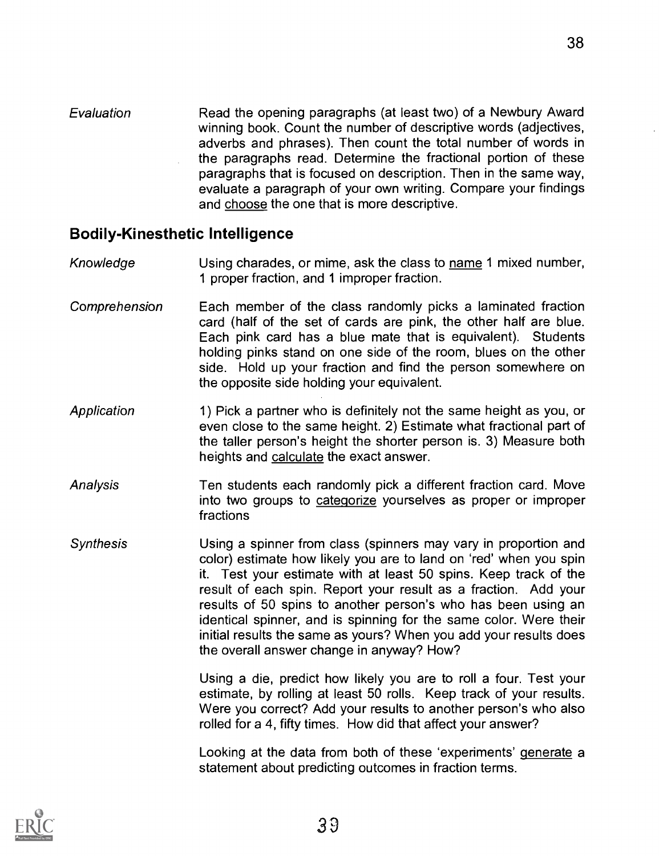Evaluation Read the opening paragraphs (at least two) of a Newbury Award winning book. Count the number of descriptive words (adjectives, adverbs and phrases). Then count the total number of words in the paragraphs read. Determine the fractional portion of these paragraphs that is focused on description. Then in the same way, evaluate a paragraph of your own writing. Compare your findings and choose the one that is more descriptive.

#### Bodily-Kinesthetic Intelligence

- Knowledge Using charades, or mime, ask the class to name 1 mixed number, 1 proper fraction, and 1 improper fraction.
- Comprehension Each member of the class randomly picks a laminated fraction card (half of the set of cards are pink, the other half are blue. Each pink card has a blue mate that is equivalent). Students holding pinks stand on one side of the room, blues on the other side. Hold up your fraction and find the person somewhere on the opposite side holding your equivalent.
- **Application** 1) Pick a partner who is definitely not the same height as you, or even close to the same height. 2) Estimate what fractional part of the taller person's height the shorter person is. 3) Measure both heights and calculate the exact answer.
- Analysis Ten students each randomly pick a different fraction card. Move into two groups to categorize yourselves as proper or improper fractions
- Synthesis Using a spinner from class (spinners may vary in proportion and color) estimate how likely you are to land on 'red' when you spin it. Test your estimate with at least 50 spins. Keep track of the result of each spin. Report your result as a fraction. Add your results of 50 spins to another person's who has been using an identical spinner, and is spinning for the same color. Were their initial results the same as yours? When you add your results does the overall answer change in anyway? How?

Using a die, predict how likely you are to roll a four. Test your estimate, by rolling at least 50 rolls. Keep track of your results. Were you correct? Add your results to another person's who also rolled for a 4, fifty times. How did that affect your answer?

Looking at the data from both of these 'experiments' generate a statement about predicting outcomes in fraction terms.

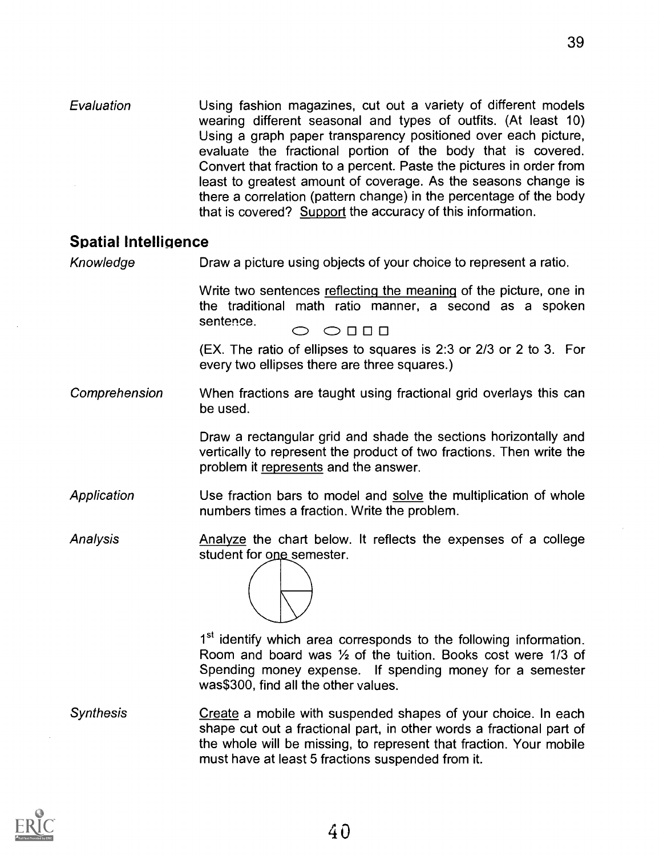Evaluation Using fashion magazines, cut out a variety of different models wearing different seasonal and types of outfits. (At least 10) Using a graph paper transparency positioned over each picture, evaluate the fractional portion of the body that is covered. Convert that fraction to a percent. Paste the pictures in order from least to greatest amount of coverage. As the seasons change is there a correlation (pattern change) in the percentage of the body that is covered? Support the accuracy of this information.

#### Spatial Intelligence

Knowledge Draw a picture using objects of your choice to represent a ratio.

Write two sentences reflecting the meaning of the picture, one in the traditional math ratio manner, a second as a spoken<br>sentence.  $\bigcirc$   $\circ$   $\Box$   $\Box$ 

(EX. The ratio of ellipses to squares is 2:3 or 2/3 or 2 to 3. For every two ellipses there are three squares.)

Comprehension When fractions are taught using fractional grid overlays this can be used.

> Draw a rectangular grid and shade the sections horizontally and vertically to represent the product of two fractions. Then write the problem it represents and the answer.

Application Use fraction bars to model and solve the multiplication of whole numbers times a fraction. Write the problem.

Analysis Analyze the chart below. It reflects the expenses of a college student for one semester.

10 1st identify which area corresponds to the following information. Room and board was  $1/2$  of the tuition. Books cost were 1/3 of Spending money expense. If spending money for a semester was\$300, find all the other values.

**Synthesis** Create a mobile with suspended shapes of your choice. In each shape cut out a fractional part, in other words a fractional part of the whole will be missing, to represent that fraction. Your mobile must have at least 5 fractions suspended from it.

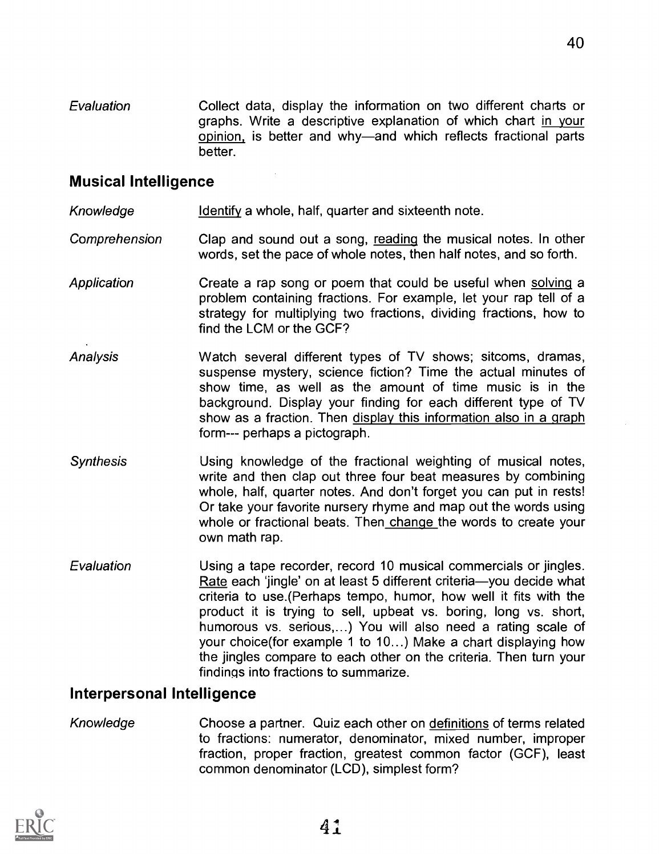Evaluation Collect data, display the information on two different charts or graphs. Write a descriptive explanation of which chart in your opinion, is better and why—and which reflects fractional parts better.

#### Musical Intelligence

Knowledge Identify a whole, half, quarter and sixteenth note.

Comprehension Clap and sound out a song, reading the musical notes. In other words, set the pace of whole notes, then half notes, and so forth.

- **Application** Create a rap song or poem that could be useful when solving a problem containing fractions. For example, let your rap tell of a strategy for multiplying two fractions, dividing fractions, how to find the LCM or the GCF?
- Analysis Watch several different types of TV shows; sitcoms, dramas, suspense mystery, science fiction? Time the actual minutes of show time, as well as the amount of time music is in the background. Display your finding for each different type of TV show as a fraction. Then display this information also in a graph form--- perhaps a pictograph.
- Synthesis Using knowledge of the fractional weighting of musical notes, write and then clap out three four beat measures by combining whole, half, quarter notes. And don't forget you can put in rests! Or take your favorite nursery rhyme and map out the words using whole or fractional beats. Then change the words to create your own math rap.
- Evaluation Using a tape recorder, record 10 musical commercials or jingles. Rate each 'jingle' on at least 5 different criteria-you decide what criteria to use.(Perhaps tempo, humor, how well it fits with the product it is trying to sell, upbeat vs. boring, long vs. short, humorous vs. serious,...) You will also need a rating scale of your choice(for example 1 to 10...) Make a chart displaying how the jingles compare to each other on the criteria. Then turn your findings into fractions to summarize.

#### Interpersonal Intelligence

Knowledge Choose a partner. Quiz each other on definitions of terms related to fractions: numerator, denominator, mixed number, improper fraction, proper fraction, greatest common factor (GCF), least common denominator (LCD), simplest form?

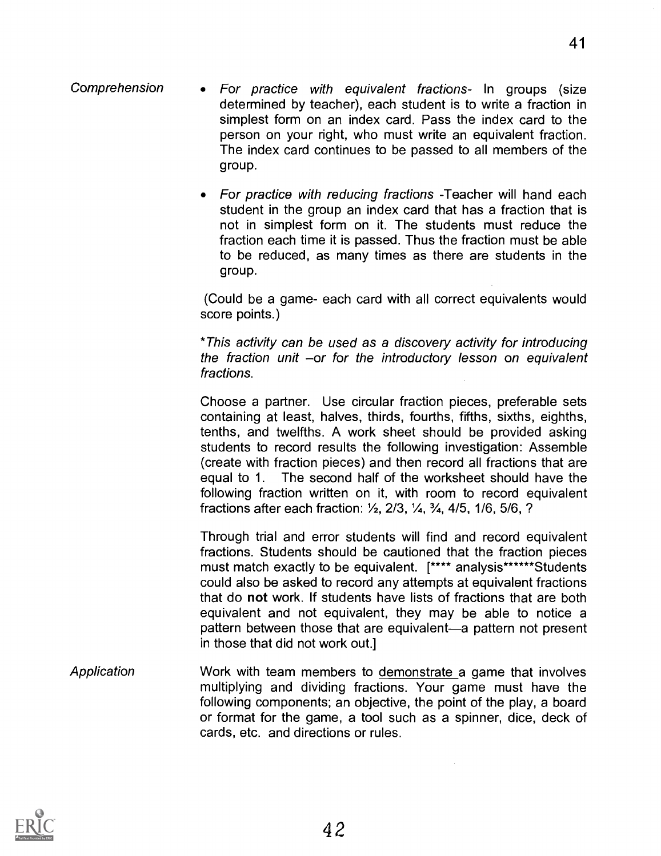- Comprehension For practice with equivalent fractions- In groups (size determined by teacher), each student is to write a fraction in simplest form on an index card. Pass the index card to the person on your right, who must write an equivalent fraction. The index card continues to be passed to all members of the group.
	- For practice with reducing fractions -Teacher will hand each student in the group an index card that has a fraction that is not in simplest form on it. The students must reduce the fraction each time it is passed. Thus the fraction must be able to be reduced, as many times as there are students in the group.

(Could be a game- each card with all correct equivalents would score points.)

\*This activity can be used as a discovery activity for introducing the fraction unit  $-or$  for the introductory lesson on equivalent fractions.

Choose a partner. Use circular fraction pieces, preferable sets containing at least, halves, thirds, fourths, fifths, sixths, eighths, tenths, and twelfths. A work sheet should be provided asking students to record results the following investigation: Assemble (create with fraction pieces) and then record all fractions that are equal to 1. The second half of the worksheet should have the following fraction written on it, with room to record equivalent fractions after each fraction:  $\frac{1}{2}$ , 2/3,  $\frac{1}{4}$ ,  $\frac{3}{4}$ , 4/5, 1/6, 5/6, ?

Through trial and error students will find and record equivalent fractions. Students should be cautioned that the fraction pieces must match exactly to be equivalent. [\*\*\*\* analysis\*\*\*\*\*\*Students could also be asked to record any attempts at equivalent fractions that do not work. If students have lists of fractions that are both equivalent and not equivalent, they may be able to notice a pattern between those that are equivalent—a pattern not present in those that did not work out.]

**Application** Work with team members to demonstrate a game that involves multiplying and dividing fractions. Your game must have the following components; an objective, the point of the play, a board or format for the game, a tool such as a spinner, dice, deck of cards, etc. and directions or rules.

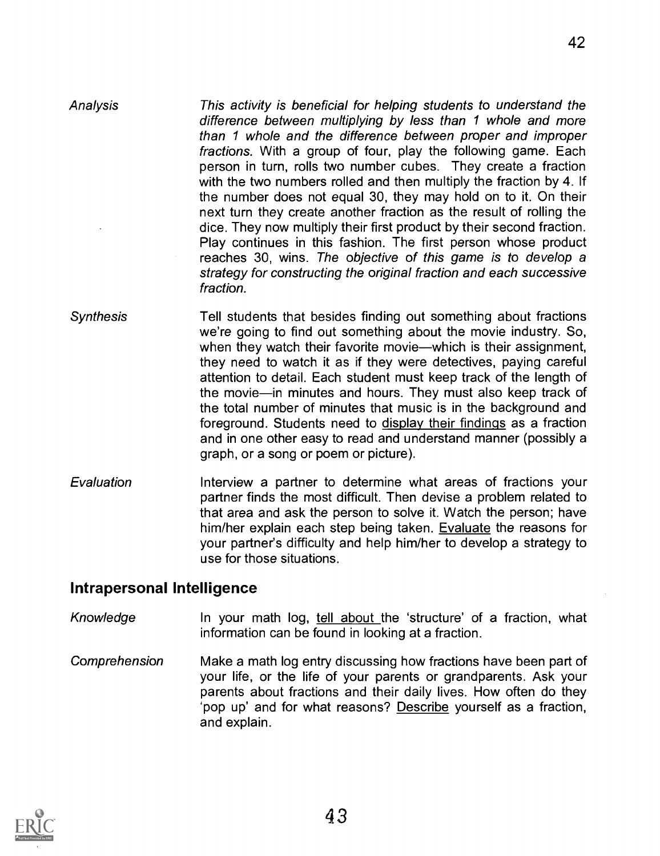**Analysis** This activity is beneficial for helping students to understand the difference between multiplying by less than 1 whole and more than 1 whole and the difference between proper and improper fractions. With a group of four, play the following game. Each person in turn, rolls two number cubes. They create a fraction with the two numbers rolled and then multiply the fraction by 4. If the number does not equal 30, they may hold on to it. On their next turn they create another fraction as the result of rolling the dice. They now multiply their first product by their second fraction. Play continues in this fashion. The first person whose product reaches 30, wins. The objective of this game is to develop a strategy for constructing the original fraction and each successive fraction.

- **Synthesis** Tell students that besides finding out something about fractions we're going to find out something about the movie industry. So, when they watch their favorite movie—which is their assignment, they need to watch it as if they were detectives, paying careful attention to detail. Each student must keep track of the length of the movie-in minutes and hours. They must also keep track of the total number of minutes that music is in the background and foreground. Students need to display their findings as a fraction and in one other easy to read and understand manner (possibly a graph, or a song or poem or picture).
- Evaluation Interview a partner to determine what areas of fractions your partner finds the most difficult. Then devise a problem related to that area and ask the person to solve it. Watch the person; have him/her explain each step being taken. Evaluate the reasons for your partner's difficulty and help him/her to develop a strategy to use for those situations.

#### Intrapersonal Intelligence

- Knowledge **In your math log, tell about the 'structure' of a fraction, what** information can be found in looking at a fraction.
- Comprehension Make a math log entry discussing how fractions have been part of your life, or the life of your parents or grandparents. Ask your parents about fractions and their daily lives. How often do they 'pop up' and for what reasons? Describe yourself as a fraction, and explain.

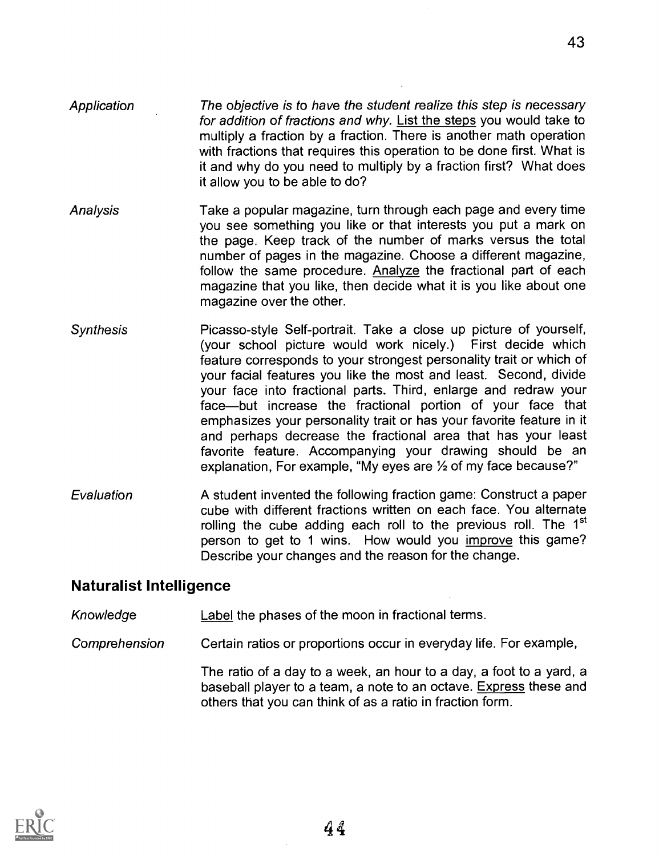- **Application** The objective is to have the student realize this step is necessary for addition of fractions and why. List the steps you would take to multiply a fraction by a fraction. There is another math operation with fractions that requires this operation to be done first. What is it and why do you need to multiply by a fraction first? What does it allow you to be able to do?
- Analysis Take a popular magazine, turn through each page and every time you see something you like or that interests you put a mark on the page. Keep track of the number of marks versus the total number of pages in the magazine. Choose a different magazine, follow the same procedure. Analyze the fractional part of each magazine that you like, then decide what it is you like about one magazine over the other.
- **Synthesis** Picasso-style Self-portrait. Take a close up picture of yourself, (your school picture would work nicely.) First decide which feature corresponds to your strongest personality trait or which of your facial features you like the most and least. Second, divide your face into fractional parts. Third, enlarge and redraw your face-but increase the fractional portion of your face that emphasizes your personality trait or has your favorite feature in it and perhaps decrease the fractional area that has your least favorite feature. Accompanying your drawing should be an explanation, For example, "My eyes are  $\frac{1}{2}$  of my face because?"
- Evaluation A student invented the following fraction game: Construct a paper cube with different fractions written on each face. You alternate rolling the cube adding each roll to the previous roll. The 1<sup>st</sup> person to get to 1 wins. How would you improve this game? Describe your changes and the reason for the change.

#### Naturalist Intelligence

- Knowledge Label the phases of the moon in fractional terms.
- Comprehension Certain ratios or proportions occur in everyday life. For example,

The ratio of a day to a week, an hour to a day, a foot to a yard, a baseball player to a team, a note to an octave. Express these and others that you can think of as a ratio in fraction form.

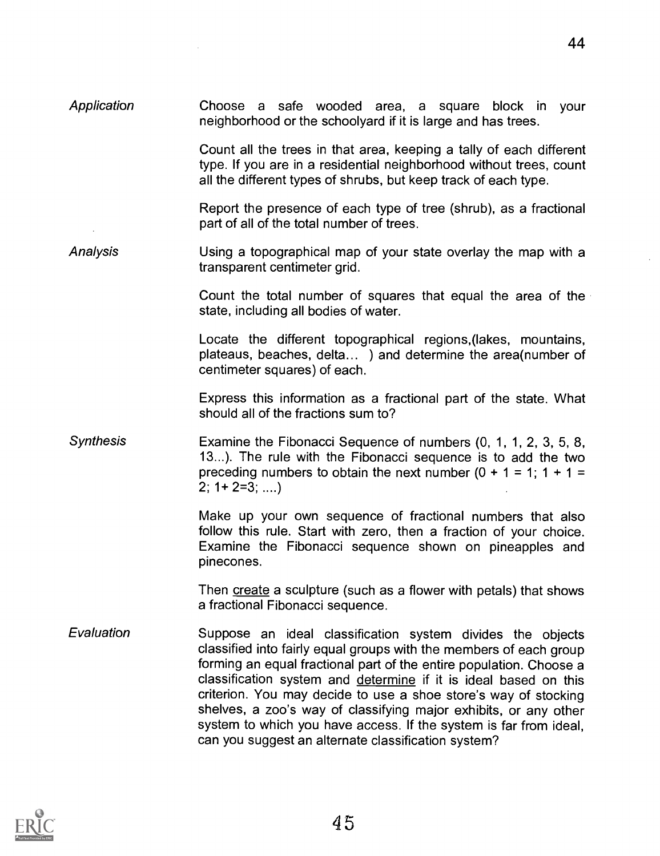Application Choose a safe wooded area, a square block in your neighborhood or the schoolyard if it is large and has trees.

> Count all the trees in that area, keeping a tally of each different type. If you are in a residential neighborhood without trees, count all the different types of shrubs, but keep track of each type.

> Report the presence of each type of tree (shrub), as a fractional part of all of the total number of trees.

Analysis Using a topographical map of your state overlay the map with a transparent centimeter grid.

> Count the total number of squares that equal the area of the state, including all bodies of water.

> Locate the different topographical regions,(lakes, mountains, plateaus, beaches, delta... ) and determine the area(number of centimeter squares) of each.

> Express this information as a fractional part of the state. What should all of the fractions sum to?

**Synthesis** Examine the Fibonacci Sequence of numbers (0, 1, 1, 2, 3, 5, 8, 13...). The rule with the Fibonacci sequence is to add the two preceding numbers to obtain the next number  $(0 + 1 = 1; 1 + 1 =$  $2: 1 + 2 = 3: ...$ 

> Make up your own sequence of fractional numbers that also follow this rule. Start with zero, then a fraction of your choice. Examine the Fibonacci sequence shown on pineapples and pinecones.

> Then create a sculpture (such as a flower with petals) that shows a fractional Fibonacci sequence.

**Evaluation** Suppose an ideal classification system divides the objects classified into fairly equal groups with the members of each group forming an equal fractional part of the entire population. Choose a classification system and determine if it is ideal based on this criterion. You may decide to use a shoe store's way of stocking shelves, a zoo's way of classifying major exhibits, or any other system to which you have access. If the system is far from ideal, can you suggest an alternate classification system?

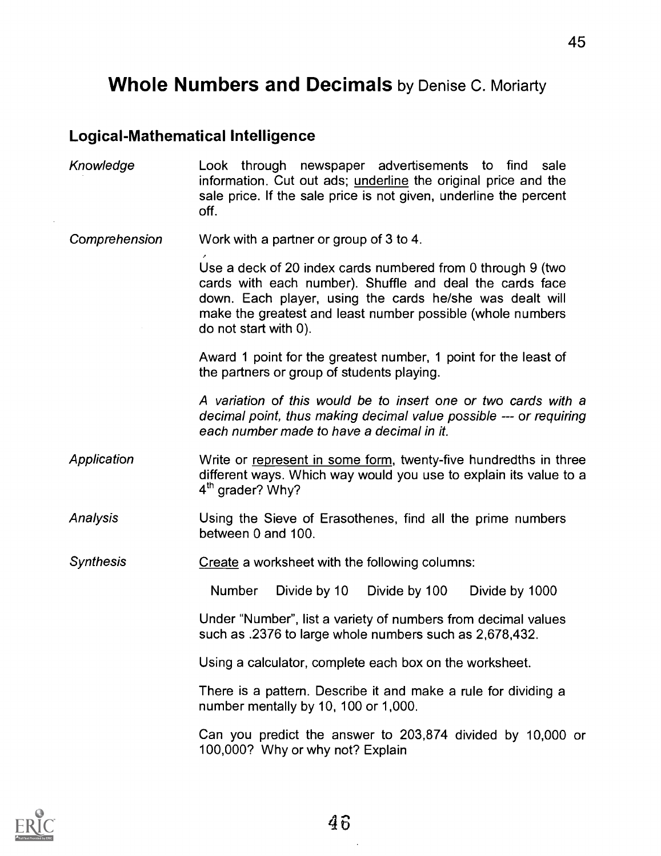## Whole Numbers and Decimals by Denise C. Moriarty

#### Logical-Mathematical Intelligence

Knowledge Look through newspaper advertisements to find sale information. Cut out ads; underline the original price and the sale price. If the sale price is not given, underline the percent off.

Comprehension Work with a partner or group of 3 to 4.

Use a deck of 20 index cards numbered from 0 through 9 (two cards with each number). Shuffle and deal the cards face down. Each player, using the cards he/she was dealt will make the greatest and least number possible (whole numbers do not start with 0).

Award 1 point for the greatest number, 1 point for the least of the partners or group of students playing.

A variation of this would be to insert one or two cards with a decimal point, thus making decimal value possible --- or requiring each number made to have a decimal in it.

- Application Write or represent in some form, twenty-five hundredths in three different ways. Which way would you use to explain its value to a  $4<sup>th</sup>$  grader? Why?
- Analysis Using the Sieve of Erasothenes, find all the prime numbers between 0 and 100.

**Synthesis** Create a worksheet with the following columns:

Number Divide by 10 Divide by 100 Divide by 1000

Under "Number", list a variety of numbers from decimal values such as .2376 to large whole numbers such as 2,678,432.

Using a calculator, complete each box on the worksheet.

There is a pattern. Describe it and make a rule for dividing a number mentally by 10, 100 or 1,000.

Can you predict the answer to 203,874 divided by 10,000 or 100,000? Why or why not? Explain

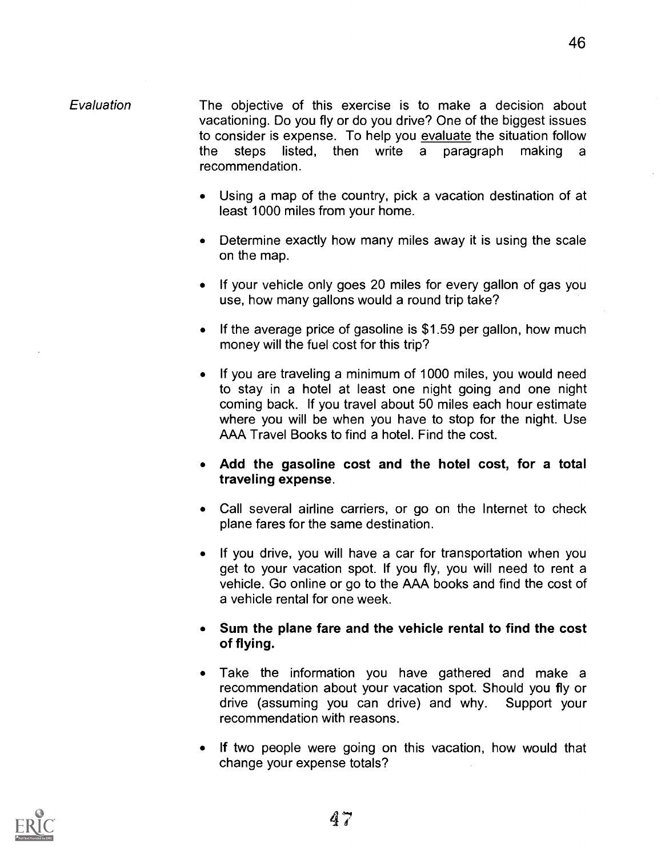#### Evaluation The objective of this exercise is to make a decision about vacationing. Do you fly or do you drive? One of the biggest issues to consider is expense. To help you evaluate the situation follow the steps listed, then write a paragraph making a recommendation.

- Using a map of the country, pick a vacation destination of at least 1000 miles from your home.
- Determine exactly how many miles away it is using the scale on the map.
- If your vehicle only goes 20 miles for every gallon of gas you use, how many gallons would a round trip take?
- If the average price of gasoline is  $$1.59$  per gallon, how much money will the fuel cost for this trip?
- If you are traveling a minimum of 1000 miles, you would need to stay in a hotel at least one night going and one night coming back. If you travel about 50 miles each hour estimate where you will be when you have to stop for the night. Use AAA Travel Books to find a hotel. Find the cost.
- Add the gasoline cost and the hotel cost, for a total traveling expense.
- Call several airline carriers, or go on the Internet to check plane fares for the same destination.
- If you drive, you will have a car for transportation when you get to your vacation spot. If you fly, you will need to rent a vehicle. Go online or go to the AAA books and find the cost of a vehicle rental for one week.
- Sum the plane fare and the vehicle rental to find the cost of flying.
- Take the information you have gathered and make a recommendation about your vacation spot. Should you fly or drive (assuming you can drive) and why. Support your recommendation with reasons.
- If two people were going on this vacation, how would that change your expense totals?

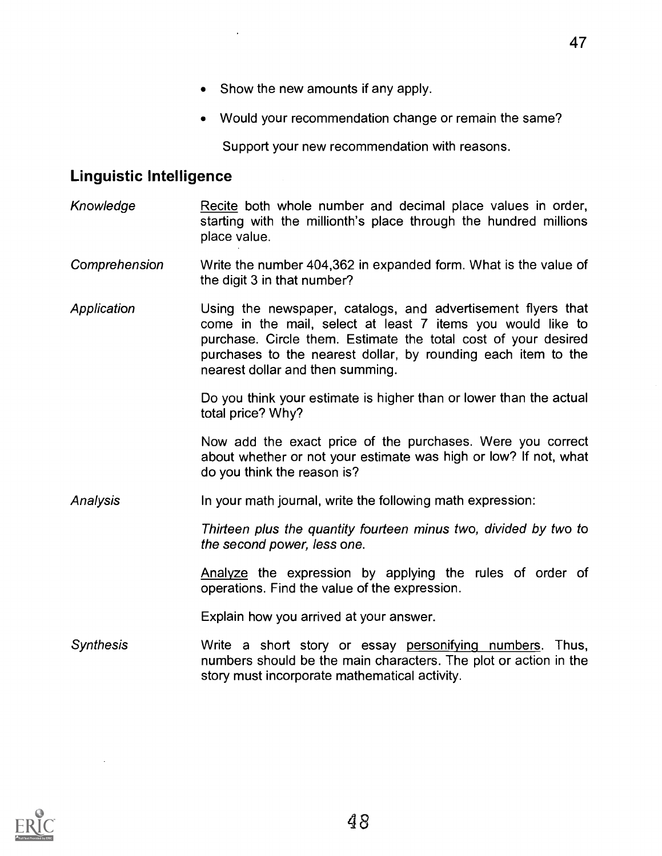- Show the new amounts if any apply.
- Would your recommendation change or remain the same?

Support your new recommendation with reasons.

#### Linguistic Intelligence

- Knowledge Recite both whole number and decimal place values in order, starting with the millionth's place through the hundred millions place value.
- Comprehension Write the number 404,362 in expanded form. What is the value of the digit 3 in that number?
- Application Using the newspaper, catalogs, and advertisement flyers that come in the mail, select at least 7 items you would like to purchase. Circle them. Estimate the total cost of your desired purchases to the nearest dollar, by rounding each item to the nearest dollar and then summing.

Do you think your estimate is higher than or lower than the actual total price? Why?

Now add the exact price of the purchases. Were you correct about whether or not your estimate was high or low? If not, what do you think the reason is?

Analysis In your math journal, write the following math expression:

Thirteen plus the quantity fourteen minus two, divided by two to the second power, less one.

Analyze the expression by applying the rules of order of operations. Find the value of the expression.

Explain how you arrived at your answer.

Synthesis Write a short story or essay personifying numbers. Thus, numbers should be the main characters. The plot or action in the story must incorporate mathematical activity.

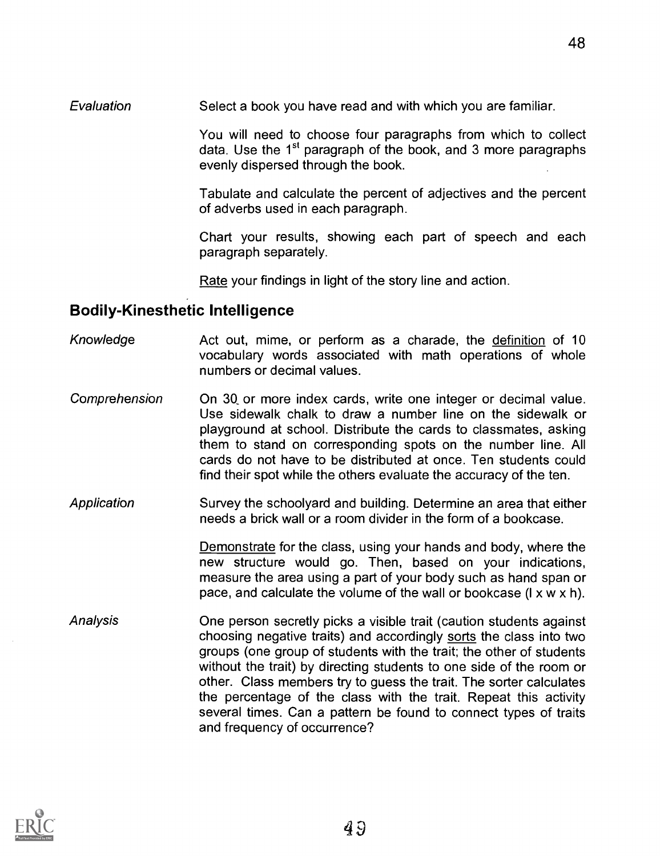Evaluation Select a book you have read and with which you are familiar.

You will need to choose four paragraphs from which to collect data. Use the  $1<sup>st</sup>$  paragraph of the book, and 3 more paragraphs evenly dispersed through the book.

Tabulate and calculate the percent of adjectives and the percent of adverbs used in each paragraph.

Chart your results, showing each part of speech and each paragraph separately.

Rate your findings in light of the story line and action.

## Bodily-Kinesthetic Intelligence

- Knowledge Act out, mime, or perform as a charade, the definition of 10 vocabulary words associated with math operations of whole numbers or decimal values.
- Comprehension On 3Q or more index cards, write one integer or decimal value. Use sidewalk chalk to draw a number line on the sidewalk or playground at school. Distribute the cards to classmates, asking them to stand on corresponding spots on the number line. All cards do not have to be distributed at once. Ten students could find their spot while the others evaluate the accuracy of the ten.
- Application Survey the schoolyard and building. Determine an area that either needs a brick wall or a room divider in the form of a bookcase.

Demonstrate for the class, using your hands and body, where the new structure would go. Then, based on your indications, measure the area using a part of your body such as hand span or pace, and calculate the volume of the wall or bookcase (I x w x h).

Analysis One person secretly picks a visible trait (caution students against choosing negative traits) and accordingly sorts the class into two groups (one group of students with the trait; the other of students without the trait) by directing students to one side of the room or other. Class members try to guess the trait. The sorter calculates the percentage of the class with the trait. Repeat this activity several times. Can a pattern be found to connect types of traits and frequency of occurrence?

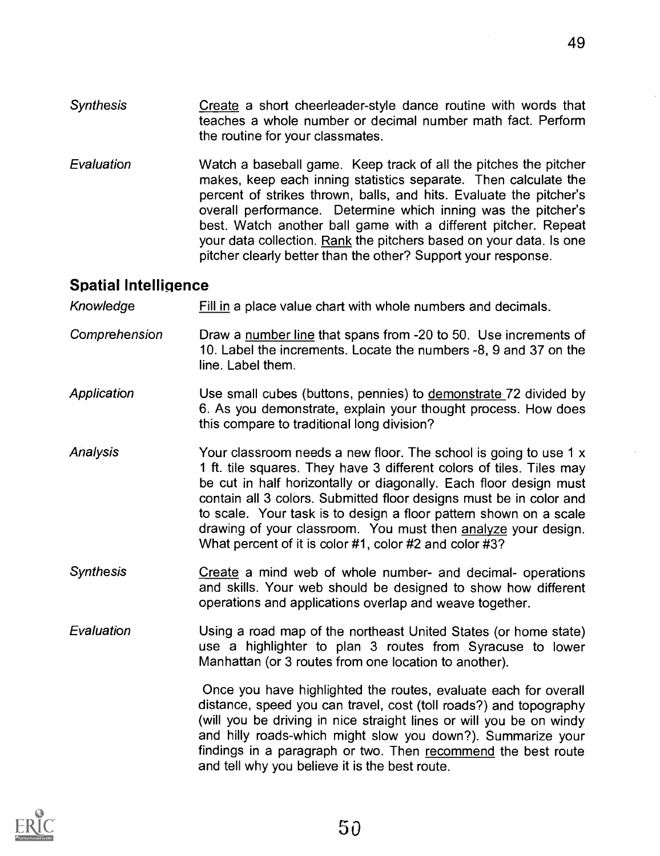- **Synthesis** Create a short cheerleader-style dance routine with words that teaches a whole number or decimal number math fact. Perform the routine for your classmates.
- Evaluation Watch a baseball game. Keep track of all the pitches the pitcher makes, keep each inning statistics separate. Then calculate the percent of strikes thrown, balls, and hits. Evaluate the pitcher's overall performance. Determine which inning was the pitcher's best. Watch another ball game with a different pitcher. Repeat your data collection. Rank the pitchers based on your data. Is one pitcher clearly better than the other? Support your response.

#### Spatial Intelligence

Knowledge Fill in a place value chart with whole numbers and decimals.

- Comprehension Draw a number line that spans from -20 to 50. Use increments of 10. Label the increments. Locate the numbers -8, 9 and 37 on the line. Label them.
- Application Use small cubes (buttons, pennies) to demonstrate 72 divided by 6. As you demonstrate, explain your thought process. How does this compare to traditional long division?
- Analysis The Your classroom needs a new floor. The school is going to use 1 x <sup>1</sup> ft. tile squares. They have 3 different colors of tiles. Tiles may be cut in half horizontally or diagonally. Each floor design must contain all 3 colors. Submitted floor designs must be in color and to scale. Your task is to design a floor pattern shown on a scale drawing of your classroom. You must then analyze your design. What percent of it is color #1, color #2 and color #3?
- Synthesis Create a mind web of whole number- and decimal- operations and skills. Your web should be designed to show how different operations and applications overlap and weave together.
- **Evaluation** Using a road map of the northeast United States (or home state) use a highlighter to plan 3 routes from Syracuse to lower Manhattan (or 3 routes from one location to another).

Once you have highlighted the routes, evaluate each for overall distance, speed you can travel, cost (toll roads?) and topography (will you be driving in nice straight lines or will you be on windy and hilly roads-which might slow you down?). Summarize your findings in a paragraph or two. Then recommend the best route and tell why you believe it is the best route.

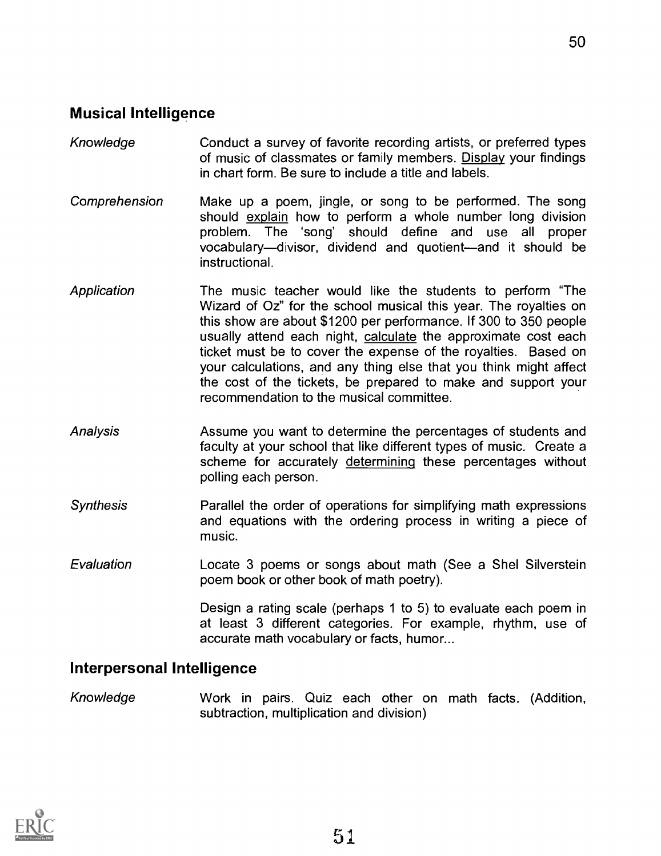#### Musical Intelligence

Knowledge Conduct a survey of favorite recording artists, or preferred types of music of classmates or family members. Display your findings in chart form. Be sure to include a title and labels.

50

- Comprehension Make up a poem, jingle, or song to be performed. The song should explain how to perform a whole number long division problem. The 'song' should define and use all proper vocabulary—divisor, dividend and quotient—and it should be instructional.
- **Application** The music teacher would like the students to perform "The Wizard of Oz" for the school musical this year. The royalties on this show are about \$1200 per performance. If 300 to 350 people usually attend each night, calculate the approximate cost each ticket must be to cover the expense of the royalties. Based on your calculations, and any thing else that you think might affect the cost of the tickets, be prepared to make and support your recommendation to the musical committee.
- Analysis Assume you want to determine the percentages of students and faculty at your school that like different types of music. Create a scheme for accurately determining these percentages without polling each person.
- **Synthesis** Parallel the order of operations for simplifying math expressions and equations with the ordering process in writing a piece of music.
- Evaluation Locate 3 poems or songs about math (See a Shel Silverstein poem book or other book of math poetry).

Design a rating scale (perhaps 1 to 5) to evaluate each poem in at least 3 different categories. For example, rhythm, use of accurate math vocabulary or facts, humor...

#### Interpersonal Intelligence

Knowledge Work in pairs. Quiz each other on math facts. (Addition, subtraction, multiplication and division)

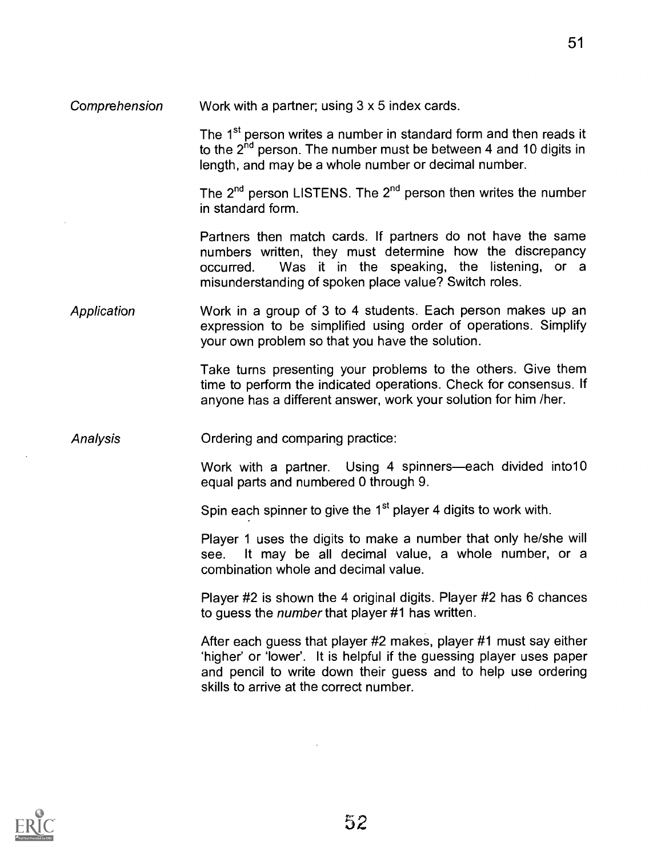Comprehension Work with a partner; using 3 x 5 index cards.

The 1<sup>st</sup> person writes a number in standard form and then reads it to the  $2<sup>nd</sup>$  person. The number must be between 4 and 10 digits in length, and may be a whole number or decimal number.

The  $2^{nd}$  person LISTENS. The  $2^{nd}$  person then writes the number in standard form.

Partners then match cards. If partners do not have the same numbers written, they must determine how the discrepancy occurred. Was it in the speaking, the listening, or a misunderstanding of spoken place value? Switch roles.

Application Work in a group of 3 to 4 students. Each person makes up an expression to be simplified using order of operations. Simplify your own problem so that you have the solution.

> Take turns presenting your problems to the others. Give them time to perform the indicated operations. Check for consensus. If anyone has a different answer, work your solution for him /her.

Analysis Ordering and comparing practice:

Work with a partner. Using 4 spinners—each divided into10 equal parts and numbered 0 through 9.

Spin each spinner to give the 1<sup>st</sup> player 4 digits to work with.

Player 1 uses the digits to make a number that only he/she will see. It may be all decimal value, a whole number, or a combination whole and decimal value.

Player #2 is shown the 4 original digits. Player #2 has 6 chances to guess the number that player #1 has written.

After each guess that player #2 makes, player #1 must say either `higher' or 'lower'. It is helpful if the guessing player uses paper and pencil to write down their guess and to help use ordering skills to arrive at the correct number.

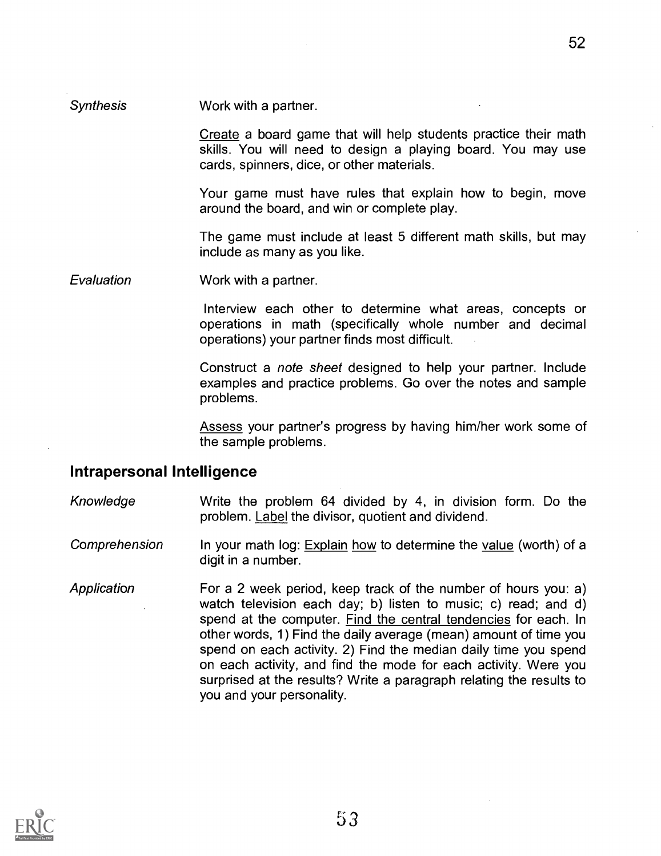#### Synthesis Work with a partner.

Create a board game that will help students practice their math skills. You will need to design a playing board. You may use cards, spinners, dice, or other materials.

Your game must have rules that explain how to begin, move around the board, and win or complete play.

The game must include at least 5 different math skills, but may include as many as you like.

Evaluation Work with a partner.

Interview each other to determine what areas, concepts or operations in math (specifically whole number and decimal operations) your partner finds most difficult.

Construct a note sheet designed to help your partner. Include examples and practice problems. Go over the notes and sample problems.

Assess your partner's progress by having him/her work some of the sample problems.

#### Intrapersonal Intelligence

Knowledge Write the problem 64 divided by 4, in division form. Do the problem. Label the divisor, quotient and dividend.

Comprehension In your math log: Explain how to determine the value (worth) of a digit in a number.

Application For a 2 week period, keep track of the number of hours you: a) watch television each day; b) listen to music; c) read; and d) spend at the computer. Find the central tendencies for each. In other words, 1) Find the daily average (mean) amount of time you spend on each activity. 2) Find the median daily time you spend on each activity, and find the mode for each activity. Were you surprised at the results? Write a paragraph relating the results to you and your personality.

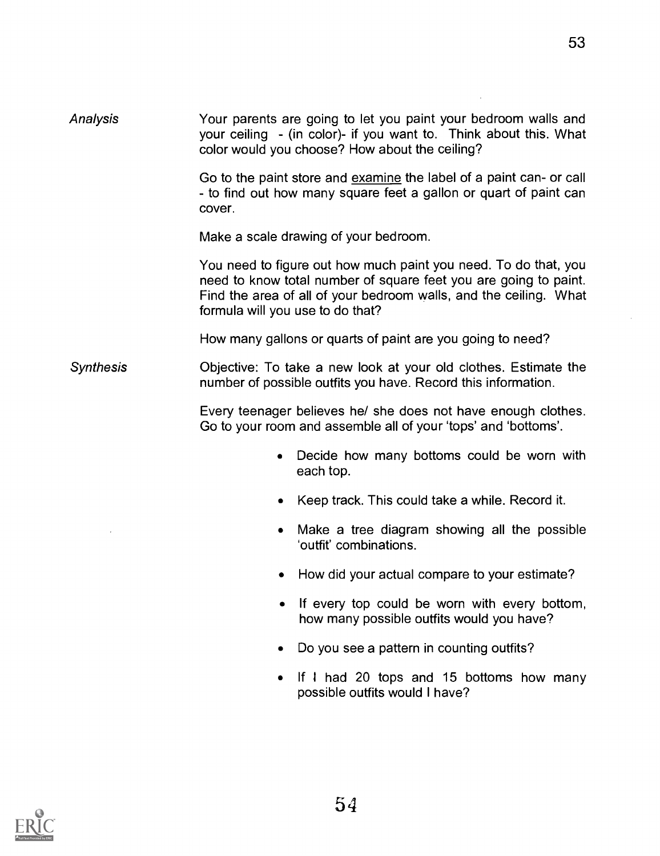53

| <b>Analysis</b> | Your parents are going to let you paint your bedroom walls and    |  |
|-----------------|-------------------------------------------------------------------|--|
|                 | your ceiling - (in color)- if you want to. Think about this. What |  |
|                 | color would you choose? How about the ceiling?                    |  |

Go to the paint store and examine the label of a paint can- or call - to find out how many square feet a gallon or quart of paint can cover.

Make a scale drawing of your bedroom.

You need to figure out how much paint you need. To do that, you need to know total number of square feet you are going to paint. Find the area of all of your bedroom walls, and the ceiling. What formula will you use to do that?

How many gallons or quarts of paint are you going to need?

Synthesis Objective: To take a new look at your old clothes. Estimate the number of possible outfits you have. Record this information.

> Every teenager believes he/ she does not have enough clothes. Go to your room and assemble all of your 'tops' and 'bottoms'.

- Decide how many bottoms could be worn with  $\bullet$ each top.
- Keep track. This could take a while. Record it.
- Make a tree diagram showing all the possible  $\bullet$ 'outfit' combinations.
- How did your actual compare to your estimate?  $\bullet$
- $\bullet$ If every top could be worn with every bottom, how many possible outfits would you have?
- Do you see a pattern in counting outfits?
- If I had 20 tops and 15 bottoms how many  $\bullet$ possible outfits would I have?

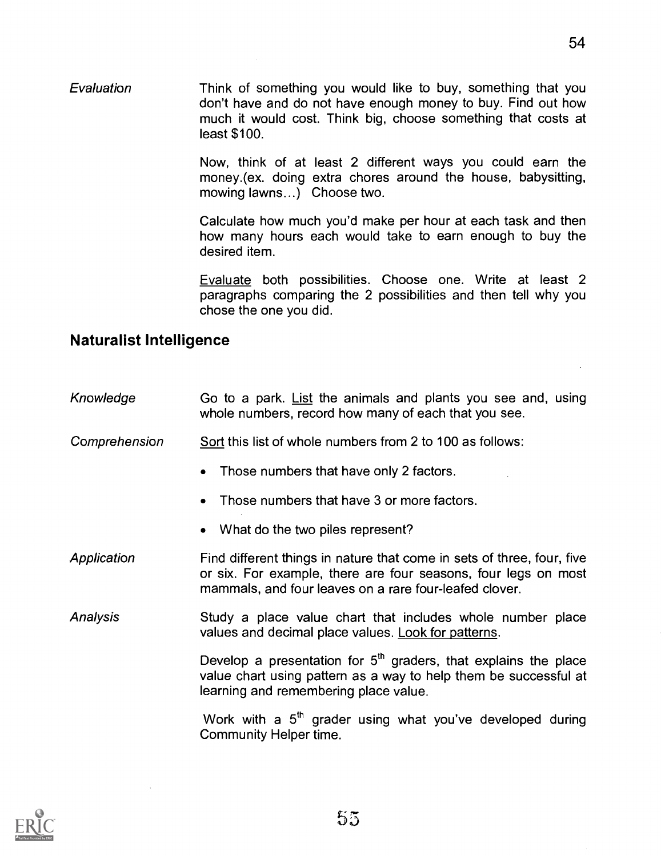Now, think of at least 2 different ways you could earn the money.(ex. doing extra chores around the house, babysitting, mowing lawns...) Choose two.

Calculate how much you'd make per hour at each task and then how many hours each would take to earn enough to buy the desired item.

Evaluate both possibilities. Choose one. Write at least 2 paragraphs comparing the 2 possibilities and then tell why you chose the one you did.

#### Naturalist Intelligence

| Knowledge | Go to a park. List the animals and plants you see and, using |
|-----------|--------------------------------------------------------------|
|           | whole numbers, record how many of each that you see.         |

- Comprehension Sort this list of whole numbers from 2 to 100 as follows:
	- Those numbers that have only 2 factors.
	- Those numbers that have 3 or more factors.
	- What do the two piles represent?
- Application Find different things in nature that come in sets of three, four, five or six. For example, there are four seasons, four legs on most mammals, and four leaves on a rare four-leafed clover.
- Analysis Study a place value chart that includes whole number place values and decimal place values. Look for patterns.

Develop a presentation for  $5<sup>th</sup>$  graders, that explains the place value chart using pattern as a way to help them be successful at learning and remembering place value.

Work with a  $5<sup>th</sup>$  grader using what you've developed during Community Helper time.

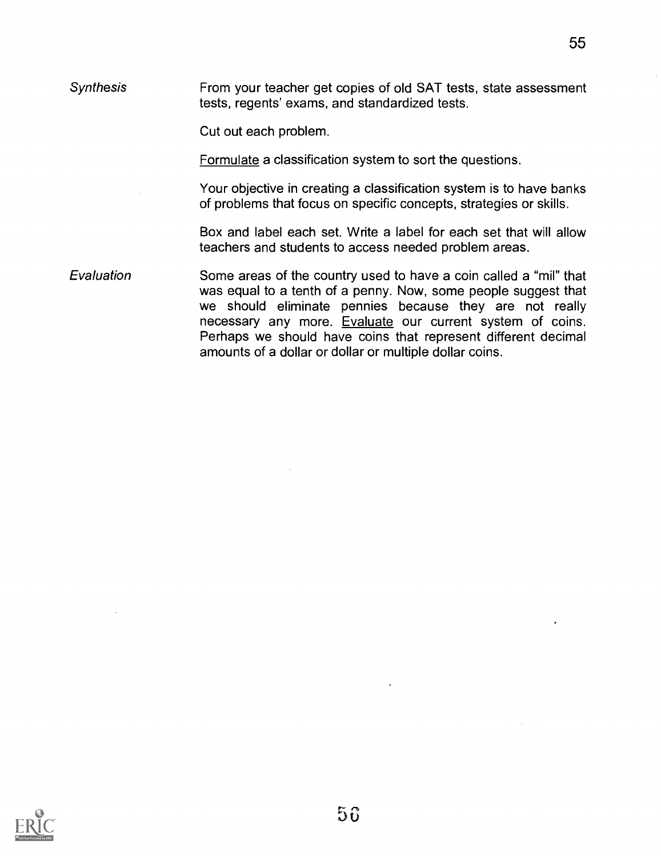Synthesis From your teacher get copies of old SAT tests, state assessment tests, regents' exams, and standardized tests.

Cut out each problem.

Formulate a classification system to sort the questions.

Your objective in creating a classification system is to have banks of problems that focus on specific concepts, strategies or skills.

Box and label each set. Write a label for each set that will allow teachers and students to access needed problem areas.

Evaluation Some areas of the country used to have a coin called a "mil" that was equal to a tenth of a penny. Now, some people suggest that we should eliminate pennies because they are not really necessary any more. Evaluate our current system of coins. Perhaps we should have coins that represent different decimal amounts of a dollar or dollar or multiple dollar coins.

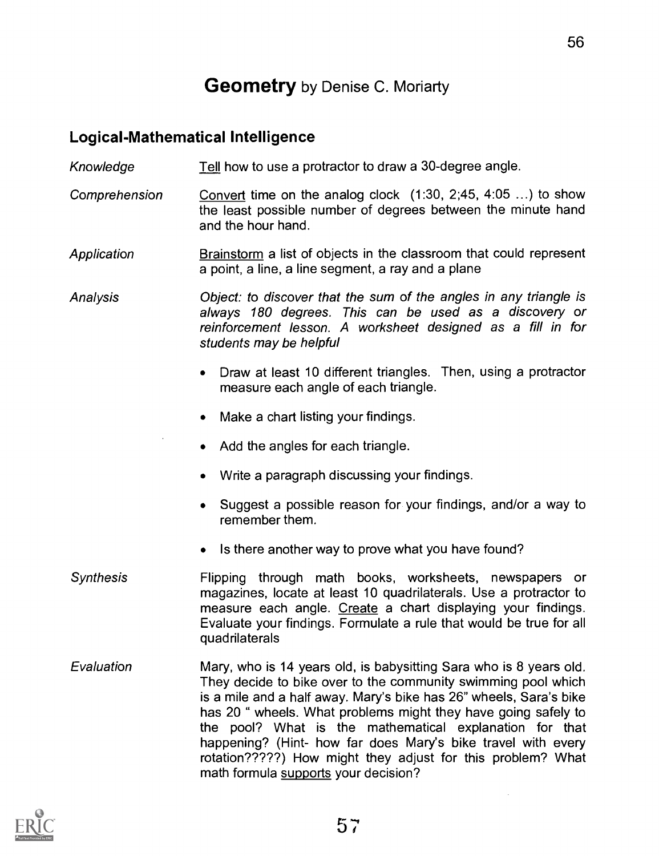## **Geometry** by Denise C. Moriarty

#### Logical-Mathematical Intelligence

Knowledge Tell how to use a protractor to draw a 30-degree angle.

Comprehension Convert time on the analog clock (1:30, 2;45, 4:05 ...) to show the least possible number of degrees between the minute hand and the hour hand.

**Application** Brainstorm a list of objects in the classroom that could represent a point, a line, a line segment, a ray and a plane

Analysis Object: to discover that the sum of the angles in any triangle is always 180 degrees. This can be used as a discovery or reinforcement lesson. A worksheet designed as a fill in for students may be helpful

- Draw at least 10 different triangles. Then, using a protractor measure each angle of each triangle.
- Make a chart listing your findings.  $\bullet$
- Add the angles for each triangle.
- Write a paragraph discussing your findings.
- Suggest a possible reason for your findings, and/or a way to remember them.
- Is there another way to prove what you have found?  $\bullet$
- **Synthesis** Flipping through math books, worksheets, newspapers or magazines, locate at least 10 quadrilaterals. Use a protractor to measure each angle. Create a chart displaying your findings. Evaluate your findings. Formulate a rule that would be true for all quadrilaterals
- Evaluation Mary, who is 14 years old, is babysitting Sara who is 8 years old. They decide to bike over to the community swimming pool which is a mile and a half away. Mary's bike has 26" wheels, Sara's bike has 20 " wheels. What problems might they have going safely to the pool? What is the mathematical explanation for that happening? (Hint- how far does Mary's bike travel with every rotation?????) How might they adjust for this problem? What math formula supports your decision?

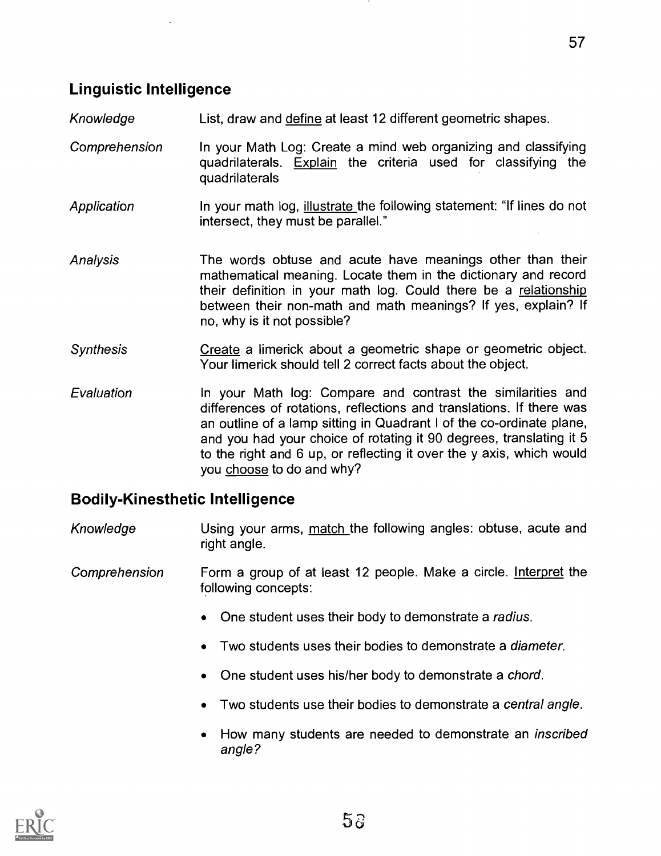## Linguistic Intelligence

- Knowledge List, draw and define at least 12 different geometric shapes.
- Comprehension In your Math Log: Create a mind web organizing and classifying quadrilaterals. Explain the criteria used for classifying the quadrilaterals
- Application In your math log, illustrate the following statement: "If lines do not intersect, they must be parallel."
- Analysis The words obtuse and acute have meanings other than their mathematical meaning. Locate them in the dictionary and record their definition in your math log. Could there be a relationship between their non-math and math meanings? If yes, explain? If no, why is it not possible?
- Synthesis **Create** a limerick about a geometric shape or geometric object. Your limerick should tell 2 correct facts about the object.
- Evaluation **In your Math log: Compare and contrast the similarities and** differences of rotations, reflections and translations. If there was an outline of a lamp sitting in Quadrant I of the co-ordinate plane, and you had your choice of rotating it 90 degrees, translating it 5 to the right and 6 up, or reflecting it over the y axis, which would you choose to do and why?

#### Bodily-Kinesthetic Intelligence

- Knowledge **Example 1** Using your arms, match the following angles: obtuse, acute and right angle.
- Comprehension Form a group of at least 12 people. Make a circle. Interpret the following concepts:
	- One student uses their body to demonstrate a radius.
	- Two students uses their bodies to demonstrate a diameter.
	- One student uses his/her body to demonstrate a chord.
	- Two students use their bodies to demonstrate a central angle.
	- How many students are needed to demonstrate an *inscribed* angle?

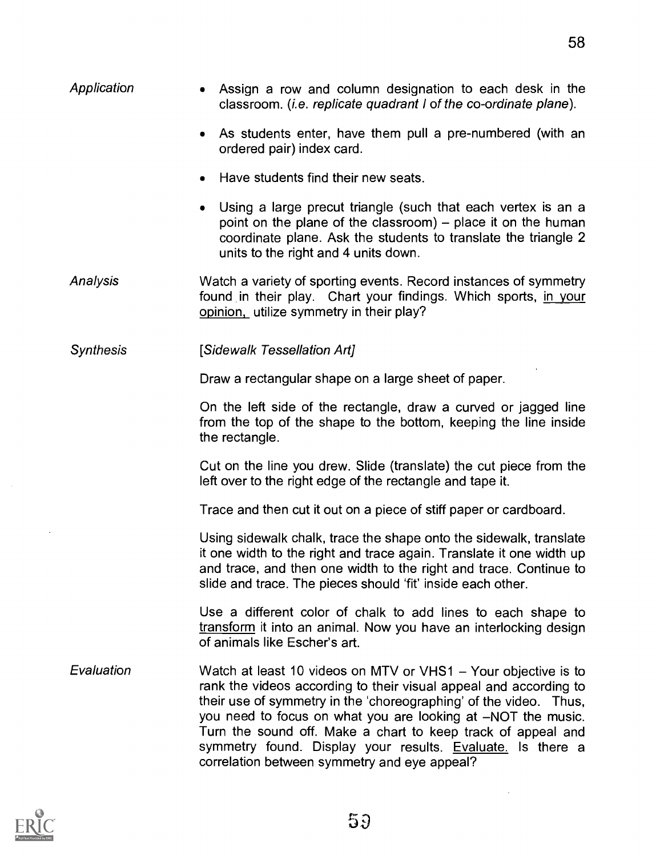| Application      | • Assign a row and column designation to each desk in the<br>classroom. ( <i>i.e. replicate quadrant I of the co-ordinate plane</i> ).                                                                                                                                                                                                                                                                                                                 |
|------------------|--------------------------------------------------------------------------------------------------------------------------------------------------------------------------------------------------------------------------------------------------------------------------------------------------------------------------------------------------------------------------------------------------------------------------------------------------------|
|                  | As students enter, have them pull a pre-numbered (with an<br>$\bullet$<br>ordered pair) index card.                                                                                                                                                                                                                                                                                                                                                    |
|                  | Have students find their new seats.<br>۰                                                                                                                                                                                                                                                                                                                                                                                                               |
|                  | Using a large precut triangle (such that each vertex is an a<br>$\bullet$<br>point on the plane of the classroom) $-$ place it on the human<br>coordinate plane. Ask the students to translate the triangle 2<br>units to the right and 4 units down.                                                                                                                                                                                                  |
| Analysis         | Watch a variety of sporting events. Record instances of symmetry<br>found in their play. Chart your findings. Which sports, in your<br>opinion, utilize symmetry in their play?                                                                                                                                                                                                                                                                        |
| <b>Synthesis</b> | [Sidewalk Tessellation Art]                                                                                                                                                                                                                                                                                                                                                                                                                            |
|                  | Draw a rectangular shape on a large sheet of paper.                                                                                                                                                                                                                                                                                                                                                                                                    |
|                  | On the left side of the rectangle, draw a curved or jagged line<br>from the top of the shape to the bottom, keeping the line inside<br>the rectangle.                                                                                                                                                                                                                                                                                                  |
|                  | Cut on the line you drew. Slide (translate) the cut piece from the<br>left over to the right edge of the rectangle and tape it.                                                                                                                                                                                                                                                                                                                        |
|                  | Trace and then cut it out on a piece of stiff paper or cardboard.                                                                                                                                                                                                                                                                                                                                                                                      |
|                  | Using sidewalk chalk, trace the shape onto the sidewalk, translate<br>it one width to the right and trace again. Translate it one width up<br>and trace, and then one width to the right and trace. Continue to<br>slide and trace. The pieces should 'fit' inside each other.                                                                                                                                                                         |
|                  | Use a different color of chalk to add lines to each shape to<br>transform it into an animal. Now you have an interlocking design<br>of animals like Escher's art.                                                                                                                                                                                                                                                                                      |
| Evaluation       | Watch at least 10 videos on MTV or VHS1 - Your objective is to<br>rank the videos according to their visual appeal and according to<br>their use of symmetry in the 'choreographing' of the video. Thus,<br>you need to focus on what you are looking at -NOT the music.<br>Turn the sound off. Make a chart to keep track of appeal and<br>symmetry found. Display your results. Evaluate. Is there a<br>correlation between symmetry and eye appeal? |



 $\hat{\mathcal{E}}$ 

 $\mathcal{L}^{\text{max}}_{\text{max}}$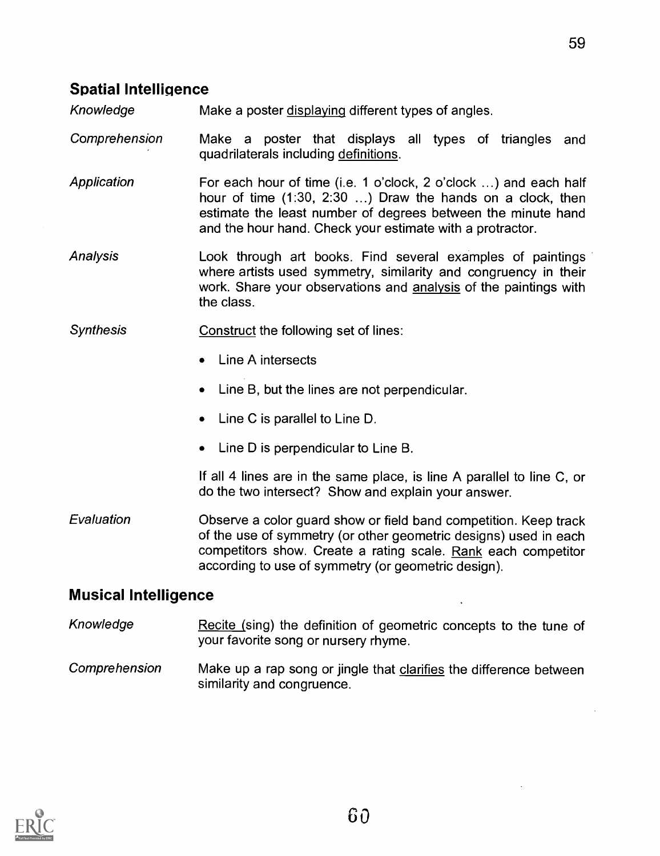## Spatial Intelligence

Knowledge Make a poster displaying different types of angles.

Comprehension Make a poster that displays all types of triangles and quadrilaterals including definitions.

**Application** For each hour of time (i.e. 1 o'clock, 2 o'clock ...) and each half hour of time (1:30, 2:30 ...) Draw the hands on a clock, then estimate the least number of degrees between the minute hand and the hour hand. Check your estimate with a protractor.

Analysis Look through art books. Find several examples of paintings where artists used symmetry, similarity and congruency in their work. Share your observations and analysis of the paintings with the class.

- Synthesis Construct the following set of lines:
	- Line A intersects
	- Line B, but the lines are not perpendicular.
	- Line C is parallel to Line D.
	- Line D is perpendicular to Line B.

If all 4 lines are in the same place, is line A parallel to line C, or do the two intersect? Show and explain your answer.

Evaluation Observe a color guard show or field band competition. Keep track of the use of symmetry (or other geometric designs) used in each competitors show. Create a rating scale. Rank each competitor according to use of symmetry (or geometric design).

### Musical Intelligence

- Knowledge Recite (sing) the definition of geometric concepts to the tune of your favorite song or nursery rhyme.
- Comprehension Make up a rap song or jingle that clarifies the difference between similarity and congruence.

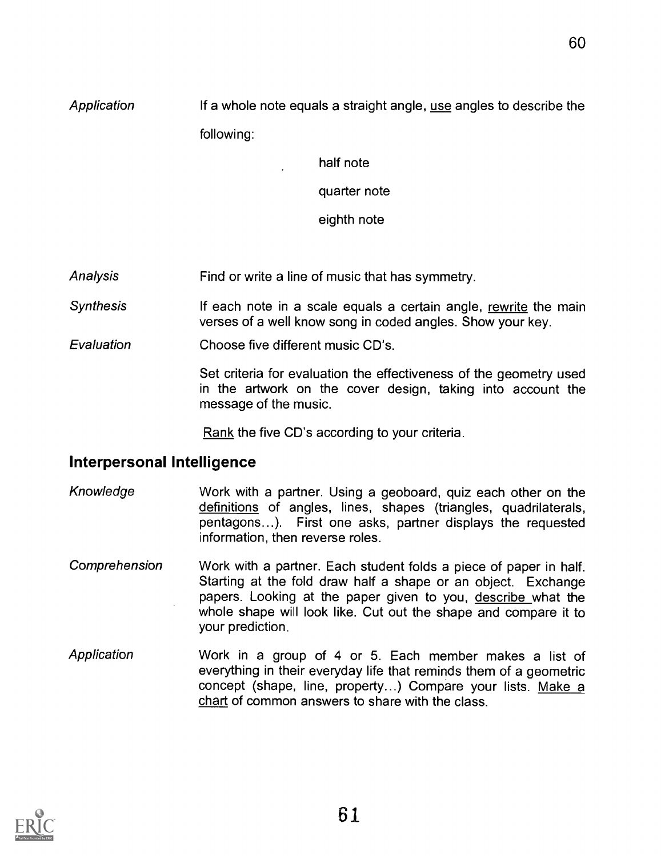60

Application If a whole note equals a straight angle, use angles to describe the following:

half note

quarter note

eighth note

Analysis Find or write a line of music that has symmetry.

**Synthesis** If each note in a scale equals a certain angle, rewrite the main verses of a well know song in coded angles. Show your key.

**Evaluation** Choose five different music CD's.

> Set criteria for evaluation the effectiveness of the geometry used in the artwork on the cover design, taking into account the message of the music.

Rank the five CD's according to your criteria.

### Interpersonal Intelligence

- Knowledge Work with a partner. Using a geoboard, quiz each other on the definitions of angles, lines, shapes (triangles, quadrilaterals, pentagons...). First one asks, partner displays the requested information, then reverse roles.
- Comprehension Work with a partner. Each student folds a piece of paper in half. Starting at the fold draw half a shape or an object. Exchange papers. Looking at the paper given to you, describe what the whole shape will look like. Cut out the shape and compare it to your prediction.
- Application Work in a group of 4 or 5. Each member makes a list of everything in their everyday life that reminds them of a geometric concept (shape, line, property...) Compare your lists. Make a chart of common answers to share with the class.

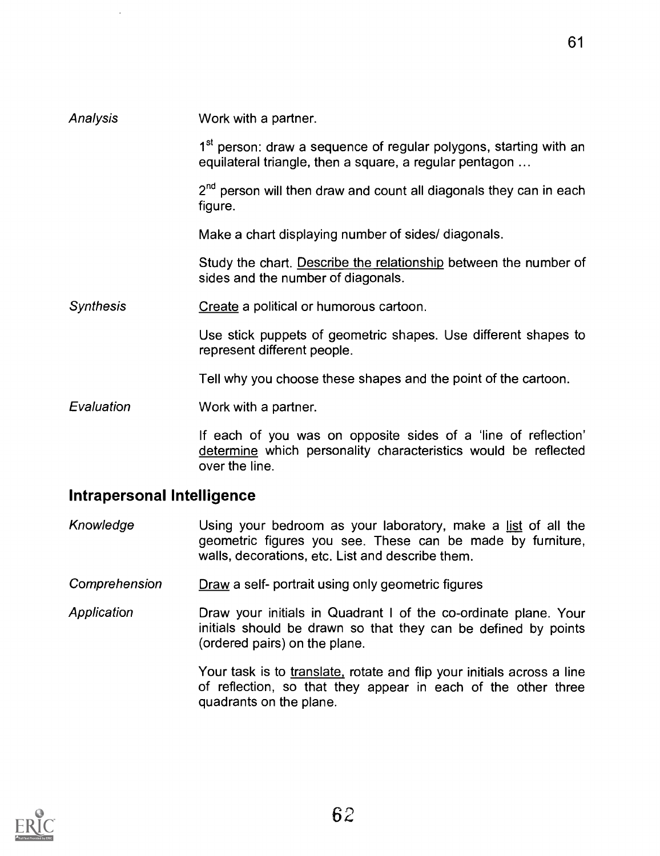## Analysis **Synthesis** Evaluation Work with a partner. 1<sup>st</sup> person: draw a sequence of regular polygons, starting with an equilateral triangle, then a square, a regular pentagon ... 2<sup>nd</sup> person will then draw and count all diagonals they can in each figure. Make a chart displaying number of sides/ diagonals. Study the chart. Describe the relationship between the number of sides and the number of diagonals. Create a political or humorous cartoon. Use stick puppets of geometric shapes. Use different shapes to represent different people. Tell why you choose these shapes and the point of the cartoon. Work with a partner. If each of you was on opposite sides of a 'line of reflection'

determine which personality characteristics would be reflected over the line.

### Intrapersonal Intelligence

- Knowledge Using your bedroom as your laboratory, make a list of all the geometric figures you see. These can be made by furniture, walls, decorations, etc. List and describe them.
- Comprehension Draw a self- portrait using only geometric figures
- **Application** Draw your initials in Quadrant I of the co-ordinate plane. Your initials should be drawn so that they can be defined by points (ordered pairs) on the plane.

Your task is to translate, rotate and flip your initials across a line of reflection, so that they appear in each of the other three quadrants on the plane.

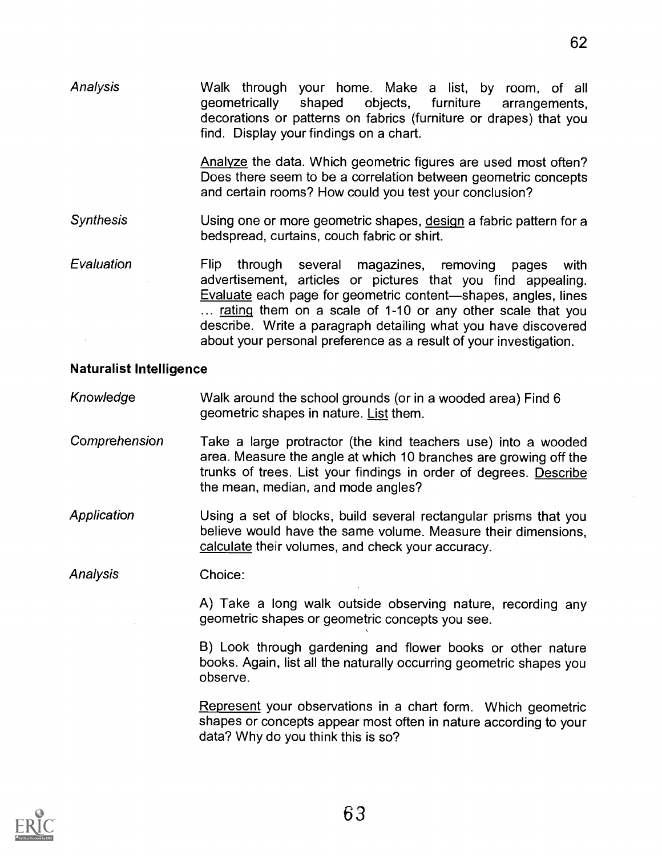Analysis Walk through your home. Make a list, by room, of all shaped objects, furniture arrangements, decorations or patterns on fabrics (furniture or drapes) that you find. Display your findings on a chart.

> Analyze the data. Which geometric figures are used most often? Does there seem to be a correlation between geometric concepts and certain rooms? How could you test your conclusion?

Synthesis Using one or more geometric shapes, design a fabric pattern for a bedspread, curtains, couch fabric or shirt.

Evaluation Flip through several magazines, removing pages with advertisement, articles or pictures that you find appealing. Evaluate each page for geometric content—shapes, angles, lines ... rating them on a scale of 1-10 or any other scale that you describe. Write a paragraph detailing what you have discovered about your personal preference as a result of your investigation.

#### Naturalist Intelligence

Knowledge Walk around the school grounds (or in a wooded area) Find 6 geometric shapes in nature. List them.

- Comprehension Take a large protractor (the kind teachers use) into a wooded area. Measure the angle at which 10 branches are growing off the trunks of trees. List your findings in order of degrees. Describe the mean, median, and mode angles?
- **Application** Using a set of blocks, build several rectangular prisms that you believe would have the same volume. Measure their dimensions, calculate their volumes, and check your accuracy.

Analysis Choice:

> A) Take a long walk outside observing nature, recording any geometric shapes or geometric concepts you see.

> B) Look through gardening and flower books or other nature books. Again, list all the naturally occurring geometric shapes you observe.

> Represent your observations in a chart form. Which geometric shapes or concepts appear most often in nature according to your data? Why do you think this is so?

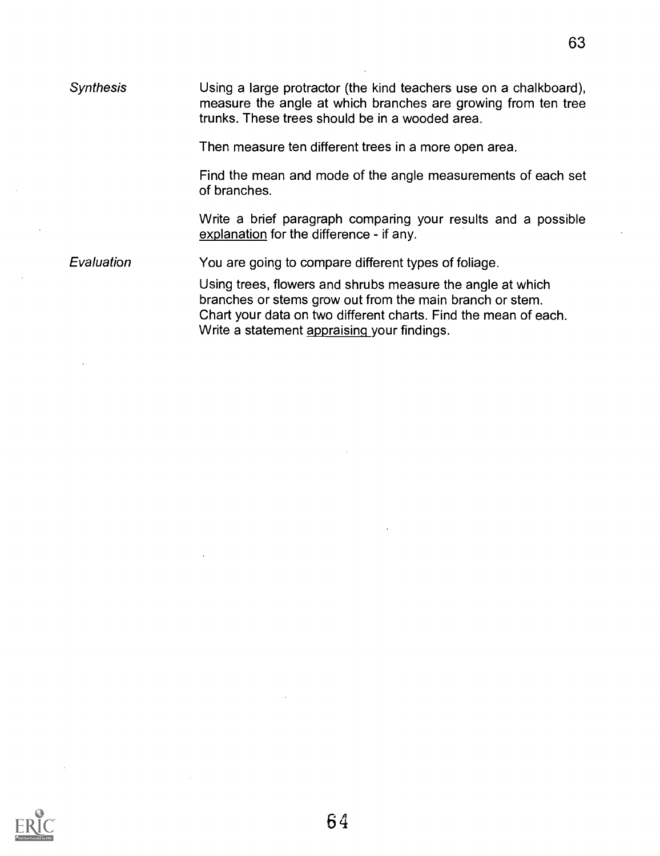| <b>Synthesis</b> | Using a large protractor (the kind teachers use on a chalkboard),<br>measure the angle at which branches are growing from ten tree<br>trunks. These trees should be in a wooded area.                                                    |
|------------------|------------------------------------------------------------------------------------------------------------------------------------------------------------------------------------------------------------------------------------------|
|                  | Then measure ten different trees in a more open area.                                                                                                                                                                                    |
|                  | Find the mean and mode of the angle measurements of each set<br>of branches.                                                                                                                                                             |
|                  | Write a brief paragraph comparing your results and a possible<br>explanation for the difference - if any.                                                                                                                                |
| Evaluation       | You are going to compare different types of foliage.                                                                                                                                                                                     |
|                  | Using trees, flowers and shrubs measure the angle at which<br>branches or stems grow out from the main branch or stem.<br>Chart your data on two different charts. Find the mean of each.<br>Write a statement appraising your findings. |

 $\sim$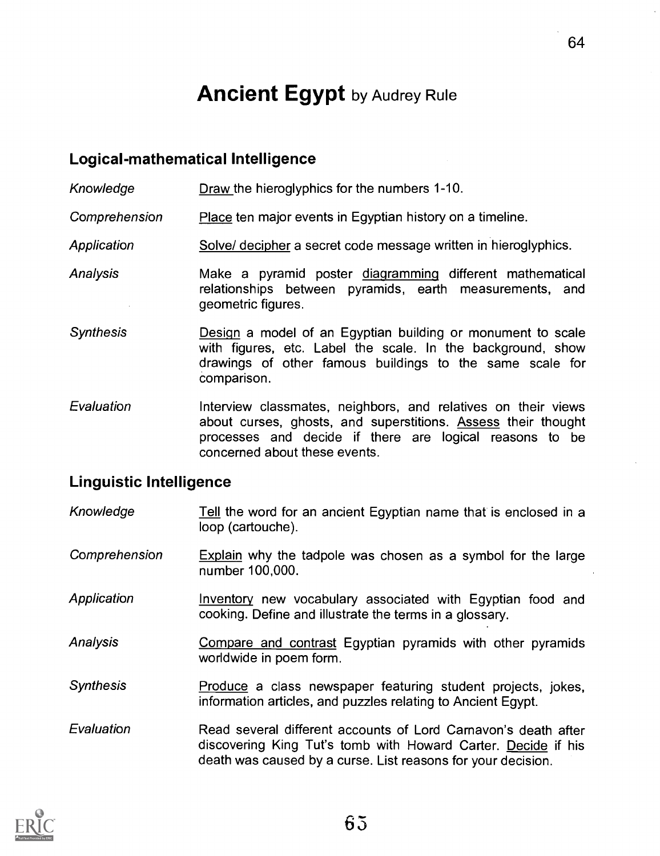# **Ancient Egypt** by Audrey Rule

#### Logical-mathematical Intelligence

Knowledge Draw the hieroglyphics for the numbers 1-10.

Comprehension Place ten major events in Egyptian history on a timeline.

- Application Solve/ decipher a secret code message written in hieroglyphics.
- Analysis **Make a pyramid poster diagramming different mathematical** relationships between pyramids, earth measurements, and geometric figures.
- **Synthesis** Design a model of an Egyptian building or monument to scale with figures, etc. Label the scale. In the background, show drawings of other famous buildings to the same scale for comparison.
- Evaluation Interview classmates, neighbors, and relatives on their views about curses, ghosts, and superstitions. Assess their thought processes and decide if there are logical reasons to be concerned about these events.

#### Linguistic Intelligence

Knowledge Tell the word for an ancient Egyptian name that is enclosed in a loop (cartouche).

Comprehension Explain why the tadpole was chosen as a symbol for the large number 100,000.

- Application **Inventory new vocabulary associated with Egyptian food and** cooking. Define and illustrate the terms in a glossary.
- Analysis **Compare and contrast Egyptian pyramids with other pyramids** worldwide in poem form.
- Synthesis **Produce** a class newspaper featuring student projects, jokes, information articles, and puzzles relating to Ancient Egypt.
- Evaluation Read several different accounts of Lord Carnavon's death after discovering King Tut's tomb with Howard Carter. Decide if his death was caused by a curse. List reasons for your decision.

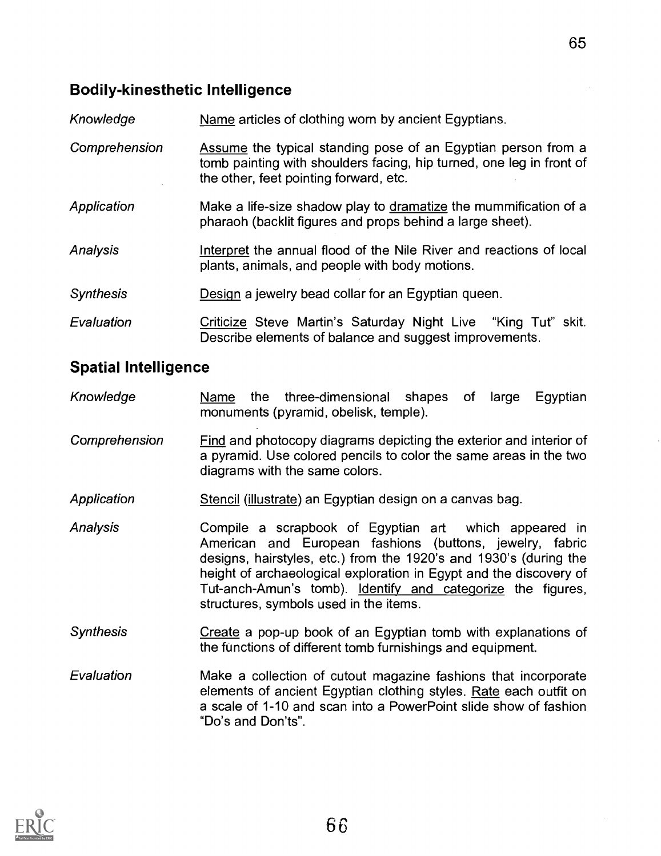#### Bodily-kinesthetic Intelligence

| Knowledge        | Name articles of clothing worn by ancient Egyptians.                                                                                                                            |
|------------------|---------------------------------------------------------------------------------------------------------------------------------------------------------------------------------|
| Comprehension    | Assume the typical standing pose of an Egyptian person from a<br>tomb painting with shoulders facing, hip turned, one leg in front of<br>the other, feet pointing forward, etc. |
| Application      | Make a life-size shadow play to dramatize the mummification of a<br>pharaoh (backlit figures and props behind a large sheet).                                                   |
| Analysis         | Interpret the annual flood of the Nile River and reactions of local<br>plants, animals, and people with body motions.                                                           |
| <b>Synthesis</b> | Design a jewelry bead collar for an Egyptian queen.                                                                                                                             |
| Evaluation       | Criticize Steve Martin's Saturday Night Live "King Tut" skit.<br>Describe elements of balance and suggest improvements.                                                         |

#### Spatial Intelligence

- Knowledge Mame the three-dimensional shapes of large Egyptian monuments (pyramid, obelisk, temple).
- Comprehension Find and photocopy diagrams depicting the exterior and interior of a pyramid. Use colored pencils to color the same areas in the two diagrams with the same colors.
- Application Stencil (illustrate) an Egyptian design on a canvas bag.
- Analysis Compile a scrapbook of Egyptian art which appeared in American and European fashions (buttons, jewelry, fabric designs, hairstyles, etc.) from the 1920's and 1930's (during the height of archaeological exploration in Egypt and the discovery of Tut-anch-Amun's tomb). Identify and categorize the figures, structures, symbols used in the items.
- Synthesis **Create a pop-up book of an Egyptian tomb with explanations of** the functions of different tomb furnishings and equipment.
- Evaluation Make a collection of cutout magazine fashions that incorporate elements of ancient Egyptian clothing styles. Rate each outfit on a scale of 1-10 and scan into a PowerPoint slide show of fashion "Do's and Don'ts".

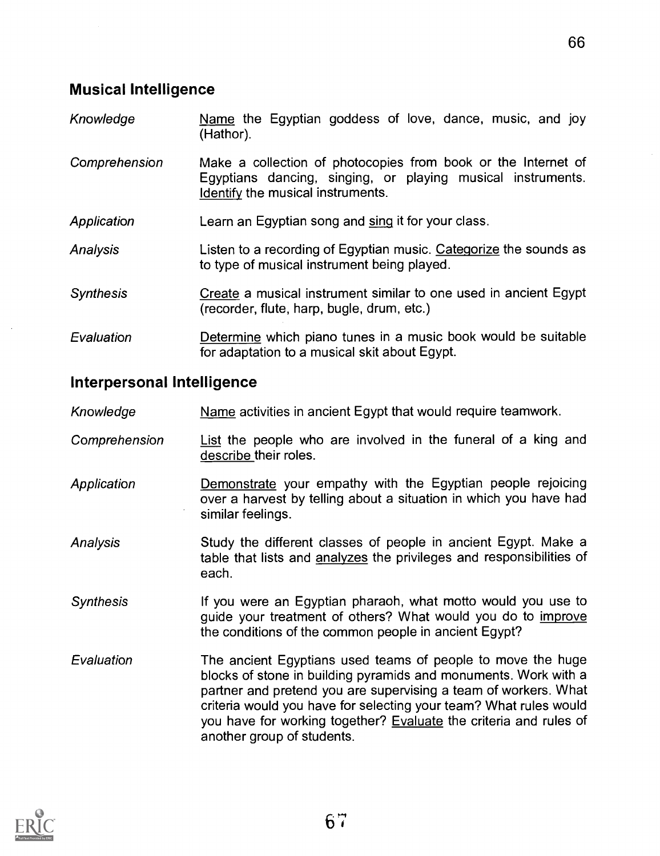### Musical Intelligence

- Knowledge Name the Egyptian goddess of love, dance, music, and joy (Hathor).
- **Comprehension** Make a collection of photocopies from book or the Internet of Egyptians dancing, singing, or playing musical instruments. Identify the musical instruments.
- **Application** Learn an Egyptian song and sinq it for your class.
- Analysis Listen to a recording of Egyptian music. Categorize the sounds as to type of musical instrument being played.
- **Synthesis** Create a musical instrument similar to one used in ancient Egypt (recorder, flute, harp, bugle, drum, etc.)
- **Evaluation** Determine which piano tunes in a music book would be suitable for adaptation to a musical skit about Egypt.

#### Interpersonal Intelligence

- Knowledge Comprehension Name activities in ancient Egypt that would require teamwork. List the people who are involved in the funeral of a king and describe their roles.
- **Application** Demonstrate your empathy with the Egyptian people rejoicing over a harvest by telling about a situation in which you have had similar feelings.
- **Analysis** Study the different classes of people in ancient Egypt. Make a table that lists and analyzes the privileges and responsibilities of each.
- **Synthesis** If you were an Egyptian pharaoh, what motto would you use to guide your treatment of others? What would you do to improve the conditions of the common people in ancient Egypt?
- Evaluation The ancient Egyptians used teams of people to move the huge blocks of stone in building pyramids and monuments. Work with a partner and pretend you are supervising a team of workers. What criteria would you have for selecting your team? What rules would you have for working together? Evaluate the criteria and rules of another group of students.

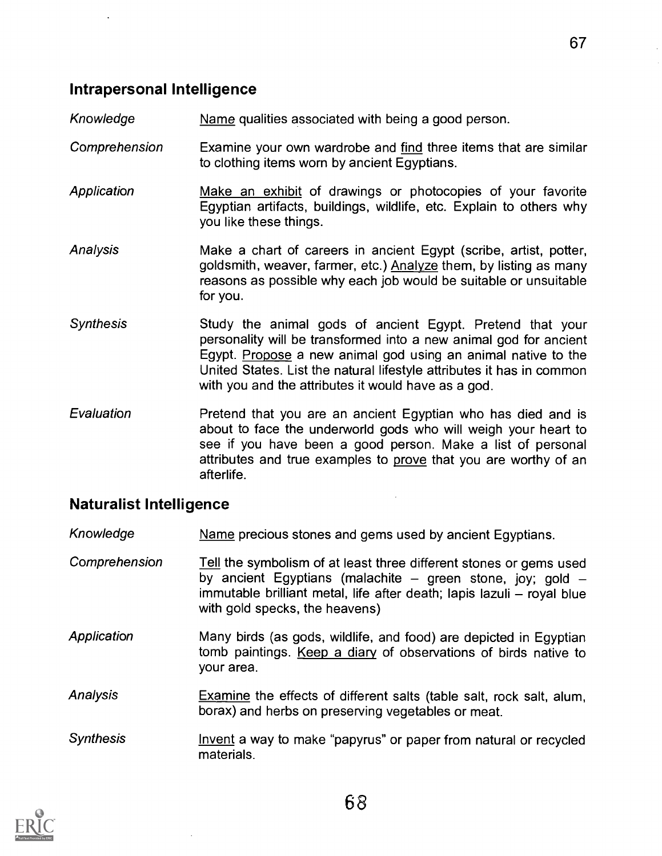#### Intrapersonal Intelligence

Knowledge Name qualities associated with being a good person.

- Comprehension Examine your own wardrobe and find three items that are similar to clothing items worn by ancient Egyptians.
- **Application** Make an exhibit of drawings or photocopies of your favorite Egyptian artifacts, buildings, wildlife, etc. Explain to others why you like these things.
- Analysis Make a chart of careers in ancient Egypt (scribe, artist, potter, goldsmith, weaver, farmer, etc.) Analyze them, by listing as many reasons as possible why each job would be suitable or unsuitable for you.
- **Synthesis** Study the animal gods of ancient Egypt. Pretend that your personality will be transformed into a new animal god for ancient Egypt. Propose a new animal god using an animal native to the United States. List the natural lifestyle attributes it has in common with you and the attributes it would have as a god.
- **Evaluation** Pretend that you are an ancient Egyptian who has died and is about to face the underworld gods who will weigh your heart to see if you have been a good person. Make a list of personal attributes and true examples to prove that you are worthy of an afterlife.

#### Naturalist Intelligence

- Knowledge Mame precious stones and gems used by ancient Egyptians.
- Comprehension Tell the symbolism of at least three different stones or gems used by ancient Egyptians (malachite  $-$  green stone, joy; gold  $$ immutable brilliant metal, life after death; lapis lazuli – royal blue with gold specks, the heavens)
- **Application** Many birds (as gods, wildlife, and food) are depicted in Egyptian tomb paintings. Keep a diary of observations of birds native to your area.
- Analysis Examine the effects of different salts (table salt, rock salt, alum, borax) and herbs on preserving vegetables or meat.
- **Synthesis** Invent a way to make "papyrus" or paper from natural or recycled materials.

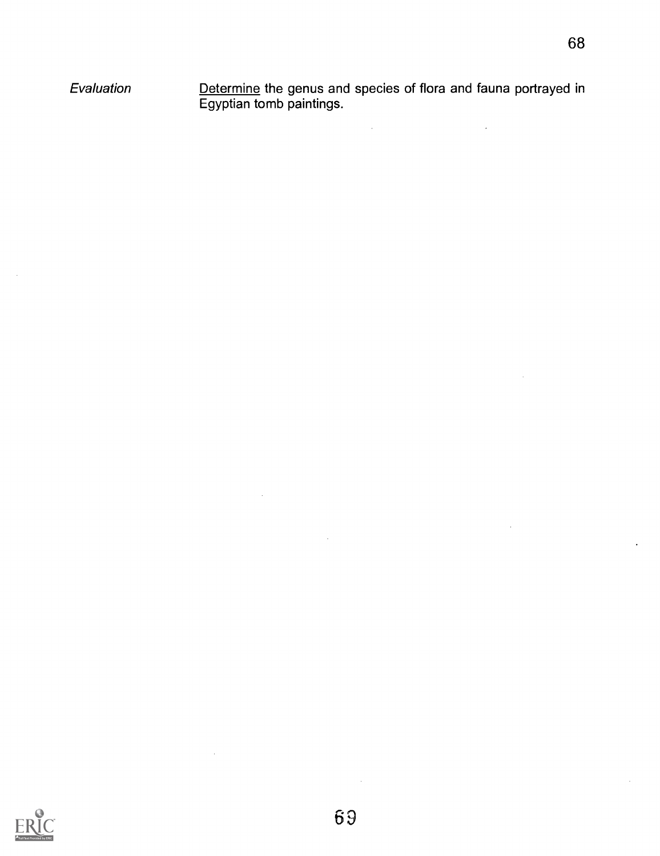Evaluation <u>Determine</u> the genus and species of flora and fauna portrayed in Egyptian tomb paintings.

 $\mathbb{R}^2$ 

 $\mathcal{L}^{\text{max}}_{\text{max}}$ 



 $\mathcal{L}$ 

 $\bar{\mathcal{A}}$ 

 $\mathcal{L}_{\mathcal{A}}$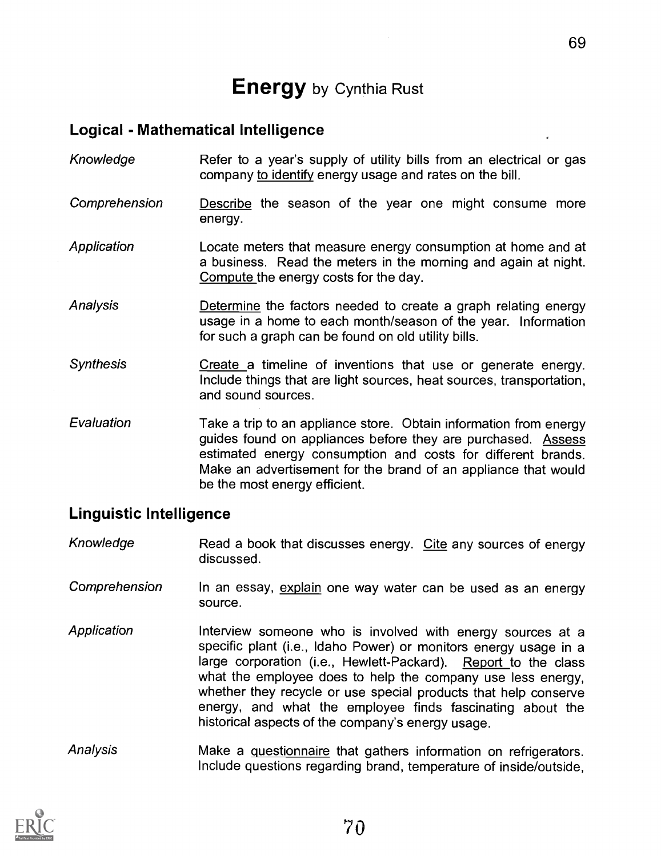# **Energy** by Cynthia Rust

#### Logical - Mathematical Intelligence

- Knowledge Refer to a year's supply of utility bills from an electrical or gas company to identify energy usage and rates on the bill.
- Comprehension Describe the season of the year one might consume more energy.
- Application Locate meters that measure energy consumption at home and at a business. Read the meters in the morning and again at night. Compute the energy costs for the day.
- **Analysis** Determine the factors needed to create a graph relating energy usage in a home to each month/season of the year. Information for such a graph can be found on old utility bills.
- **Synthesis** Create a timeline of inventions that use or generate energy. Include things that are light sources, heat sources, transportation, and sound sources.
- Evaluation Take a trip to an appliance store. Obtain information from energy guides found on appliances before they are purchased. Assess estimated energy consumption and costs for different brands. Make an advertisement for the brand of an appliance that would be the most energy efficient.

#### Linguistic Intelligence

- Knowledge Read a book that discusses energy. Cite any sources of energy discussed.
- **Comprehension** In an essay, explain one way water can be used as an energy source.
- **Application** Interview someone who is involved with energy sources at a specific plant (i.e., Idaho Power) or monitors energy usage in a large corporation (i.e., Hewlett-Packard). Report to the class what the employee does to help the company use less energy, whether they recycle or use special products that help conserve energy, and what the employee finds fascinating about the historical aspects of the company's energy usage.
- Analysis Make a questionnaire that gathers information on refrigerators. Include questions regarding brand, temperature of inside/outside,

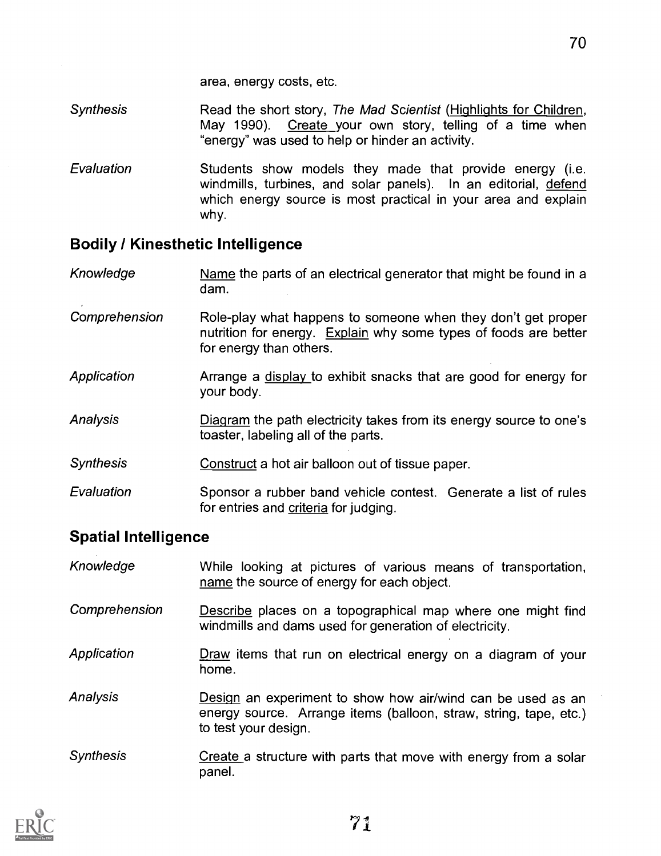- **Synthesis** Read the short story, The Mad Scientist (Highlights for Children, May 1990). Create your own story, telling of a time when "energy" was used to help or hinder an activity.
- Evaluation Students show models they made that provide energy (i.e. windmills, turbines, and solar panels). In an editorial, defend which energy source is most practical in your area and explain why.

#### Bodily / Kinesthetic Intelligence

- Knowledge Name the parts of an electrical generator that might be found in a dam.
- Comprehension Role-play what happens to someone when they don't get proper nutrition for energy. Explain why some types of foods are better for energy than others.
- **Application** Arrange a display to exhibit snacks that are good for energy for your body.
- Analysis Diagram the path electricity takes from its energy source to one's toaster, labeling all of the parts.
- **Synthesis** Construct a hot air balloon out of tissue paper.
- Evaluation Sponsor a rubber band vehicle contest. Generate a list of rules for entries and criteria for judging.

#### Spatial Intelligence

| Knowledge        | While looking at pictures of various means of transportation,<br>name the source of energy for each object.                                              |
|------------------|----------------------------------------------------------------------------------------------------------------------------------------------------------|
| Comprehension    | Describe places on a topographical map where one might find<br>windmills and dams used for generation of electricity.                                    |
| Application      | Draw items that run on electrical energy on a diagram of your<br>home.                                                                                   |
| Analysis         | Design an experiment to show how air/wind can be used as an<br>energy source. Arrange items (balloon, straw, string, tape, etc.)<br>to test your design. |
| <b>Synthesis</b> | Create a structure with parts that move with energy from a solar<br>panel.                                                                               |

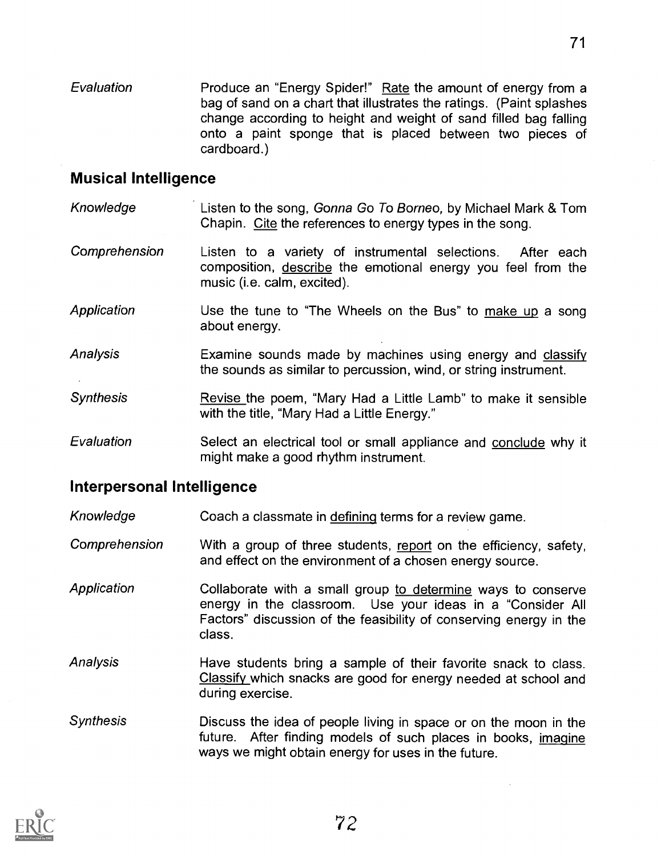**Evaluation** Produce an "Energy Spider!" Rate the amount of energy from a bag of sand on a chart that illustrates the ratings. (Paint splashes change according to height and weight of sand filled bag falling onto a paint sponge that is placed between two pieces of cardboard.)

#### Musical Intelligence

- Knowledge **Listen to the song, Gonna Go To Borneo**, by Michael Mark & Tom Chapin. Cite the references to energy types in the song.
- Comprehension Listen to a variety of instrumental selections. After each composition, describe the emotional energy you feel from the music (i.e. calm, excited).
- Application Use the tune to "The Wheels on the Bus" to make up a song about energy.
- Analysis Examine sounds made by machines using energy and classify the sounds as similar to percussion, wind, or string instrument.
- **Synthesis** Revise the poem, "Mary Had a Little Lamb" to make it sensible with the title, "Mary Had a Little Energy."
- Evaluation Select an electrical tool or small appliance and conclude why it might make a good rhythm instrument.

#### Interpersonal Intelligence

- Knowledge Coach a classmate in defining terms for a review game.
- Comprehension With a group of three students, report on the efficiency, safety, and effect on the environment of a chosen energy source.
- Application Collaborate with a small group to determine ways to conserve energy in the classroom. Use your ideas in a "Consider All Factors" discussion of the feasibility of conserving energy in the class.
- Analysis Have students bring a sample of their favorite snack to class. Classify which snacks are good for energy needed at school and during exercise.
- Synthesis Discuss the idea of people living in space or on the moon in the future. After finding models of such places in books, imagine ways we might obtain energy for uses in the future.

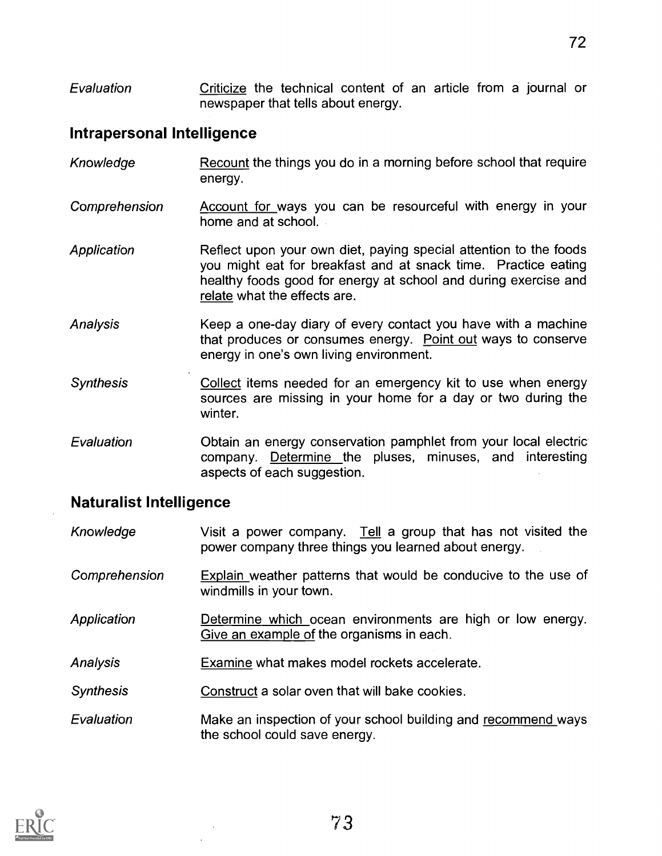Evaluation Criticize the technical content of an article from a journal or newspaper that tells about energy.

#### Intrapersonal Intelligence

| Knowledge        | Recount the things you do in a morning before school that require<br>energy.                                                                                                                                                           |
|------------------|----------------------------------------------------------------------------------------------------------------------------------------------------------------------------------------------------------------------------------------|
| Comprehension    | Account for ways you can be resourceful with energy in your<br>home and at school.                                                                                                                                                     |
| Application      | Reflect upon your own diet, paying special attention to the foods<br>you might eat for breakfast and at snack time. Practice eating<br>healthy foods good for energy at school and during exercise and<br>relate what the effects are. |
| Analysis         | Keep a one-day diary of every contact you have with a machine<br>that produces or consumes energy. Point out ways to conserve<br>energy in one's own living environment.                                                               |
| <b>Synthesis</b> | Collect items needed for an emergency kit to use when energy<br>sources are missing in your home for a day or two during the<br>winter.                                                                                                |
| Evaluation       | Obtain an energy conservation pamphlet from your local electric<br>company. Determine the pluses, minuses, and interesting<br>aspects of each suggestion.                                                                              |

#### Naturalist Intelligence

- Knowledge **Visit a power company**. Tell a group that has not visited the power company three things you learned about energy.
- Comprehension Explain weather patterns that would be conducive to the use of windmills in your town.
- Application **Determine which ocean environments are high or low energy.** Give an example of the organisms in each.
- Analysis Examine what makes model rockets accelerate.
- Synthesis Construct a solar oven that will bake cookies.
- Evaluation Make an inspection of your school building and recommend ways the school could save energy.

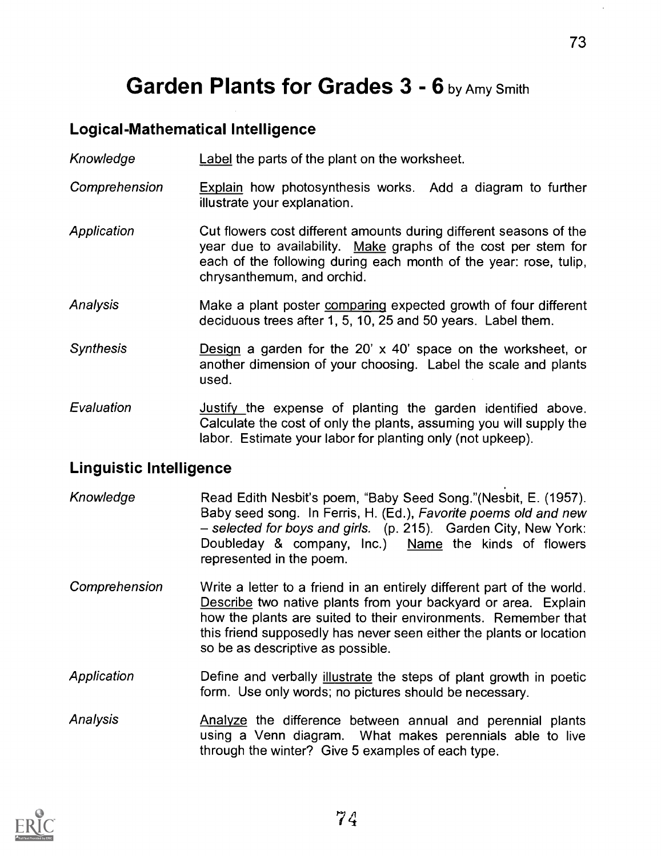# Garden Plants for Grades 3 - 6 by Amy Smith

## Logical-Mathematical Intelligence

Knowledge Label the parts of the plant on the worksheet.

- Comprehension Explain how photosynthesis works. Add a diagram to further illustrate your explanation.
- Application Cut flowers cost different amounts during different seasons of the year due to availability. Make graphs of the cost per stem for each of the following during each month of the year: rose, tulip, chrysanthemum, and orchid.
- Analysis Make a plant poster comparing expected growth of four different deciduous trees after 1, 5, 10, 25 and 50 years. Label them.
- Synthesis **Design** a garden for the 20' x 40' space on the worksheet, or another dimension of your choosing. Label the scale and plants used.
- Evaluation **Interpretity the expense of planting the garden identified above.** Calculate the cost of only the plants, assuming you will supply the labor. Estimate your labor for planting only (not upkeep).

#### Linguistic Intelligence

- Knowledge Read Edith Nesbit's poem, "Baby Seed Song."(Nesbit, E. (1957). Baby seed song. In Ferris, H. (Ed.), Favorite poems old and new - selected for boys and girls. (p. 215). Garden City, New York: Doubleday & company, Inc.) Name the kinds of flowers represented in the poem.
- Comprehension Write a letter to a friend in an entirely different part of the world. Describe two native plants from your backyard or area. Explain how the plants are suited to their environments. Remember that this friend supposedly has never seen either the plants or location so be as descriptive as possible.
- Application **Define and verbally illustrate the steps of plant growth in poetic** form. Use only words; no pictures should be necessary.
- Analysis **Analyze** the difference between annual and perennial plants using a Venn diagram. What makes perennials able to live through the winter? Give 5 examples of each type.

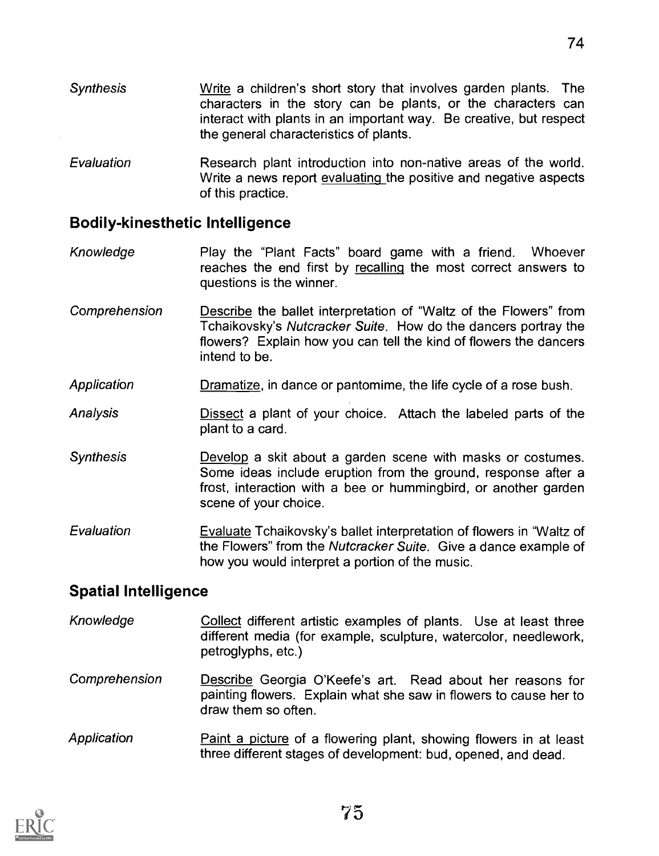- Synthesis Write a children's short story that involves garden plants. The characters in the story can be plants, or the characters can interact with plants in an important way. Be creative, but respect the general characteristics of plants.
- Evaluation Research plant introduction into non-native areas of the world. Write a news report evaluating the positive and negative aspects of this practice.

#### Bodily-kinesthetic Intelligence

- Knowledge Play the "Plant Facts" board game with a friend. Whoever reaches the end first by recalling the most correct answers to questions is the winner.
- Comprehension **Describe** the ballet interpretation of "Waltz of the Flowers" from Tchaikovsky's Nutcracker Suite. How do the dancers portray the flowers? Explain how you can tell the kind of flowers the dancers intend to be.
- Application Dramatize, in dance or pantomime, the life cycle of a rose bush.
- Analysis **Dissect a plant of your choice.** Attach the labeled parts of the plant to a card.
- Synthesis **Develop** a skit about a garden scene with masks or costumes. Some ideas include eruption from the ground, response after a frost, interaction with a bee or hummingbird, or another garden scene of your choice.
- Evaluation Evaluate Tchaikovsky's ballet interpretation of flowers in "Waltz of the Flowers" from the Nutcracker Suite. Give a dance example of how you would interpret a portion of the music.

# Spatial Intelligence

- Knowledge Collect different artistic examples of plants. Use at least three different media (for example, sculpture, watercolor, needlework, petroglyphs, etc.)
- Comprehension Describe Georgia O'Keefe's art. Read about her reasons for painting flowers. Explain what she saw in flowers to cause her to draw them so often.
- Application Paint a picture of a flowering plant, showing flowers in at least three different stages of development: bud, opened, and dead.

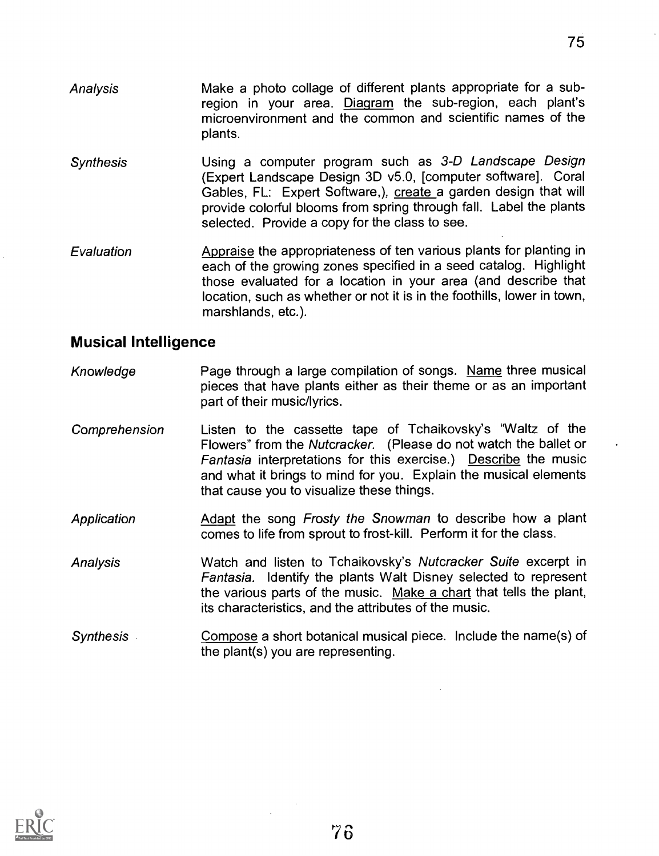- Analysis Make a photo collage of different plants appropriate for a subregion in your area. Diagram the sub-region, each plant's microenvironment and the common and scientific names of the plants.
- **Synthesis** Using a computer program such as 3-D Landscape Design (Expert Landscape Design 3D v5.0, [computer software]. Coral Gables, FL: Expert Software,), create a garden design that will provide colorful blooms from spring through fall. Label the plants selected. Provide a copy for the class to see.
- Evaluation Appraise the appropriateness of ten various plants for planting in each of the growing zones specified in a seed catalog. Highlight those evaluated for a location in your area (and describe that location, such as whether or not it is in the foothills, lower in town, marshlands, etc.).

#### Musical Intelligence

- Knowledge **Page through a large compilation of songs.** Name three musical pieces that have plants either as their theme or as an important part of their music/lyrics.
- Comprehension Listen to the cassette tape of Tchaikovsky's "Waltz of the Flowers" from the Nutcracker. (Please do not watch the ballet or Fantasia interpretations for this exercise.) Describe the music and what it brings to mind for you. Explain the musical elements that cause you to visualize these things.
- **Application** Adapt the song Frosty the Snowman to describe how a plant comes to life from sprout to frost-kill. Perform it for the class.
- Analysis Watch and listen to Tchaikovsky's Nutcracker Suite excerpt in Fantasia. Identify the plants Walt Disney selected to represent the various parts of the music. Make a chart that tells the plant, its characteristics, and the attributes of the music.
- Synthesis Compose a short botanical musical piece. Include the name(s) of the plant(s) you are representing.

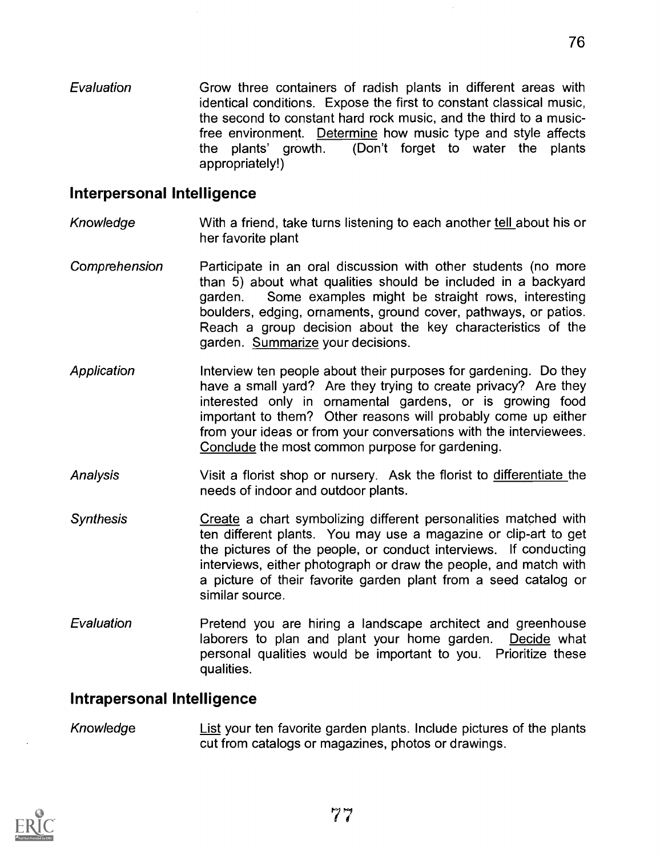Evaluation Grow three containers of radish plants in different areas with identical conditions. Expose the first to constant classical music, the second to constant hard rock music, and the third to a musicfree environment. Determine how music type and style affects the plants' growth. (Don't forget to water the plants appropriately!)

76

#### Interpersonal Intelligence

- Knowledge With a friend, take turns listening to each another tell about his or her favorite plant
- Comprehension Participate in an oral discussion with other students (no more than 5) about what qualities should be included in a backyard garden. Some examples might be straight rows, interesting boulders, edging, ornaments, ground cover, pathways, or patios. Reach a group decision about the key characteristics of the garden. Summarize your decisions.
- Application Interview ten people about their purposes for gardening. Do they have a small yard? Are they trying to create privacy? Are they interested only in ornamental gardens, or is growing food important to them? Other reasons will probably come up either from your ideas or from your conversations with the interviewees. Conclude the most common purpose for gardening.
- Analysis Visit a florist shop or nursery. Ask the florist to differentiate the needs of indoor and outdoor plants.
- **Synthesis** Create a chart symbolizing different personalities matched with ten different plants. You may use a magazine or clip-art to get the pictures of the people, or conduct interviews. If conducting interviews, either photograph or draw the people, and match with a picture of their favorite garden plant from a seed catalog or similar source.
- **Evaluation** Pretend you are hiring a landscape architect and greenhouse laborers to plan and plant your home garden. Decide what personal qualities would be important to you. Prioritize these qualities.

#### Intrapersonal Intelligence

Knowledge List your ten favorite garden plants. Include pictures of the plants cut from catalogs or magazines, photos or drawings.

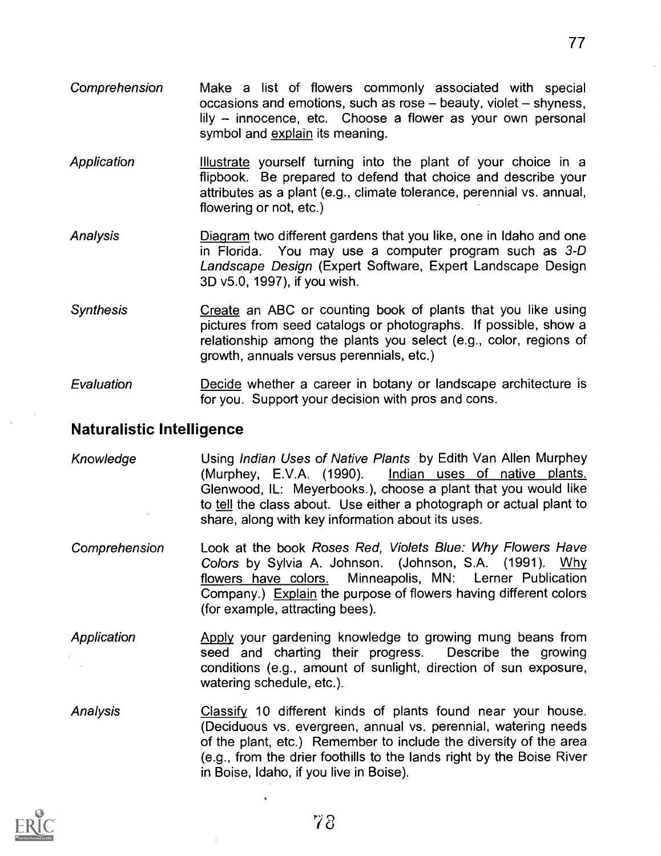- Comprehension Make a list of flowers commonly associated with special occasions and emotions, such as rose  $-$  beauty, violet  $-$  shyness,  $lily$  - innocence, etc. Choose a flower as your own personal symbol and explain its meaning.
- Application Illustrate yourself turning into the plant of your choice in a flipbook. Be prepared to defend that choice and describe your attributes as a plant (e.g., climate tolerance, perennial vs. annual, flowering or not, etc.)
- Analysis Diagram two different gardens that you like, one in Idaho and one in Florida. You may use a computer program such as 3-D Landscape Design (Expert Software, Expert Landscape Design 3D v5.0, 1997), if you wish.
- Synthesis Create an ABC or counting book of plants that you like using pictures from seed catalogs or photographs. If possible, show a relationship among the plants you select (e.g., color, regions of growth, annuals versus perennials, etc.)
- Evaluation Decide whether a career in botany or landscape architecture is for you. Support your decision with pros and cons.

#### Naturalistic Intelligence

- Knowledge **Using Indian Uses of Native Plants** by Edith Van Allen Murphey (Murphey, E.V.A. (1990). Indian uses of native plants. Glenwood, IL: Meyerbooks.), choose a plant that you would like to tell the class about. Use either a photograph or actual plant to share, along with key information about its uses.
- Comprehension Look at the book Roses Red, Violets Blue: Why Flowers Have Colors by Sylvia A. Johnson. (Johnson, S.A. (1991). Why flowers have colors. Minneapolis, MN: Lerner Publication Company.) Explain the purpose of flowers having different colors (for example, attracting bees).
- Application Apply your gardening knowledge to growing mung beans from seed and charting their progress. Describe the growing conditions (e.g., amount of sunlight, direction of sun exposure, watering schedule, etc.).
- Analysis Classify 10 different kinds of plants found near your house. (Deciduous vs. evergreen, annual vs. perennial, watering needs of the plant, etc.) Remember to include the diversity of the area (e.g., from the drier foothills to the lands right by the Boise River in Boise, Idaho, if you live in Boise).



 $\lambda$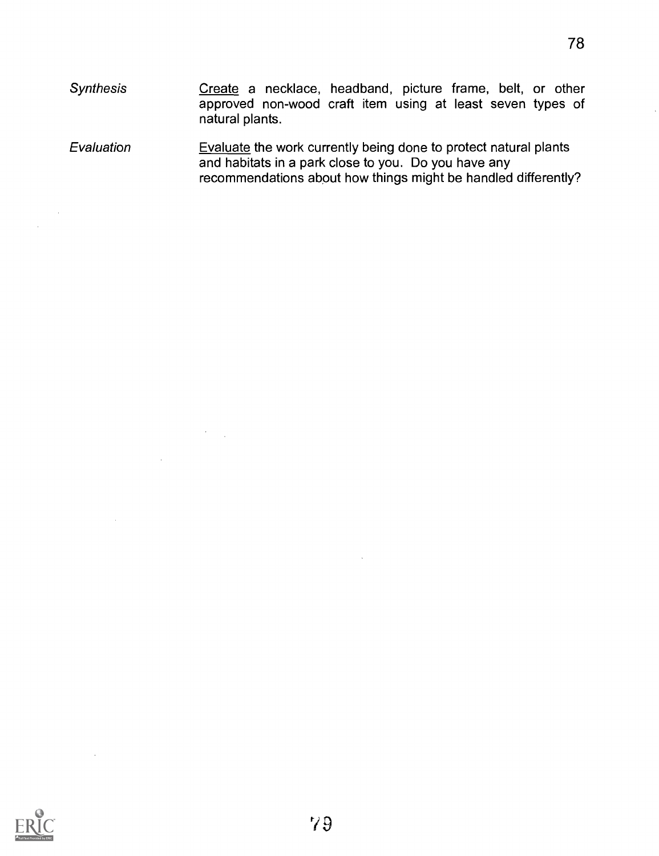78

- **Synthesis Evaluation** Create a necklace, headband, picture frame, belt, or other approved non-wood craft item using at least seven types of natural plants. Evaluate the work currently being done to protect natural plants
- and habitats in a park close to you. Do you have any recommendations about how things might be handled differently?



 $\alpha$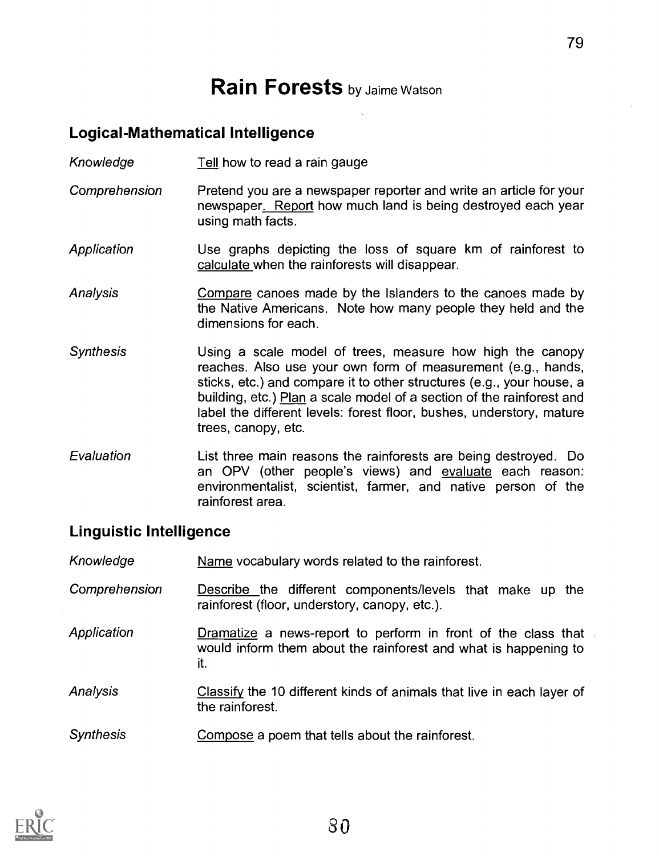# **Rain Forests** by Jaime Watson

### Logical-Mathematical Intelligence

- Knowledge Tell how to read a rain gauge
- Comprehension Pretend you are a newspaper reporter and write an article for your newspaper. Report how much land is being destroyed each year using math facts.
- Application Use graphs depicting the loss of square km of rainforest to calculate when the rainforests will disappear.
- **Analysis** Compare canoes made by the Islanders to the canoes made by the Native Americans. Note how many people they held and the dimensions for each.
- Synthesis Using a scale model of trees, measure how high the canopy reaches. Also use your own form of measurement (e.g., hands, sticks, etc.) and compare it to other structures (e.g., your house, a building, etc.) Plan a scale model of a section of the rainforest and label the different levels: forest floor, bushes, understory, mature trees, canopy, etc.
- **Evaluation** List three main reasons the rainforests are being destroyed. Do an OPV (other people's views) and evaluate each reason: environmentalist, scientist, farmer, and native person of the rainforest area.

# Linguistic Intelligence

Knowledge Name vocabulary words related to the rainforest.

- Comprehension **Describe the different components/levels that make up the** rainforest (floor, understory, canopy, etc.).
- **Application** Dramatize a news-report to perform in front of the class that would inform them about the rainforest and what is happening to it.
- **Analysis** Classify the 10 different kinds of animals that live in each layer of the rainforest.
- **Synthesis** Compose a poem that tells about the rainforest.

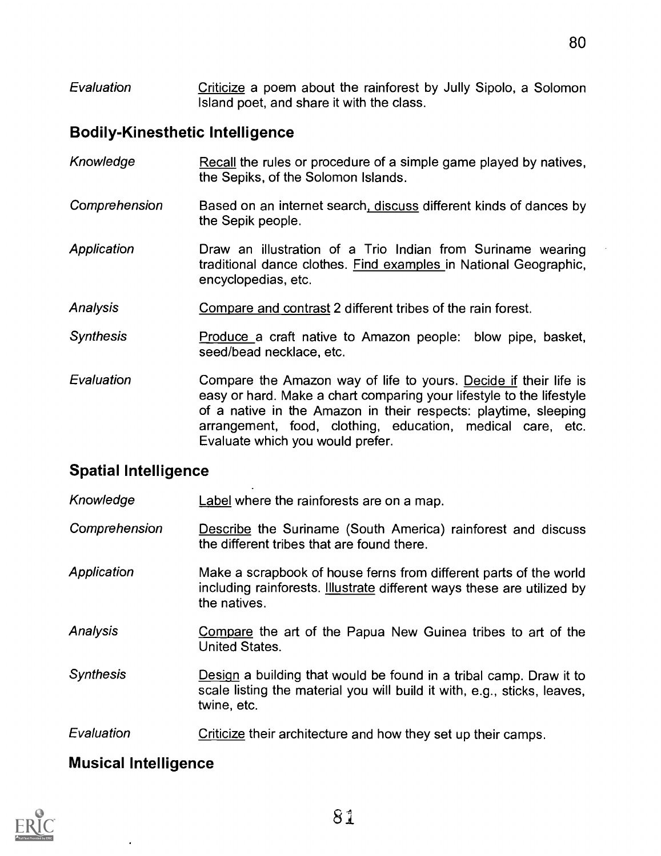Evaluation Criticize a poem about the rainforest by Jully Sipolo, a Solomon Island poet, and share it with the class.

# Bodily-Kinesthetic Intelligence

| Knowledge        | Recall the rules or procedure of a simple game played by natives,<br>the Sepiks, of the Solomon Islands.                                                                                                                                                                                                      |
|------------------|---------------------------------------------------------------------------------------------------------------------------------------------------------------------------------------------------------------------------------------------------------------------------------------------------------------|
| Comprehension    | Based on an internet search, discuss different kinds of dances by<br>the Sepik people.                                                                                                                                                                                                                        |
| Application      | Draw an illustration of a Trio Indian from Suriname wearing<br>traditional dance clothes. Find examples in National Geographic,<br>encyclopedias, etc.                                                                                                                                                        |
| Analysis         | Compare and contrast 2 different tribes of the rain forest.                                                                                                                                                                                                                                                   |
| <b>Synthesis</b> | Produce a craft native to Amazon people: blow pipe, basket,<br>seed/bead necklace, etc.                                                                                                                                                                                                                       |
| Evaluation       | Compare the Amazon way of life to yours. Decide if their life is<br>easy or hard. Make a chart comparing your lifestyle to the lifestyle<br>of a native in the Amazon in their respects: playtime, sleeping<br>arrangement, food, clothing, education, medical care, etc.<br>Evaluate which you would prefer. |

# Spatial Intelligence

Knowledge Label where the rainforests are on a map.

- Comprehension Describe the Suriname (South America) rainforest and discuss the different tribes that are found there.
- Application Make a scrapbook of house ferns from different parts of the world including rainforests. Illustrate different ways these are utilized by the natives.
- Analysis **Compare** the art of the Papua New Guinea tribes to art of the United States.
- Synthesis **Design a building that would be found in a tribal camp. Draw it to** scale listing the material you will build it with, e.g., sticks, leaves, twine, etc.
- Evaluation **Criticize** their architecture and how they set up their camps.

# Musical Intelligence

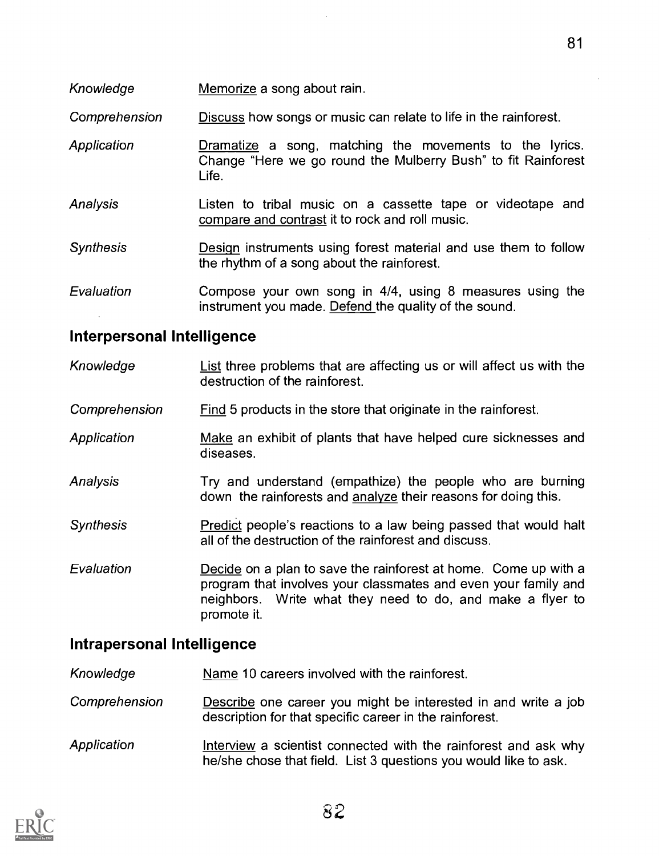Knowledge Memorize a song about rain.

Comprehension Discuss how songs or music can relate to life in the rainforest.

- **Application** Dramatize a song, matching the movements to the lyrics. Change "Here we go round the Mulberry Bush" to fit Rainforest Life.
- Analysis Listen to tribal music on a cassette tape or videotape and compare and contrast it to rock and roll music.
- Synthesis Design instruments using forest material and use them to follow the rhythm of a song about the rainforest.
- Evaluation Compose your own song in 4/4, using 8 measures using the instrument you made. Defend the quality of the sound.

#### Interpersonal Intelligence

- Knowledge List three problems that are affecting us or will affect us with the destruction of the rainforest.
- **Comprehension** Find 5 products in the store that originate in the rainforest.
- **Application** Make an exhibit of plants that have helped cure sicknesses and diseases.
- Analysis Try and understand (empathize) the people who are burning down the rainforests and analyze their reasons for doing this.
- Synthesis Predict people's reactions to a law being passed that would halt all of the destruction of the rainforest and discuss.
- Evaluation Decide on a plan to save the rainforest at home. Come up with a program that involves your classmates and even your family and neighbors. Write what they need to do, and make a flyer to promote it.

#### Intrapersonal Intelligence

- Knowledge Name 10 careers involved with the rainforest.
- **Comprehension** Describe one career you might be interested in and write a job description for that specific career in the rainforest.
- **Application** Interview a scientist connected with the rainforest and ask why he/she chose that field. List 3 questions you would like to ask.

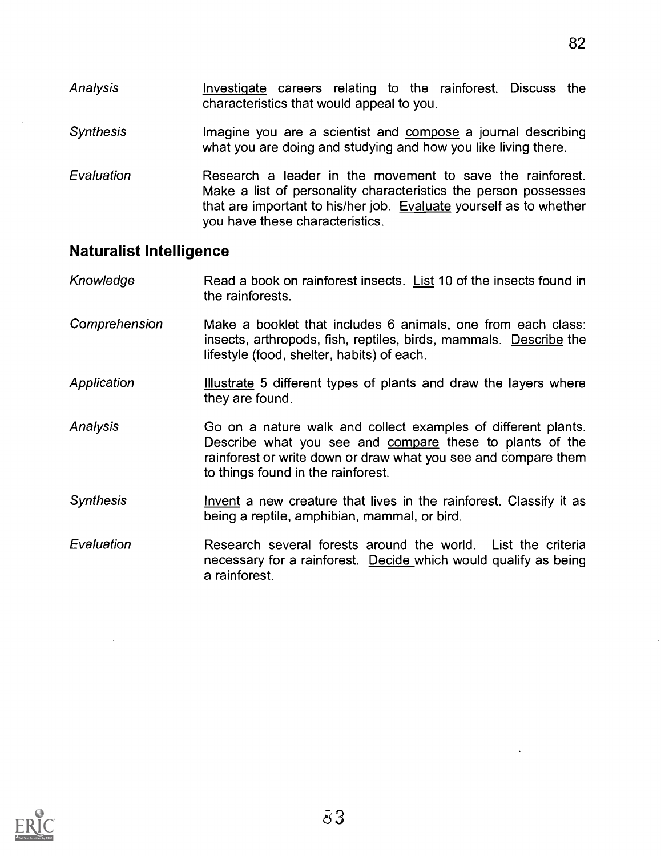- Analysis Investigate careers relating to the rainforest. Discuss the characteristics that would appeal to you.
- **Synthesis** Imagine you are a scientist and compose a journal describing what you are doing and studying and how you like living there.
- Evaluation Research a leader in the movement to save the rainforest. Make a list of personality characteristics the person possesses that are important to his/her job. Evaluate yourself as to whether you have these characteristics.

#### Naturalist Intelligence

- Knowledge Read a book on rainforest insects. List 10 of the insects found in the rainforests.
- Comprehension Make a booklet that includes 6 animals, one from each class: insects, arthropods, fish, reptiles, birds, mammals. Describe the lifestyle (food, shelter, habits) of each.
- Application Illustrate 5 different types of plants and draw the layers where they are found.
- Analysis Go on a nature walk and collect examples of different plants. Describe what you see and compare these to plants of the rainforest or write down or draw what you see and compare them to things found in the rainforest.
- **Synthesis** Invent a new creature that lives in the rainforest. Classify it as being a reptile, amphibian, mammal, or bird.
- Evaluation Research several forests around the world. List the criteria necessary for a rainforest. Decide which would qualify as being a rainforest.

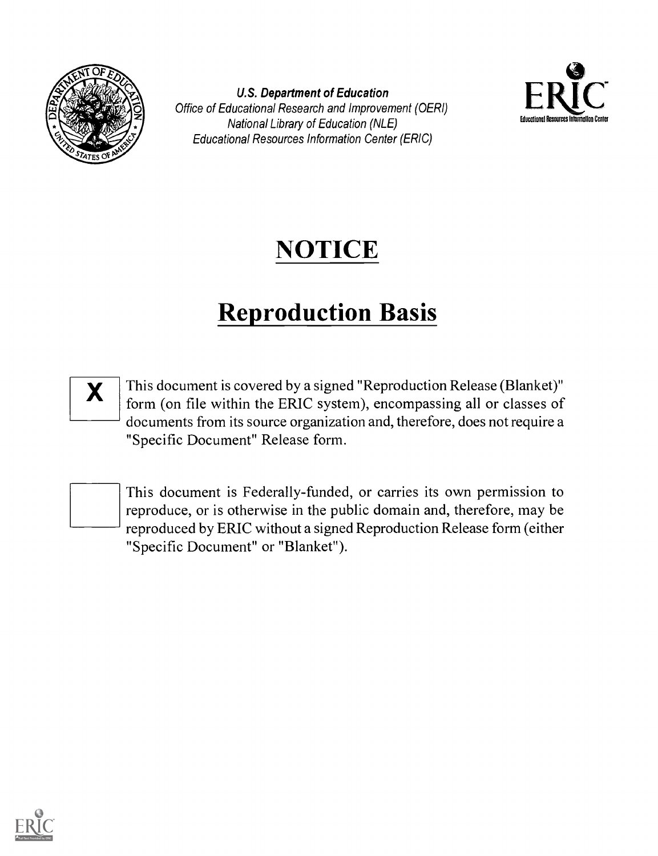

U.S. Department of Education Office of Educational Research and Improvement (OERI) National Library of Education (NLE) Educational Resources Information Center (ERIC)



# NOTICE

# Reproduction Basis



This document is covered by a signed "Reproduction Release (Blanket)" form (on file within the ERIC system), encompassing all or classes of documents from its source organization and, therefore, does not require a "Specific Document" Release form.



This document is Federally-funded, or carries its own permission to reproduce, or is otherwise in the public domain and, therefore, may be reproduced by ERIC without a signed Reproduction Release form (either "Specific Document" or "Blanket").

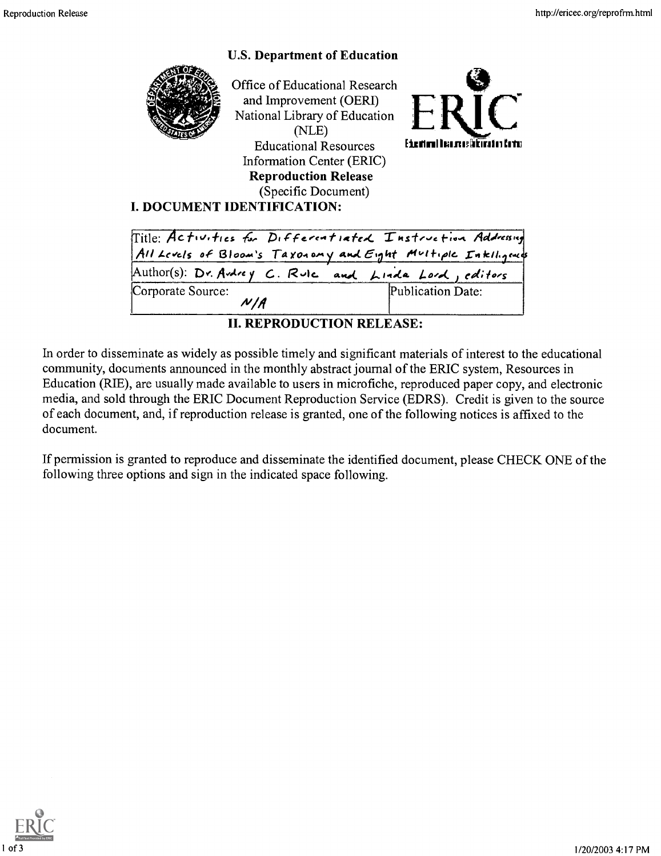# U.S. Department of Education Office of Educational Research and Improvement (OERI) National Library of Education (NLE) Educational Resources External Barrestrulusting Information Center (ERIC) Reproduction Release (Specific Document) I. DOCUMENT IDENTIFICATION:

|                                                       | Title: Activities for Differentiated Instruction Addressing<br>All Levels of Bloom's Taxonomy and Eight Multiple Intelligents |
|-------------------------------------------------------|-------------------------------------------------------------------------------------------------------------------------------|
| Author(s): Dr. Andrey C. Rule and Linda Lord, editors |                                                                                                                               |
| Corporate Source:<br>N   A                            | Publication Date:                                                                                                             |

II. REPRODUCTION RELEASE:

In order to disseminate as widely as possible timely and significant materials of interest to the educational community, documents announced in the monthly abstract journal of the ERIC system, Resources in Education (RIE), are usually made available to users in microfiche, reproduced paper copy, and electronic media, and sold through the ERIC Document Reproduction Service (EDRS). Credit is given to the source of each document, and, if reproduction release is granted, one of the following notices is affixed to the document.

If permission is granted to reproduce and disseminate the identified document, please CHECK ONE of the following three options and sign in the indicated space following.

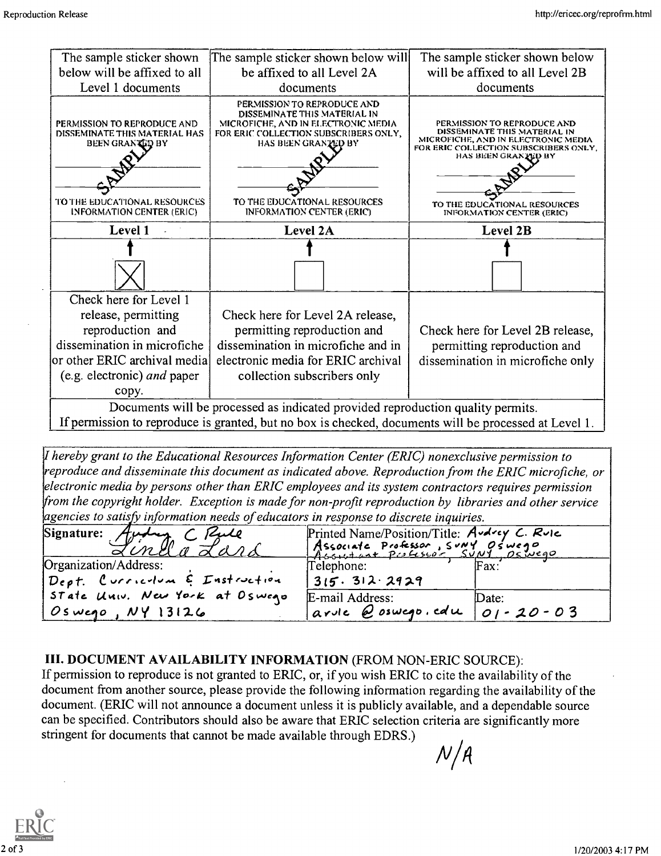| The sample sticker shown                                                                                                                                   | The sample sticker shown below will                                                                                                                                                                                                    | The sample sticker shown below                                                                                                                                                                                                         |  |
|------------------------------------------------------------------------------------------------------------------------------------------------------------|----------------------------------------------------------------------------------------------------------------------------------------------------------------------------------------------------------------------------------------|----------------------------------------------------------------------------------------------------------------------------------------------------------------------------------------------------------------------------------------|--|
| below will be affixed to all                                                                                                                               | be affixed to all Level 2A                                                                                                                                                                                                             | will be affixed to all Level 2B                                                                                                                                                                                                        |  |
| Level 1 documents                                                                                                                                          | documents                                                                                                                                                                                                                              | documents                                                                                                                                                                                                                              |  |
| PERMISSION TO REPRODUCE AND<br>DISSEMINATE THIS MATERIAL HAS<br><b>BEEN GRANTED BY</b><br>TO THE EDUCATIONAL RESOURCES<br><b>INFORMATION CENTER (ERIC)</b> | PERMISSION TO REPRODUCE AND<br>DISSEMINATE THIS MATERIAL IN<br>MICROFICHE, AND IN ELECTRONIC MEDIA<br>FOR ERIC COLLECTION SUBSCRIBERS ONLY,<br>HAS BEEN GRANTED BY<br>TO THE EDUCATIONAL RESOURCES<br><b>INFORMATION CENTER (ERIC)</b> | PERMISSION TO REPRODUCE AND<br>DISSEMINATE THIS MATERIAL IN<br>MICROFICHE, AND IN ELECTRONIC MEDIA<br>FOR ERIC COLLECTION SUBSCRIBERS ONLY.<br>HAS BEEN GRANTED BY<br>TO THE EDUCATIONAL RESOURCES<br><b>INFORMATION CENTER (ERIC)</b> |  |
| Level 1                                                                                                                                                    | Level 2A                                                                                                                                                                                                                               | Level 2B                                                                                                                                                                                                                               |  |
|                                                                                                                                                            |                                                                                                                                                                                                                                        |                                                                                                                                                                                                                                        |  |
|                                                                                                                                                            |                                                                                                                                                                                                                                        |                                                                                                                                                                                                                                        |  |
| Check here for Level 1                                                                                                                                     |                                                                                                                                                                                                                                        |                                                                                                                                                                                                                                        |  |
| release, permitting                                                                                                                                        | Check here for Level 2A release,                                                                                                                                                                                                       |                                                                                                                                                                                                                                        |  |
| reproduction and                                                                                                                                           | permitting reproduction and                                                                                                                                                                                                            | Check here for Level 2B release,                                                                                                                                                                                                       |  |
| dissemination in microfiche                                                                                                                                | dissemination in microfiche and in                                                                                                                                                                                                     | permitting reproduction and                                                                                                                                                                                                            |  |
| or other ERIC archival media                                                                                                                               | electronic media for ERIC archival                                                                                                                                                                                                     | dissemination in microfiche only                                                                                                                                                                                                       |  |
| (e.g. electronic) and paper                                                                                                                                | collection subscribers only                                                                                                                                                                                                            |                                                                                                                                                                                                                                        |  |
| copy.                                                                                                                                                      |                                                                                                                                                                                                                                        |                                                                                                                                                                                                                                        |  |
|                                                                                                                                                            | Documents will be processed as indicated provided reproduction quality permits.                                                                                                                                                        |                                                                                                                                                                                                                                        |  |
|                                                                                                                                                            | If permission to reproduce is grapted, but no boy is checked, documents will be processed at Level 1                                                                                                                                   |                                                                                                                                                                                                                                        |  |

If permission to reproduce is granted, but no box is checked, documents will be processed at Level 1.

I hereby grant to the Educational Resources Information Center (ERIC) nonexclusive permission to reproduce and disseminate this document as indicated above. Reproduction from the ERIC microfiche, or electronic media by persons other than ERIC employees and its system contractors requires permission from the copyright holder. Exception is made for non-profit reproduction by libraries and other service  $a$  agencies to satisfy information needs of educators in response to discrete inquiries.

| Signature: Audrey C Paule                                | Printed Name/Position/Title: Audrey C. Rule<br>Associate Professor, SUNY Oswego |                 |
|----------------------------------------------------------|---------------------------------------------------------------------------------|-----------------|
| Organization/Address:<br>Dept. Curriculum E Instruction  | Telephone:<br>315.312.2929                                                      | $\text{Fax}:$   |
| State Univ. New York at Oswego<br>$ Os$ wego, $NY$ 13126 | E-mail Address:<br>arvie $Q$ oswego. edu $01 - 20 - 03$                         | $\Delta$ lDate: |

#### III. DOCUMENT AVAILABILITY INFORMATION (FROM NON-ERIC SOURCE):

If permission to reproduce is not granted to ERIC, or, if you wish ERIC to cite the availability of the document from another source, please provide the following information regarding the availability of the document. (ERIC will not announce a document unless it is publicly available, and a dependable source can be specified. Contributors should also be aware that ERIC selection criteria are significantly more stringent for documents that cannot be made available through EDRS.)  $N/A$